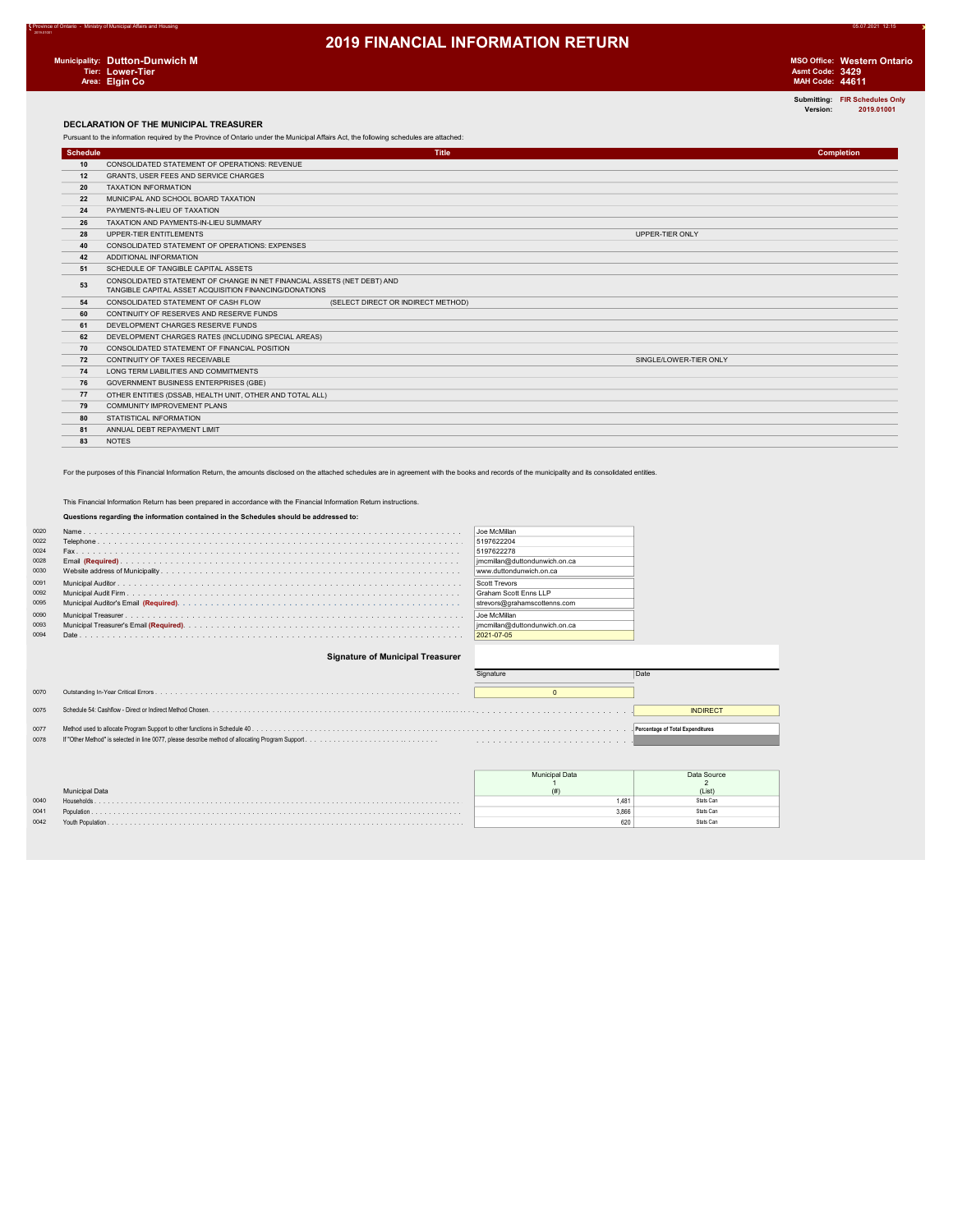Submitting: FIR Schedules Only Version: 2019.01001

#### DECLARATION OF THE MUNICIPAL TREASURER

Pursuant to the information required by the Province of Ontario under the Municipal Affairs Act, the following schedules are attached:

| <b>Schedule</b> |                                                                                                                                   | <b>Title</b>                       | <b>Completion</b> |
|-----------------|-----------------------------------------------------------------------------------------------------------------------------------|------------------------------------|-------------------|
| 10              | CONSOLIDATED STATEMENT OF OPERATIONS: REVENUE                                                                                     |                                    |                   |
| 12              | <b>GRANTS. USER FEES AND SERVICE CHARGES</b>                                                                                      |                                    |                   |
| 20              | <b>TAXATION INFORMATION</b>                                                                                                       |                                    |                   |
| 22              | MUNICIPAL AND SCHOOL BOARD TAXATION                                                                                               |                                    |                   |
| 24              | PAYMENTS-IN-LIEU OF TAXATION                                                                                                      |                                    |                   |
| 26              | TAXATION AND PAYMENTS-IN-LIEU SUMMARY                                                                                             |                                    |                   |
| 28              | UPPER-TIER ENTITLEMENTS                                                                                                           | UPPER-TIER ONLY                    |                   |
| 40              | CONSOLIDATED STATEMENT OF OPERATIONS: EXPENSES                                                                                    |                                    |                   |
| 42              | ADDITIONAL INFORMATION                                                                                                            |                                    |                   |
| 51              | SCHEDULE OF TANGIBLE CAPITAL ASSETS                                                                                               |                                    |                   |
| 53              | CONSOLIDATED STATEMENT OF CHANGE IN NET FINANCIAL ASSETS (NET DEBT) AND<br>TANGIBLE CAPITAL ASSET ACQUISITION FINANCING/DONATIONS |                                    |                   |
| 54              | CONSOLIDATED STATEMENT OF CASH FLOW                                                                                               | (SELECT DIRECT OR INDIRECT METHOD) |                   |
| 60              | CONTINUITY OF RESERVES AND RESERVE FUNDS                                                                                          |                                    |                   |
| 61              | DEVELOPMENT CHARGES RESERVE FUNDS                                                                                                 |                                    |                   |
| 62              | DEVELOPMENT CHARGES RATES (INCLUDING SPECIAL AREAS)                                                                               |                                    |                   |
| 70              | CONSOLIDATED STATEMENT OF FINANCIAL POSITION                                                                                      |                                    |                   |
| 72              | CONTINUITY OF TAXES RECEIVABLE                                                                                                    | SINGLE/LOWER-TIER ONLY             |                   |
| 74              | LONG TERM LIABILITIES AND COMMITMENTS                                                                                             |                                    |                   |
| 76              | <b>GOVERNMENT BUSINESS ENTERPRISES (GBE)</b>                                                                                      |                                    |                   |
| 77              | OTHER ENTITIES (DSSAB, HEALTH UNIT, OTHER AND TOTAL ALL)                                                                          |                                    |                   |
| 79              | <b>COMMUNITY IMPROVEMENT PLANS</b>                                                                                                |                                    |                   |
| 80              | STATISTICAL INFORMATION                                                                                                           |                                    |                   |
| 81              | ANNUAL DEBT REPAYMENT LIMIT                                                                                                       |                                    |                   |
| 83              | <b>NOTES</b>                                                                                                                      |                                    |                   |

For the purposes of this Financial Information Return, the amounts disclosed on the attached schedules are in agreement with the books and records of the municipality and its consolidated entities.

#### This Financial Information Return has been prepared in accordance with the Financial Information Return instructions.

#### Questions regarding the information contained in the Schedules should be addressed to:

| 0020 | Joe McMillan                  |  |
|------|-------------------------------|--|
| 0022 | 5197622204                    |  |
| 0024 | 5197622278                    |  |
| 0028 | jmcmillan@duttondunwich.on.ca |  |
| 0030 | www.duttondunwich.on.ca       |  |
| 0091 | Scott Trevors                 |  |
| 0092 | Graham Scott Enns LLP         |  |
| 0095 | strevors@grahamscottenns.com  |  |
| 0090 | Joe McMillan                  |  |
| 0093 | imcmillan@duttondunwich.on.ca |  |
| 0094 | 2021-07-05                    |  |
|      |                               |  |

#### Signature of Municipal Treasurer

|      | Signature | Date                             |
|------|-----------|----------------------------------|
| 0070 |           |                                  |
| 0075 |           | <b>INDIRECT</b>                  |
| 0077 |           | Percentage of Total Expenditures |
| 0078 |           |                                  |

|      |                       | unicipal Data | Data Source |  |
|------|-----------------------|---------------|-------------|--|
|      |                       |               |             |  |
|      | <b>Municipal Data</b> |               | (List       |  |
| 0040 | Households            | 48            | Rtate Can   |  |
| 0041 | Population            | 3.866         | ≷fafe Can   |  |
| 0042 |                       | 620           | ≷fafe Can   |  |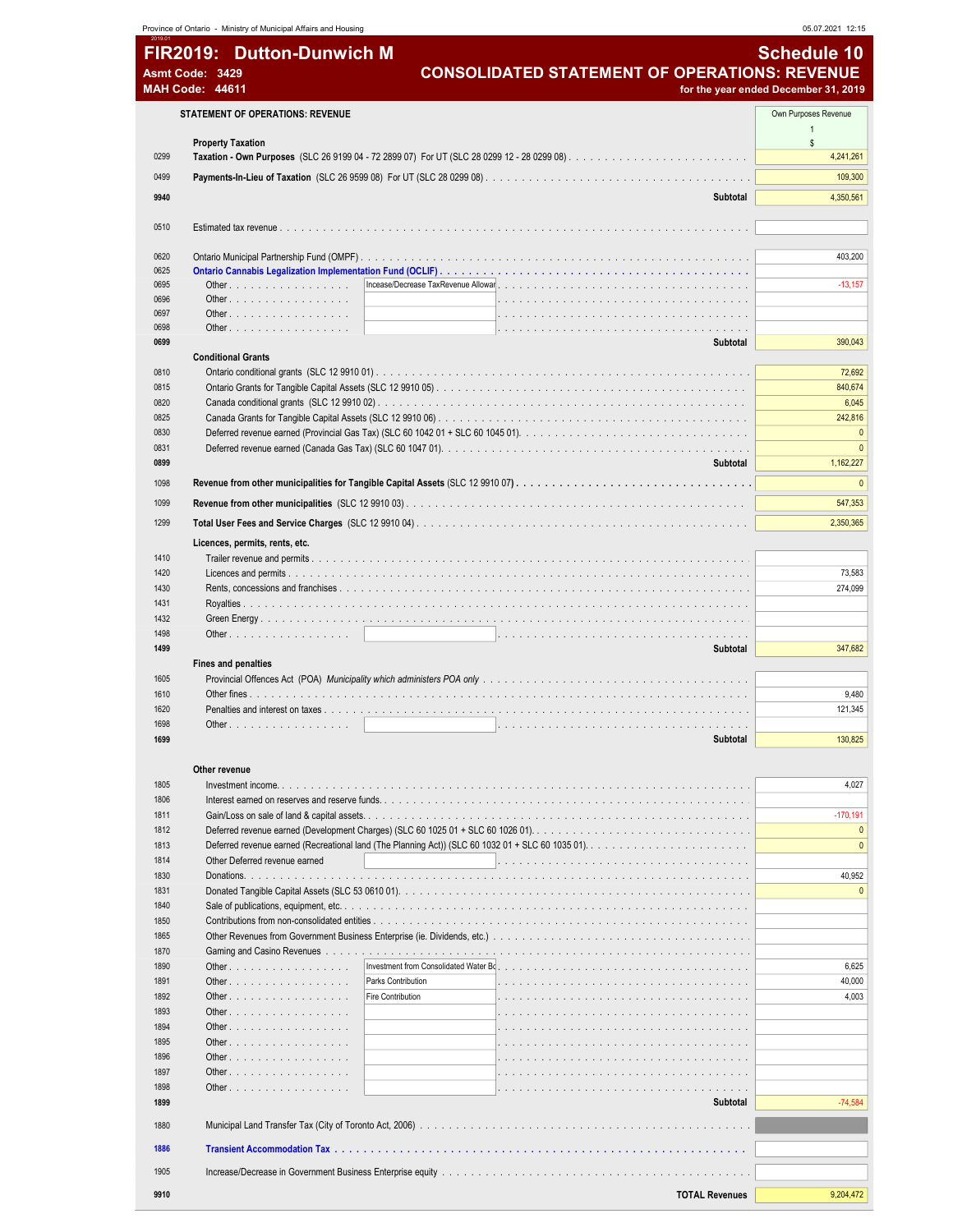|              | Province of Ontario - Ministry of Municipal Affairs and Housing               |                                                      | 05.07.2021 12:15                     |
|--------------|-------------------------------------------------------------------------------|------------------------------------------------------|--------------------------------------|
|              | <b>FIR2019: Dutton-Dunwich M</b>                                              |                                                      | <b>Schedule 10</b>                   |
|              | Asmt Code: 3429                                                               | <b>CONSOLIDATED STATEMENT OF OPERATIONS: REVENUE</b> |                                      |
|              | <b>MAH Code: 44611</b>                                                        |                                                      | for the year ended December 31, 2019 |
|              |                                                                               |                                                      |                                      |
|              | <b>STATEMENT OF OPERATIONS: REVENUE</b>                                       |                                                      | Own Purposes Revenue                 |
|              | <b>Property Taxation</b>                                                      |                                                      | $\mathbb{S}$                         |
| 0299         |                                                                               |                                                      | 4,241,261                            |
| 0499         |                                                                               |                                                      | 109,300                              |
| 9940         |                                                                               |                                                      |                                      |
|              |                                                                               | Subtotal                                             | 4,350,561                            |
| 0510         |                                                                               |                                                      |                                      |
|              |                                                                               |                                                      |                                      |
| 0620         |                                                                               |                                                      | 403,200                              |
| 0625         |                                                                               |                                                      |                                      |
| 0695<br>0696 | Other<br>Other                                                                |                                                      | $-13,157$                            |
| 0697         | Other $\ldots$ $\ldots$ $\ldots$ $\ldots$ $\ldots$ $\ldots$ $\ldots$          |                                                      |                                      |
| 0698         | Other $\ldots$ $\ldots$ $\ldots$ $\ldots$ $\ldots$ $\ldots$ $\ldots$          |                                                      |                                      |
| 0699         |                                                                               | Subtotal                                             | 390,043                              |
|              | <b>Conditional Grants</b>                                                     |                                                      |                                      |
| 0810         |                                                                               |                                                      | 72,692                               |
| 0815         |                                                                               |                                                      | 840,674                              |
| 0820<br>0825 |                                                                               |                                                      | 6,045<br>242,816                     |
| 0830         |                                                                               |                                                      | $\Omega$                             |
| 0831         |                                                                               |                                                      | $\mathbf{0}$                         |
| 0899         |                                                                               | Subtotal                                             | 1,162,227                            |
| 1098         |                                                                               |                                                      | $\mathbf{0}$                         |
| 1099         |                                                                               |                                                      | 547,353                              |
|              |                                                                               |                                                      |                                      |
| 1299         |                                                                               |                                                      | 2,350,365                            |
|              | Licences, permits, rents, etc.                                                |                                                      |                                      |
| 1410<br>1420 |                                                                               |                                                      |                                      |
| 1430         |                                                                               |                                                      | 73,583<br>274,099                    |
| 1431         |                                                                               |                                                      |                                      |
| 1432         |                                                                               |                                                      |                                      |
| 1498         |                                                                               |                                                      |                                      |
| 1499         |                                                                               | Subtotal                                             | 347,682                              |
|              | <b>Fines and penalties</b>                                                    |                                                      |                                      |
| 1605         |                                                                               |                                                      |                                      |
| 1610         |                                                                               |                                                      | 9,480                                |
| 1620<br>1698 | Other.                                                                        |                                                      | 121,345                              |
| 1699         |                                                                               | Subtotal                                             | 130,825                              |
|              |                                                                               |                                                      |                                      |
|              | Other revenue                                                                 |                                                      |                                      |
| 1805         |                                                                               |                                                      | 4,027                                |
| 1806         |                                                                               |                                                      |                                      |
| 1811         |                                                                               |                                                      | $-170, 191$                          |
| 1812         |                                                                               |                                                      | $\mathbf{0}$<br>$\mathbf{0}$         |
| 1813<br>1814 | Other Deferred revenue earned                                                 |                                                      |                                      |
| 1830         |                                                                               |                                                      | 40,952                               |
| 1831         |                                                                               |                                                      | $\mathbf{0}$                         |
| 1840         |                                                                               |                                                      |                                      |
| 1850         |                                                                               |                                                      |                                      |
| 1865         |                                                                               |                                                      |                                      |
| 1870         |                                                                               |                                                      |                                      |
| 1890         | Other                                                                         |                                                      | 6,625                                |
| 1891         | Other                                                                         | Parks Contribution                                   | 40,000                               |
| 1892         | Other                                                                         | Fire Contribution                                    | 4,003                                |
| 1893<br>1894 | Other $\ldots$ $\ldots$ $\ldots$ $\ldots$ $\ldots$ $\ldots$ $\ldots$<br>Other |                                                      |                                      |
| 1895         | Other $\ldots$ $\ldots$ $\ldots$ $\ldots$ $\ldots$ $\ldots$ $\ldots$          |                                                      |                                      |
| 1896         | Other                                                                         |                                                      |                                      |
| 1897         | Other $\ldots$ $\ldots$ $\ldots$ $\ldots$ $\ldots$ $\ldots$ $\ldots$          |                                                      |                                      |
| 1898         | Other                                                                         |                                                      |                                      |
| 1899         |                                                                               | Subtotal                                             | $-74,584$                            |
| 1880         |                                                                               |                                                      |                                      |
|              |                                                                               |                                                      |                                      |
| 1886         |                                                                               |                                                      |                                      |
| 1905         |                                                                               |                                                      |                                      |
| 9910         |                                                                               | <b>TOTAL Revenues</b>                                | 9,204,472                            |
|              |                                                                               |                                                      |                                      |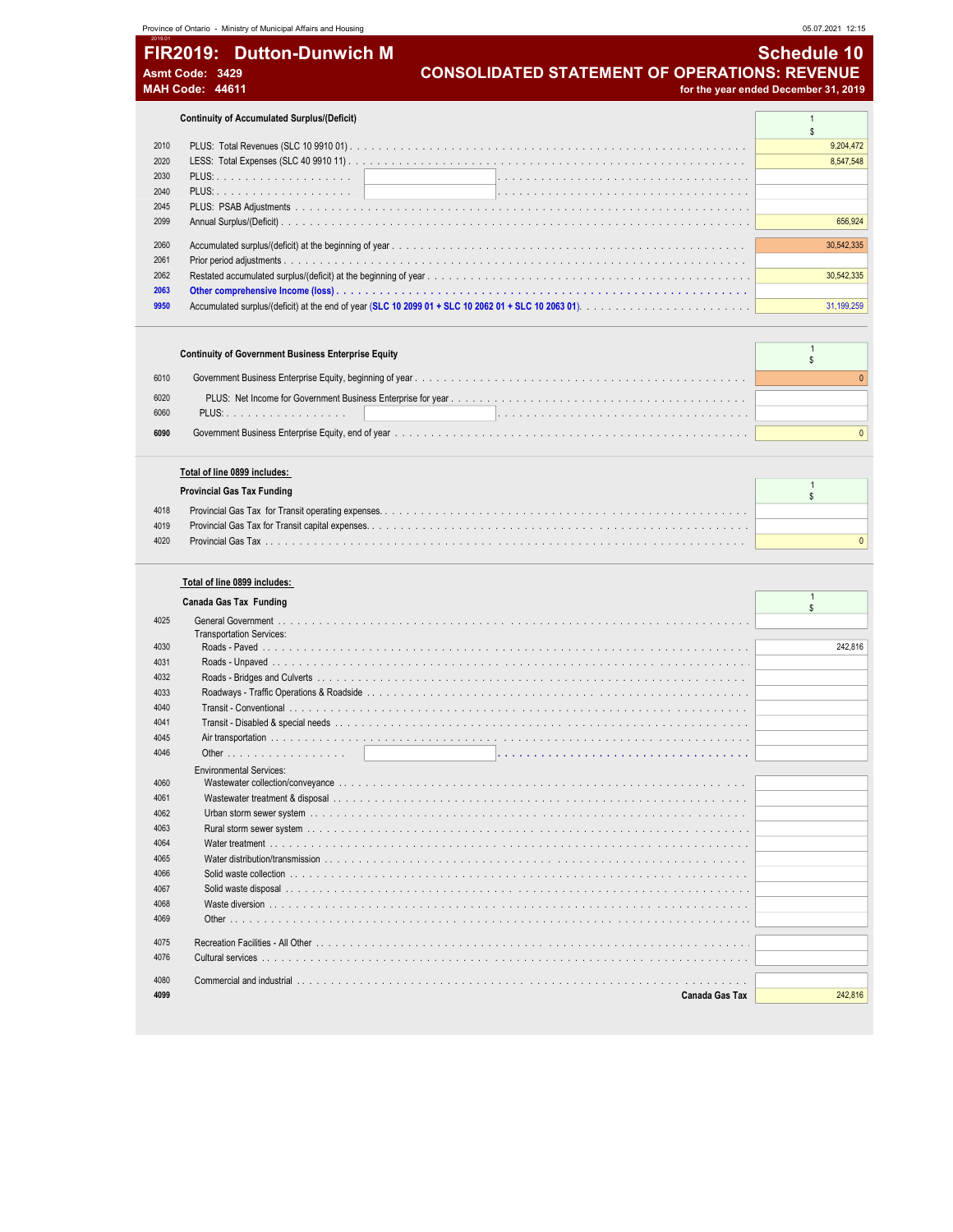| Province of Ontario - Ministry of Municipal Affairs and Housing | 05.07.2021 12:15                                     |
|-----------------------------------------------------------------|------------------------------------------------------|
| 2019.01<br><b>FIR2019: Dutton-Dunwich M</b>                     | ' Schedule 10」                                       |
| Asmt Code: 3429                                                 | <b>CONSOLIDATED STATEMENT OF OPERATIONS: REVENUE</b> |
| <b>MAH Code: 44611</b>                                          | for the year ended December 31, 2019                 |

**Continuity of Accumulated Surplus/(Deficit)** 1 **1** 

| 2010 |                                                                                                      | 9,204,472  |
|------|------------------------------------------------------------------------------------------------------|------------|
| 2020 |                                                                                                      | 8.547.548  |
| 2030 |                                                                                                      |            |
| 2040 |                                                                                                      |            |
| 2045 |                                                                                                      |            |
| 2099 |                                                                                                      | 656,924    |
| 2060 |                                                                                                      | 30.542.335 |
| 2061 |                                                                                                      |            |
| 2062 |                                                                                                      | 30.542.335 |
| 2063 |                                                                                                      |            |
| 9950 | Accumulated surplus/(deficit) at the end of year (SLC 10 2099 01 + SLC 10 2062 01 + SLC 10 2063 01). | 31.199.259 |

| <b>Continuity of Government Business Enterprise Equity</b> |  |
|------------------------------------------------------------|--|
| 6010                                                       |  |
| 6020                                                       |  |
| 6060<br>PLUS:                                              |  |
| 6090                                                       |  |

### Total of line 0899 includes:

|      | <b>Provincial Gas Tax Funding</b> |  |
|------|-----------------------------------|--|
| 4018 |                                   |  |
| 4019 |                                   |  |
| 4020 |                                   |  |
|      |                                   |  |

### Total of line 0899 includes:

|  | Canada Gas Tax Funding |  |
|--|------------------------|--|
|  |                        |  |

|      | Canada Gas Tax Funding                                       |         |
|------|--------------------------------------------------------------|---------|
| 4025 | <b>General Government</b><br><b>Transportation Services:</b> |         |
| 4030 |                                                              | 242.816 |
| 4031 |                                                              |         |
| 4032 |                                                              |         |
| 4033 |                                                              |         |
| 4040 |                                                              |         |
| 4041 |                                                              |         |
| 4045 |                                                              |         |
| 4046 |                                                              |         |
|      | <b>Environmental Services:</b>                               |         |
| 4060 |                                                              |         |
| 4061 |                                                              |         |
| 4062 |                                                              |         |
| 4063 |                                                              |         |
| 4064 |                                                              |         |
| 4065 |                                                              |         |
| 4066 |                                                              |         |
| 4067 |                                                              |         |
| 4068 |                                                              |         |
| 4069 |                                                              |         |
| 4075 |                                                              |         |
| 4076 |                                                              |         |
| 4080 |                                                              |         |
| 4099 | <b>Canada Gas Tax</b>                                        | 242.816 |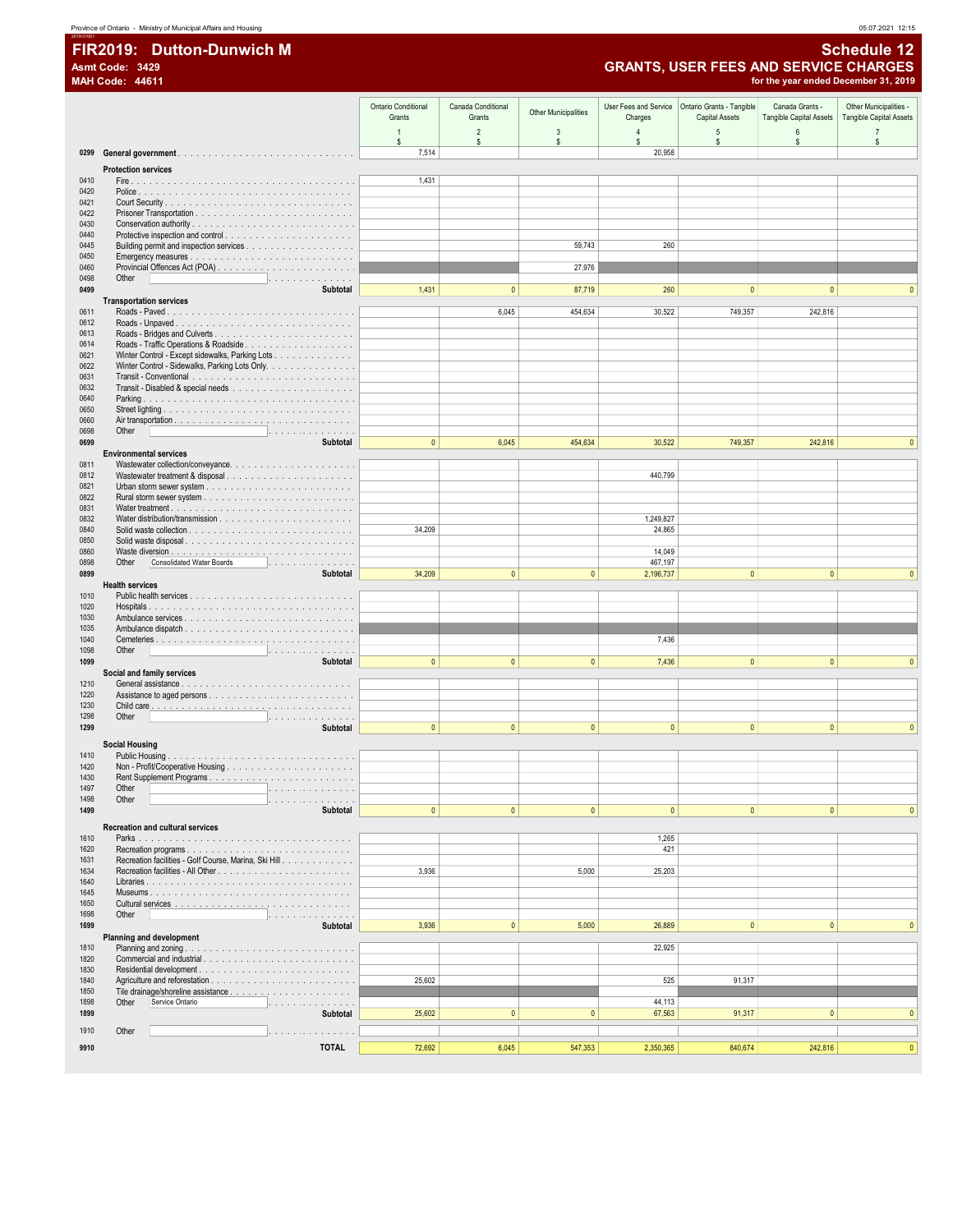# FIR2019: Dutton-Dunwich M Asmt Code: 3429<br>MAH Code: 44611

**Schedule 12 GRANTS, USER FEES AND SERVICE CHARGES**<br>for the year ended December 31, 2019

|              |                                                                                                                                                                                                                                         | <b>Ontario Conditional</b><br>Grants | Canada Conditional<br>Grants | <b>Other Municipalities</b> | User Fees and Service<br>Charges | Ontario Grants - Tangible<br><b>Capital Assets</b> | Canada Grants -<br>Tangible Capital Assets | Other Municipalities -<br>Tangible Capital Assets |
|--------------|-----------------------------------------------------------------------------------------------------------------------------------------------------------------------------------------------------------------------------------------|--------------------------------------|------------------------------|-----------------------------|----------------------------------|----------------------------------------------------|--------------------------------------------|---------------------------------------------------|
|              |                                                                                                                                                                                                                                         | $\overline{1}$<br>s.                 | $\overline{2}$<br>\$         | 3<br>s                      | $\overline{a}$<br>s.             | 5<br>\$                                            | $\boldsymbol{6}$<br>$\mathbb S$            | $\overline{7}$<br>s                               |
|              |                                                                                                                                                                                                                                         | 7,514                                |                              |                             | 20,958                           |                                                    |                                            |                                                   |
|              | <b>Protection services</b>                                                                                                                                                                                                              |                                      |                              |                             |                                  |                                                    |                                            |                                                   |
| 0410<br>0420 |                                                                                                                                                                                                                                         | 1,431                                |                              |                             |                                  |                                                    |                                            |                                                   |
| 0421         |                                                                                                                                                                                                                                         |                                      |                              |                             |                                  |                                                    |                                            |                                                   |
| 0422<br>0430 |                                                                                                                                                                                                                                         |                                      |                              |                             |                                  |                                                    |                                            |                                                   |
| 0440         |                                                                                                                                                                                                                                         |                                      |                              |                             |                                  |                                                    |                                            |                                                   |
| 0445         |                                                                                                                                                                                                                                         |                                      |                              | 59,743                      | 260                              |                                                    |                                            |                                                   |
| 0450<br>0460 |                                                                                                                                                                                                                                         |                                      |                              | 27,976                      |                                  |                                                    |                                            |                                                   |
| 0498         | Other<br>.                                                                                                                                                                                                                              |                                      |                              |                             |                                  |                                                    |                                            |                                                   |
| 0499         | <b>Subtotal</b><br><b>Transportation services</b>                                                                                                                                                                                       | 1,431                                | $\mathbf{0}$                 | 87,719                      | 260                              | $\mathbf{0}$                                       | $\mathbf{0}$                               |                                                   |
| 0611         |                                                                                                                                                                                                                                         |                                      | 6,045                        | 454,634                     | 30,522                           | 749,357                                            | 242,816                                    |                                                   |
| 0612         |                                                                                                                                                                                                                                         |                                      |                              |                             |                                  |                                                    |                                            |                                                   |
| 0613<br>0614 |                                                                                                                                                                                                                                         |                                      |                              |                             |                                  |                                                    |                                            |                                                   |
| 0621         | Winter Control - Except sidewalks, Parking Lots                                                                                                                                                                                         |                                      |                              |                             |                                  |                                                    |                                            |                                                   |
| 0622<br>0631 | Winter Control - Sidewalks, Parking Lots Only.                                                                                                                                                                                          |                                      |                              |                             |                                  |                                                    |                                            |                                                   |
| 0632         |                                                                                                                                                                                                                                         |                                      |                              |                             |                                  |                                                    |                                            |                                                   |
| 0640         |                                                                                                                                                                                                                                         |                                      |                              |                             |                                  |                                                    |                                            |                                                   |
| 0650<br>0660 |                                                                                                                                                                                                                                         |                                      |                              |                             |                                  |                                                    |                                            |                                                   |
| 0698         | Other<br>.                                                                                                                                                                                                                              |                                      |                              |                             |                                  |                                                    |                                            |                                                   |
| 0699         | <b>Subtotal</b><br><b>Environmental services</b>                                                                                                                                                                                        | $\mathbf{0}$                         | 6,045                        | 454,634                     | 30,522                           | 749,357                                            | 242,816                                    | $\overline{0}$                                    |
| 0811         |                                                                                                                                                                                                                                         |                                      |                              |                             |                                  |                                                    |                                            |                                                   |
| 0812         |                                                                                                                                                                                                                                         |                                      |                              |                             | 440,799                          |                                                    |                                            |                                                   |
| 0821<br>0822 |                                                                                                                                                                                                                                         |                                      |                              |                             |                                  |                                                    |                                            |                                                   |
| 0831         |                                                                                                                                                                                                                                         |                                      |                              |                             |                                  |                                                    |                                            |                                                   |
| 0832<br>0840 |                                                                                                                                                                                                                                         | 34,209                               |                              |                             | 1,249,827<br>24,865              |                                                    |                                            |                                                   |
| 0850         |                                                                                                                                                                                                                                         |                                      |                              |                             |                                  |                                                    |                                            |                                                   |
| 0860<br>0898 | <b>Consolidated Water Boards</b><br>Other<br>.                                                                                                                                                                                          |                                      |                              |                             | 14,049<br>467,197                |                                                    |                                            |                                                   |
| 0899         | <b>Subtotal</b>                                                                                                                                                                                                                         | 34,209                               | $\mathbf{0}$                 | $\mathbf{0}$                | 2,196,737                        | $\mathbf{0}$                                       | $\mathbf{0}$                               | $\Omega$                                          |
|              | <b>Health services</b>                                                                                                                                                                                                                  |                                      |                              |                             |                                  |                                                    |                                            |                                                   |
| 1010<br>1020 |                                                                                                                                                                                                                                         |                                      |                              |                             |                                  |                                                    |                                            |                                                   |
| 1030         |                                                                                                                                                                                                                                         |                                      |                              |                             |                                  |                                                    |                                            |                                                   |
| 1035<br>1040 |                                                                                                                                                                                                                                         |                                      |                              |                             | 7,436                            |                                                    |                                            |                                                   |
| 1098         | Other                                                                                                                                                                                                                                   |                                      |                              |                             |                                  |                                                    |                                            |                                                   |
| 1099         | <b>Subtotal</b><br>Social and family services                                                                                                                                                                                           | $\mathbf{0}$                         | $\mathbf{0}$                 | $\mathbf{0}$                | 7,436                            | $\mathbf{0}$                                       | $\mathbf{0}$                               | $\Omega$                                          |
| 1210         |                                                                                                                                                                                                                                         |                                      |                              |                             |                                  |                                                    |                                            |                                                   |
| 1220         |                                                                                                                                                                                                                                         |                                      |                              |                             |                                  |                                                    |                                            |                                                   |
| 1230<br>1298 | Other<br>.                                                                                                                                                                                                                              |                                      |                              |                             |                                  |                                                    |                                            |                                                   |
| 1299         | <b>Subtotal</b>                                                                                                                                                                                                                         | $\mathbf{0}$                         | $\mathbf{0}$                 | $\mathbf{0}$                | $\mathbf{0}$                     | $\mathbf{0}$                                       | $\mathbf{0}$                               | $\mathbf{0}$                                      |
|              | <b>Social Housing</b>                                                                                                                                                                                                                   |                                      |                              |                             |                                  |                                                    |                                            |                                                   |
| 1410<br>1420 |                                                                                                                                                                                                                                         |                                      |                              |                             |                                  |                                                    |                                            |                                                   |
| 1430         |                                                                                                                                                                                                                                         |                                      |                              |                             |                                  |                                                    |                                            |                                                   |
| 1497         | Other<br>and the contract of the contract of the contract of the contract of the contract of the contract of the contract of the contract of the contract of the contract of the contract of the contract of the contract of the contra |                                      |                              |                             |                                  |                                                    |                                            |                                                   |
| 1498<br>1499 | Other<br><b>Subtotal</b>                                                                                                                                                                                                                | $\mathbf{0}$                         | $\mathbf{0}$                 | $\mathbf{0}$                | $\pmb{0}$                        | $\pmb{0}$                                          | $\mathbf{0}$                               | $\pmb{0}$                                         |
|              | <b>Recreation and cultural services</b>                                                                                                                                                                                                 |                                      |                              |                             |                                  |                                                    |                                            |                                                   |
| 1610         |                                                                                                                                                                                                                                         |                                      |                              |                             | 1,265                            |                                                    |                                            |                                                   |
| 1620<br>1631 | Recreation facilities - Golf Course, Marina, Ski Hill                                                                                                                                                                                   |                                      |                              |                             | 421                              |                                                    |                                            |                                                   |
| 1634         |                                                                                                                                                                                                                                         | 3,936                                |                              | 5,000                       | 25,203                           |                                                    |                                            |                                                   |
| 1640<br>1645 |                                                                                                                                                                                                                                         |                                      |                              |                             |                                  |                                                    |                                            |                                                   |
| 1650         |                                                                                                                                                                                                                                         |                                      |                              |                             |                                  |                                                    |                                            |                                                   |
| 1698         | Other<br>.                                                                                                                                                                                                                              |                                      |                              |                             |                                  |                                                    |                                            |                                                   |
| 1699         | <b>Subtotal</b><br>Planning and development                                                                                                                                                                                             | 3,936                                | $\mathbf{0}$                 | 5,000                       | 26,889                           | $\mathbf{0}$                                       | $\mathbf{0}$                               | $\mathbf{0}$                                      |
| 1810         |                                                                                                                                                                                                                                         |                                      |                              |                             | 22,925                           |                                                    |                                            |                                                   |
| 1820<br>1830 |                                                                                                                                                                                                                                         |                                      |                              |                             |                                  |                                                    |                                            |                                                   |
| 1840         |                                                                                                                                                                                                                                         | 25,602                               |                              |                             | 525                              | 91,317                                             |                                            |                                                   |
| 1850<br>1898 | Service Ontario<br>.                                                                                                                                                                                                                    |                                      |                              |                             | 44,113                           |                                                    |                                            |                                                   |
| 1899         | Other<br>Subtotal                                                                                                                                                                                                                       | 25,602                               | $\mathbf{0}$                 | $\mathbf{0}$                | 67,563                           | 91,317                                             | $\mathbf{0}$                               | $\mathbf{0}$                                      |
| 1910         | Other<br>.                                                                                                                                                                                                                              |                                      |                              |                             |                                  |                                                    |                                            |                                                   |
| 9910         | <b>TOTAL</b>                                                                                                                                                                                                                            | 72,692                               | 6,045                        | 547,353                     | 2,350,365                        | 840,674                                            | 242,816                                    | $\mathbf{0}$                                      |
|              |                                                                                                                                                                                                                                         |                                      |                              |                             |                                  |                                                    |                                            |                                                   |

05.07.2021 12:15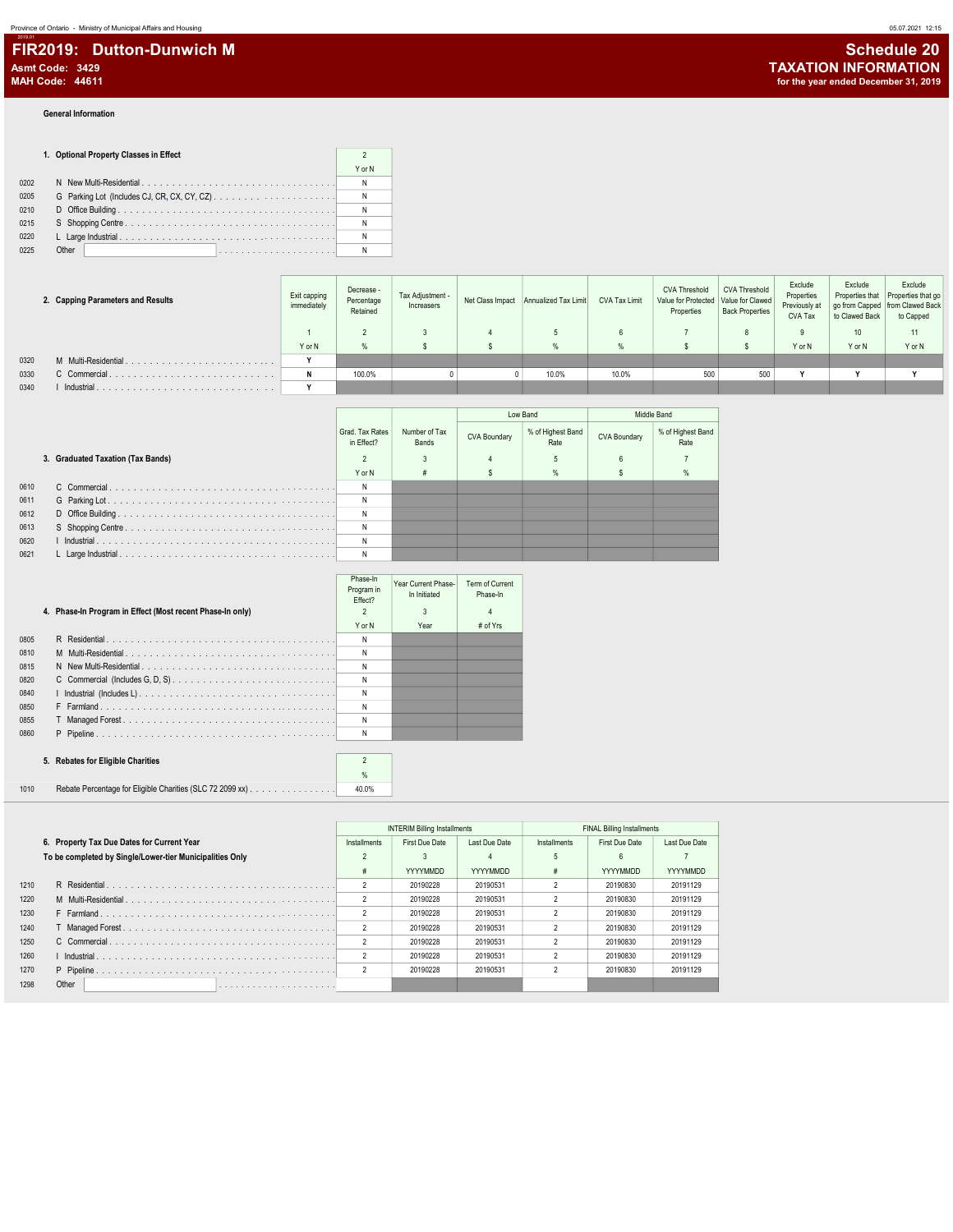### General Information

2019.01

|      | 1. Optional Property Classes in Effect |        |
|------|----------------------------------------|--------|
|      |                                        | Y or N |
| 0202 |                                        |        |
| 0205 |                                        |        |
| 0210 |                                        |        |
| 0215 |                                        |        |
| 0220 |                                        |        |
| 0225 | Other                                  |        |

|      | 2. Capping Parameters and Results | Exit capping<br>immediately | Decrease -<br>Percentage<br>Retained | Tax Adjustment -<br>Increasers | Net Class Impact Annualized Tax Limit | CVA Tax Limit | <b>CVA Threshold</b><br>Value for Protected Value for Clawed<br>Properties | CVA Threshold<br><b>Back Properties</b> | Exclude<br>Properties<br>Previously at<br>CVA Tax | Exclude<br>Properties that<br>to Clawed Back | Exclude<br>Properties that go<br>go from Capped   from Clawed Back<br>to Capped |
|------|-----------------------------------|-----------------------------|--------------------------------------|--------------------------------|---------------------------------------|---------------|----------------------------------------------------------------------------|-----------------------------------------|---------------------------------------------------|----------------------------------------------|---------------------------------------------------------------------------------|
|      |                                   |                             |                                      |                                |                                       |               |                                                                            |                                         |                                                   | 10                                           | 11                                                                              |
|      |                                   | Y or N                      | %                                    |                                |                                       |               |                                                                            |                                         | Y or N                                            | Y or N                                       | Y or N                                                                          |
| 0320 | M Multi-Residential.              |                             |                                      |                                |                                       |               |                                                                            |                                         |                                                   |                                              |                                                                                 |
| 0330 | C Commercial                      | N                           | 100.0%                               |                                | 10.0%                                 | 10.0%         | 500                                                                        | 500                                     |                                                   |                                              |                                                                                 |
| 0340 | Industrial                        |                             |                                      |                                |                                       |               |                                                                            |                                         |                                                   |                                              |                                                                                 |

|      |                                   |                               |                        |              | Low Band                  |              | Middle Band               |
|------|-----------------------------------|-------------------------------|------------------------|--------------|---------------------------|--------------|---------------------------|
|      |                                   | Grad, Tax Rates<br>in Effect? | Number of Tax<br>Bands | CVA Boundary | % of Highest Band<br>Rate | CVA Boundary | % of Highest Band<br>Rate |
|      | 3. Graduated Taxation (Tax Bands) |                               | 3                      |              |                           |              |                           |
|      |                                   | Y or N                        | #                      |              | $\frac{9}{6}$             |              | %                         |
| 0610 |                                   | N                             |                        |              |                           |              |                           |
| 0611 |                                   | N                             |                        |              |                           |              |                           |
| 0612 |                                   | N                             |                        |              |                           |              |                           |
| 0613 |                                   | N                             |                        |              |                           |              |                           |
| 0620 |                                   | N                             |                        |              |                           |              |                           |
| 0621 |                                   | N                             |                        |              |                           |              |                           |

|      | 4. Phase-In Program in Effect (Most recent Phase-In only) | Phase-In<br>Program in<br>Effect?<br>$\overline{\phantom{a}}$ | Year Current Phase-<br>In Initiated | Term of Current<br>Phase-In<br>4 |  |
|------|-----------------------------------------------------------|---------------------------------------------------------------|-------------------------------------|----------------------------------|--|
|      |                                                           | Y or N                                                        | Year                                | # of Yrs                         |  |
| 0805 |                                                           | N                                                             |                                     |                                  |  |
| 0810 |                                                           | N                                                             |                                     |                                  |  |
| 0815 |                                                           | N                                                             |                                     |                                  |  |
| 0820 |                                                           | N                                                             |                                     |                                  |  |
| 0840 |                                                           | N                                                             |                                     |                                  |  |
| 0850 |                                                           | N                                                             |                                     |                                  |  |
| 0855 |                                                           | N                                                             |                                     |                                  |  |
| 0860 |                                                           | N                                                             |                                     |                                  |  |
|      |                                                           |                                                               |                                     |                                  |  |
|      | 5. Rebates for Eligible Charities                         | $\mathfrak{p}$                                                |                                     |                                  |  |
|      |                                                           | $\frac{9}{6}$                                                 |                                     |                                  |  |

| 1010 | Rebate Percentage for Eligible Charities (SLC 72 2099 xx) | 40.0% |
|------|-----------------------------------------------------------|-------|

|      |                                                          |                | <b>INTERIM Billing Installments</b> |                 |                | <b>FINAL Billing Installments</b> |                 |
|------|----------------------------------------------------------|----------------|-------------------------------------|-----------------|----------------|-----------------------------------|-----------------|
|      | 6. Property Tax Due Dates for Current Year               | Installments   | First Due Date                      | Last Due Date   | Installments   | First Due Date                    | Last Due Date   |
|      | To be completed by Single/Lower-tier Municipalities Only |                |                                     |                 | 5              | 6                                 |                 |
|      |                                                          | #              | <b>YYYYMMDD</b>                     | <b>YYYYMMDD</b> | #              | <b>YYYYMMDD</b>                   | <b>YYYYMMDD</b> |
| 1210 |                                                          | $\overline{2}$ | 20190228                            | 20190531        | 2              | 20190830                          | 20191129        |
| 1220 |                                                          | $\overline{2}$ | 20190228                            | 20190531        | 2              | 20190830                          | 20191129        |
| 1230 |                                                          | $\overline{2}$ | 20190228                            | 20190531        |                | 20190830                          | 20191129        |
| 1240 |                                                          | $\overline{2}$ | 20190228                            | 20190531        | 2              | 20190830                          | 20191129        |
| 1250 |                                                          | $\overline{2}$ | 20190228                            | 20190531        | 2              | 20190830                          | 20191129        |
| 1260 |                                                          | $\overline{2}$ | 20190228                            | 20190531        | 2              | 20190830                          | 20191129        |
| 1270 |                                                          | $\overline{2}$ | 20190228                            | 20190531        | $\mathfrak{p}$ | 20190830                          | 20191129        |
| 1298 | Other                                                    |                |                                     |                 |                |                                   |                 |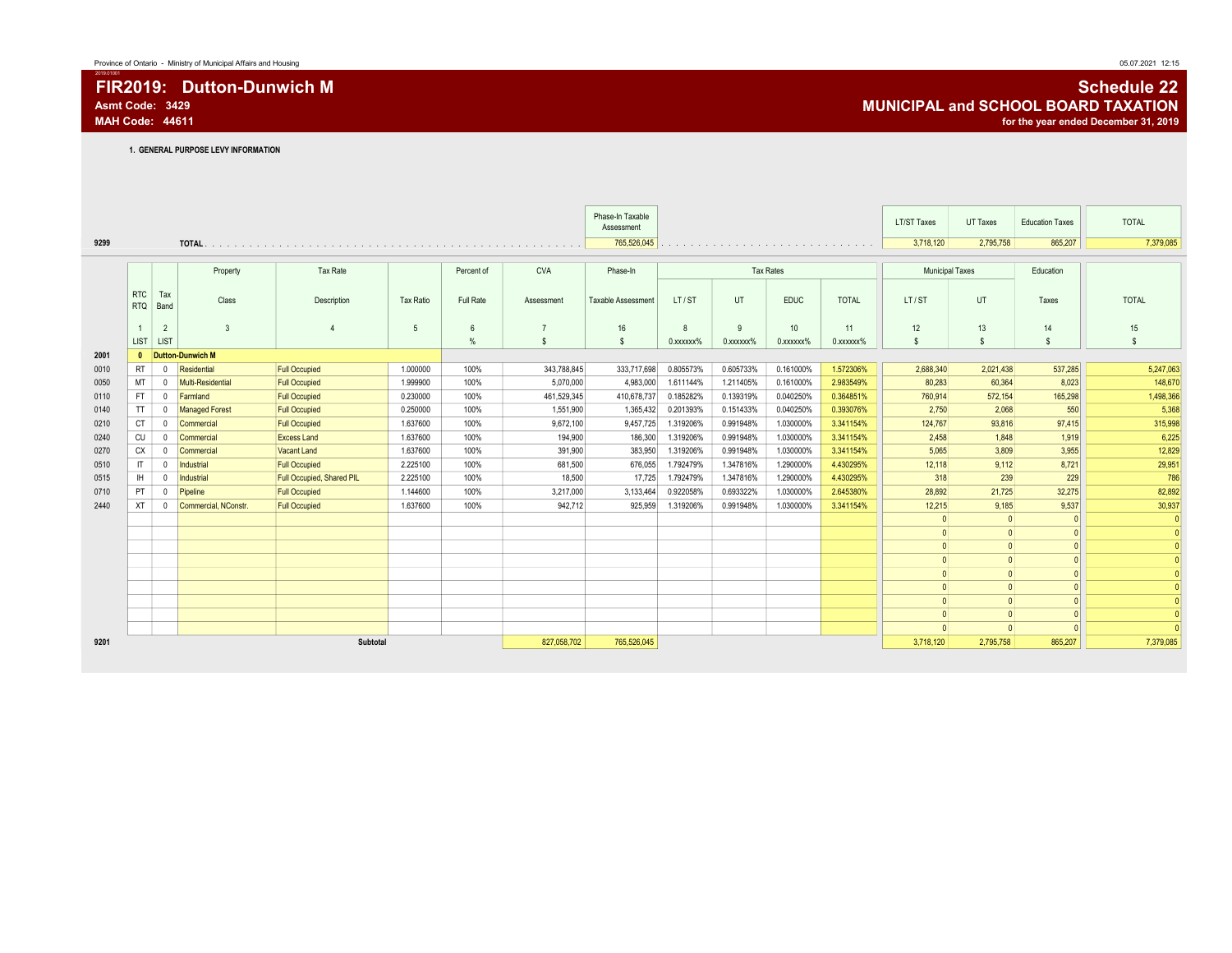1. GENERAL PURPOSE LEVY INFORMATION

|      |                          |                |                         |                           |                  |            |                | Phase-In Taxable   |                 |                 |                  |              | <b>LT/ST Taxes</b>     | UT Taxes  | <b>Education Taxes</b> | <b>TOTAL</b> |
|------|--------------------------|----------------|-------------------------|---------------------------|------------------|------------|----------------|--------------------|-----------------|-----------------|------------------|--------------|------------------------|-----------|------------------------|--------------|
|      |                          |                |                         |                           |                  |            |                | Assessment         |                 |                 |                  |              |                        |           |                        |              |
| 9299 |                          |                |                         |                           |                  |            |                | 765,526,045        |                 |                 |                  |              | 3,718,120              | 2,795,758 | 865,207                | 7,379,085    |
|      |                          |                |                         |                           |                  |            | <b>CVA</b>     |                    |                 |                 | <b>Tax Rates</b> |              |                        |           |                        |              |
|      |                          |                | Property                | Tax Rate                  |                  | Percent of |                | Phase-In           |                 |                 |                  |              | <b>Municipal Taxes</b> |           | Education              |              |
|      | <b>RTC</b><br><b>RTQ</b> | Tax<br>Band    | Class                   | Description               | <b>Tax Ratio</b> | Full Rate  | Assessment     | Taxable Assessment | LT/ST           | <b>UT</b>       | <b>EDUC</b>      | <b>TOTAL</b> | LT/ST                  | UT        | Taxes                  | <b>TOTAL</b> |
|      |                          | $\overline{2}$ | $\overline{3}$          |                           | 5                | 6          | $\overline{7}$ | 16                 | 8               | 9               | 10 <sup>°</sup>  | 11           | 12                     | 13        | 14                     | 15           |
|      | LIST                     | LIST           |                         |                           |                  | %          | s              | $$\mathbb{S}$$     | $0.$ xxxxx $\%$ | $0.$ xxxxxx $%$ | $0.$ xxxxxx $%$  | 0.xxxxxx%    | \$                     | \$        | $\mathsf{s}$           | \$           |
| 2001 | $\mathbf{0}$             |                | <b>Dutton-Dunwich M</b> |                           |                  |            |                |                    |                 |                 |                  |              |                        |           |                        |              |
| 0010 | <b>RT</b>                | $^{\circ}$     | Residential             | <b>Full Occupied</b>      | 1.000000         | 100%       | 343.788.845    | 333.717.698        | 0.805573%       | 0.605733%       | 0.161000%        | 1.572306%    | 2,688,340              | 2,021,438 | 537,285                | 5,247,063    |
| 0050 | MT                       | $^{\circ}$     | Multi-Residential       | <b>Full Occupied</b>      | 1.999900         | 100%       | 5.070.000      | 4,983,000          | 1.611144%       | 1.211405%       | 0.161000%        | 2.983549%    | 80.283                 | 60,364    | 8,023                  | 148,670      |
| 0110 | <b>FT</b>                | $\mathbf 0$    | Farmland                | <b>Full Occupied</b>      | 0.230000         | 100%       | 461.529.345    | 410,678,737        | 0.185282%       | 0.139319%       | 0.040250%        | 0.364851%    | 760,914                | 572,154   | 165,298                | 1,498,366    |
| 0140 | TT                       | $\mathbf 0$    | <b>Managed Forest</b>   | <b>Full Occupied</b>      | 0.250000         | 100%       | 1,551,900      | 1,365,432          | 0.201393%       | 0.151433%       | 0.040250%        | 0.393076%    | 2,750                  | 2,068     | 550                    | 5,368        |
| 0210 | <b>CT</b>                | $\mathbf 0$    | Commercial              | <b>Full Occupied</b>      | 1.637600         | 100%       | 9,672,100      | 9,457,725          | 1.319206%       | 0.991948%       | 1.030000%        | 3.341154%    | 124,767                | 93,816    | 97,415                 | 315,998      |
| 0240 | CU                       | $\mathbf 0$    | Commercial              | <b>Excess Land</b>        | 1.637600         | 100%       | 194.900        | 186,300            | 1.319206%       | 0.991948%       | 1.030000%        | 3.341154%    | 2,458                  | 1,848     | 1,919                  | 6,225        |
| 0270 | CX                       | $\mathbf 0$    | Commercial              | Vacant Land               | 1.637600         | 100%       | 391.900        | 383,950            | 1.319206%       | 0.991948%       | 1.030000%        | 3.341154%    | 5,065                  | 3,809     | 3,955                  | 12,829       |
| 0510 | IT                       | 0              | Industrial              | <b>Full Occupied</b>      | 2.225100         | 100%       | 681.500        | 676.055            | 1.792479%       | 1.347816%       | 1.290000%        | 4.430295%    | 12.118                 | 9.112     | 8,721                  | 29,951       |
| 0515 | H                        | $\mathbf 0$    | Industrial              | Full Occupied, Shared PIL | 2.225100         | 100%       | 18,500         | 17,725             | 1.792479%       | 1.347816%       | 1.290000%        | 4.430295%    | 318                    | 239       | 229                    | 786          |
| 0710 | PT                       | $\mathbf 0$    | Pipeline                | <b>Full Occupied</b>      | 1.144600         | 100%       | 3,217,000      | 3,133,464          | 0.922058%       | 0.693322%       | 1.030000%        | 2.645380%    | 28,892                 | 21,725    | 32,275                 | 82,892       |
| 2440 | <b>XT</b>                | $^{\circ}$     | Commercial, NConstr.    | <b>Full Occupied</b>      | 1.637600         | 100%       | 942.712        | 925.959            | 1.319206%       | 0.991948%       | 1.030000%        | 3.341154%    | 12.215                 | 9.185     | 9.537                  | 30,937       |
|      |                          |                |                         |                           |                  |            |                |                    |                 |                 |                  |              | $\Omega$               | $\Omega$  | 0                      | 0            |
|      |                          |                |                         |                           |                  |            |                |                    |                 |                 |                  |              | $\Omega$               |           | $\Omega$               | 0            |
|      |                          |                |                         |                           |                  |            |                |                    |                 |                 |                  |              | $\Omega$               |           | $\vert$ 0              | 0            |
|      |                          |                |                         |                           |                  |            |                |                    |                 |                 |                  |              | $\Omega$               |           |                        | $\Omega$     |
|      |                          |                |                         |                           |                  |            |                |                    |                 |                 |                  |              | $\Omega$               |           | $\vert$ 0              |              |
|      |                          |                |                         |                           |                  |            |                |                    |                 |                 |                  |              | $\Omega$               |           | $\vert$ 0              |              |
|      |                          |                |                         |                           |                  |            |                |                    |                 |                 |                  |              | $\Omega$               |           | $\vert$ 0              |              |
|      |                          |                |                         |                           |                  |            |                |                    |                 |                 |                  |              |                        |           | $\mathbf{0}$           | $\Omega$     |
|      |                          |                |                         |                           |                  |            |                |                    |                 |                 |                  |              |                        |           |                        |              |
| 9201 |                          |                |                         | Subtotal                  |                  |            | 827,058,702    | 765,526,045        |                 |                 |                  |              | 3,718,120              | 2,795,758 | 865,207                | 7,379,085    |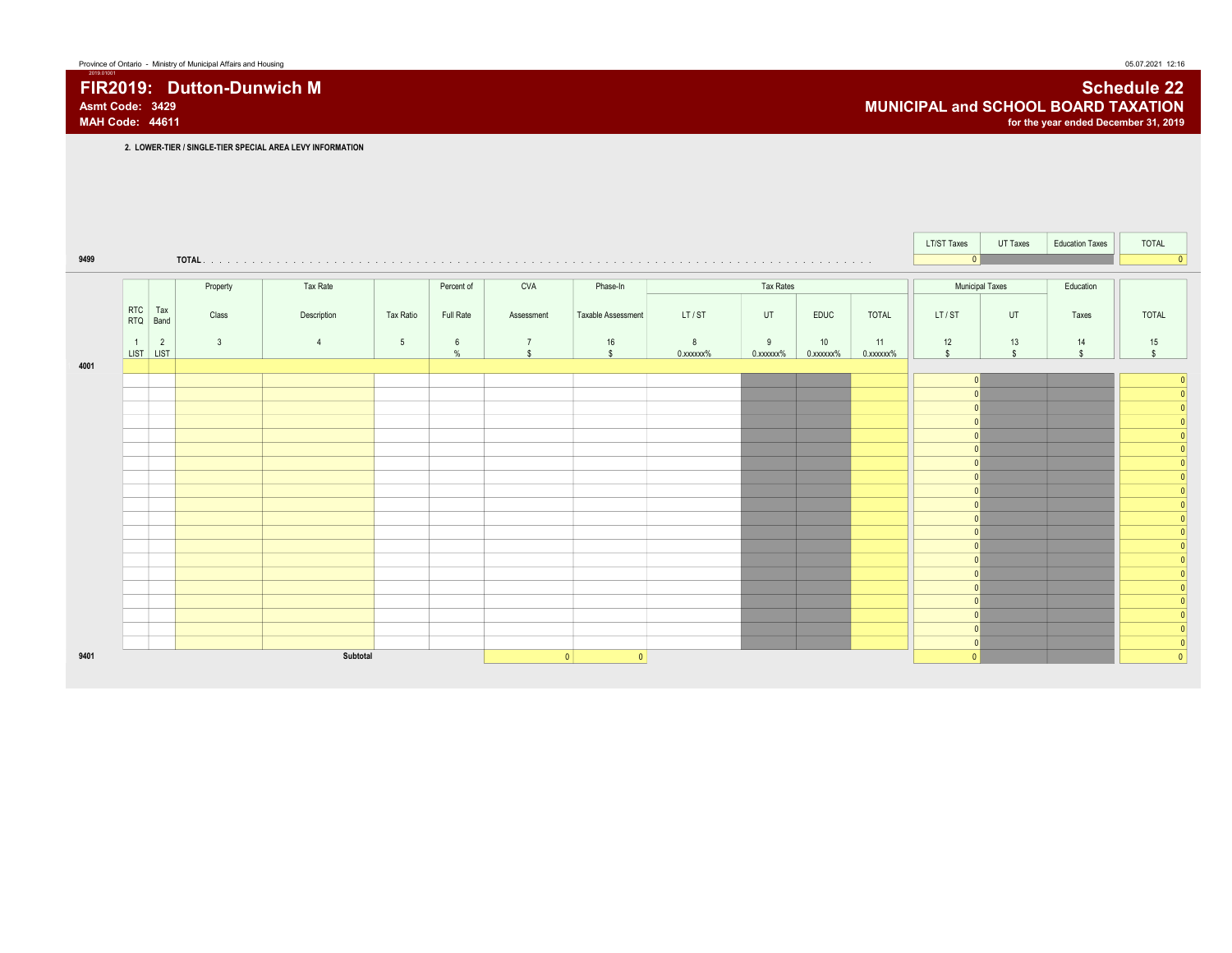FIR2019: Dutton-Dunwich M Schedule 22 Associated a control of the Schedule 22 Associated a control of the Schedule 22 Associated a control of the Schedule 22 Associated a control of the Schedule 22 Associated and SCHOOL BO Asmt Code: 3429 **MUNICIPAL and SCHOOL BOARD TAXATION**<br>MAH Code: 44611 **MUNICIPAL and SCHOOL BOARD TAXATION** for the year ended December 31, 2019

2. LOWER-TIER / SINGLE-TIER SPECIAL AREA LEVY INFORMATION

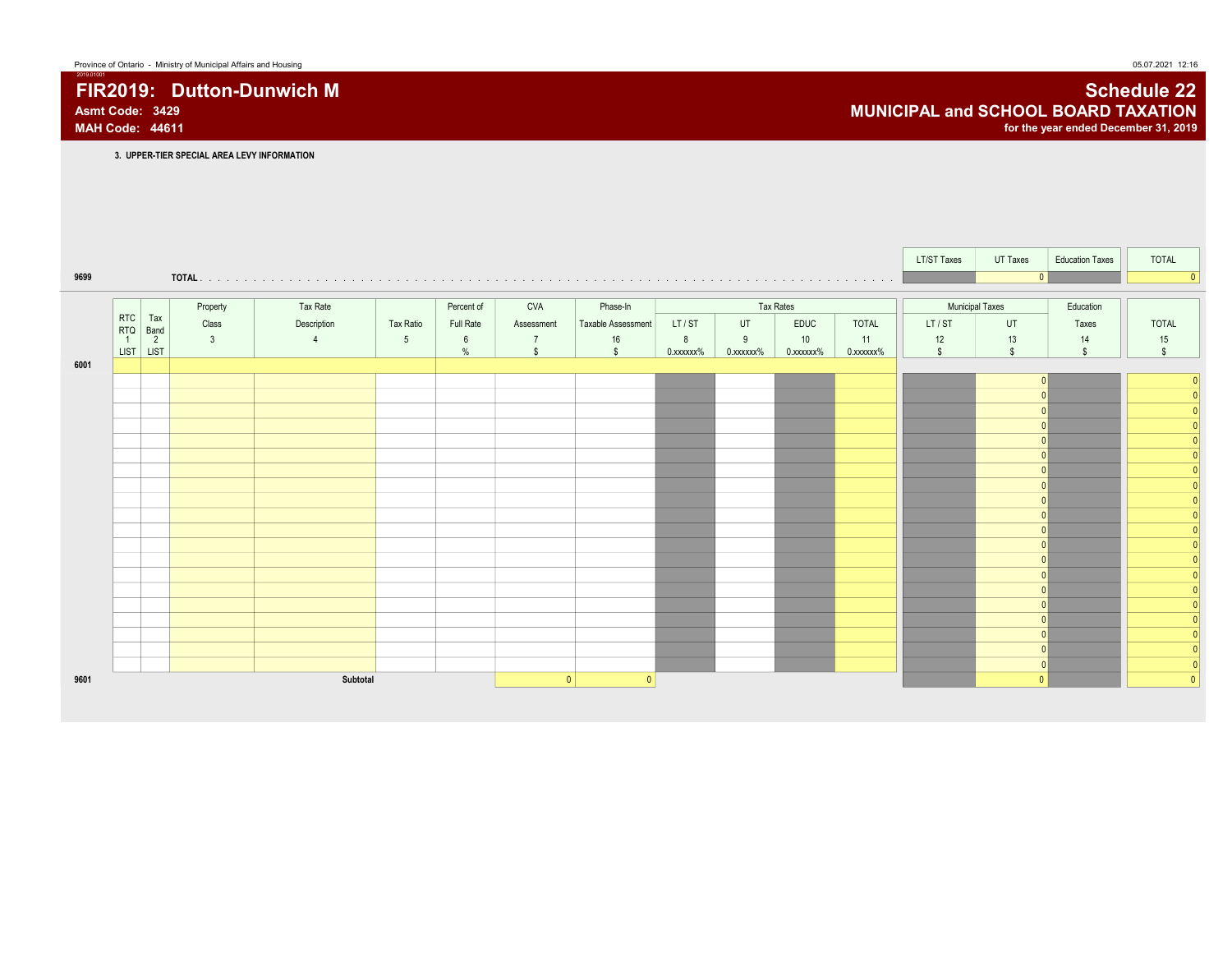### FIR2019: Dutton-Dunwich M Schedule 22<br>Asmt Code: 3429 Asmt Code: 3429 **MUNICIPAL and SCHOOL BOARD TAXATION** MAH Code: 44611 for the year ended December 31, 2019

3. UPPER-TIER SPECIAL AREA LEVY INFORMATION

|      |                                               |                |                |                 |                         |                                      |                    |                |                |                 |                 | LT/ST Taxes            | UT Taxes           | <b>Education Taxes</b>   | <b>TOTAL</b>       |
|------|-----------------------------------------------|----------------|----------------|-----------------|-------------------------|--------------------------------------|--------------------|----------------|----------------|-----------------|-----------------|------------------------|--------------------|--------------------------|--------------------|
| 9699 |                                               |                |                |                 |                         |                                      |                    |                |                |                 |                 |                        | $\mathbf{0}$       |                          | $\sqrt{ }$         |
|      |                                               | Property       | Tax Rate       |                 | Percent of              | <b>CVA</b>                           | Phase-In           |                |                | Tax Rates       |                 | <b>Municipal Taxes</b> |                    | Education                |                    |
|      | RTC<br>Tax<br><b>RTQ</b><br>Band              | Class          | Description    | Tax Ratio       | Full Rate               | Assessment                           | Taxable Assessment | LT/ST          | UT             | EDUC            | <b>TOTAL</b>    | LT/ST                  | UT                 | Taxes                    | <b>TOTAL</b>       |
|      | $\overline{2}$<br>$\overline{1}$<br>LIST LIST | $\overline{3}$ | $\overline{4}$ | $5\phantom{.0}$ | $6\overline{6}$<br>$\%$ | $\overline{7}$<br>$\mathbf{\hat{s}}$ | 16<br>$\mathbf{s}$ | 8<br>0.xxxxxx% | 9<br>0.xxxxxx% | 10<br>0.xxxxxx% | 11<br>0.xxxxxx% | 12<br>$\mathsf{s}$     | 13<br>$\mathbb{S}$ | 14<br>$\mathbf{\hat{s}}$ | 15<br>$\mathbb{S}$ |
| 6001 |                                               |                |                |                 |                         |                                      |                    |                |                |                 |                 |                        |                    |                          |                    |
|      |                                               |                |                |                 |                         |                                      |                    |                |                |                 |                 |                        |                    |                          |                    |
|      |                                               |                |                |                 |                         |                                      |                    |                |                |                 |                 |                        |                    |                          |                    |
|      |                                               |                |                |                 |                         |                                      |                    |                |                |                 |                 |                        |                    |                          |                    |
|      |                                               |                |                |                 |                         |                                      |                    |                |                |                 |                 |                        |                    |                          |                    |
|      |                                               |                |                |                 |                         |                                      |                    |                |                |                 |                 |                        |                    |                          |                    |
|      |                                               |                |                |                 |                         |                                      |                    |                |                |                 |                 |                        |                    |                          |                    |
|      |                                               |                |                |                 |                         |                                      |                    |                |                |                 |                 |                        |                    |                          |                    |
|      |                                               |                |                |                 |                         |                                      |                    |                |                |                 |                 |                        |                    |                          |                    |
|      |                                               |                |                |                 |                         |                                      |                    |                |                |                 |                 |                        |                    |                          |                    |
|      |                                               |                |                |                 |                         |                                      |                    |                |                |                 |                 |                        |                    |                          |                    |
|      |                                               |                |                |                 |                         |                                      |                    |                |                |                 |                 |                        |                    |                          |                    |
|      |                                               |                |                |                 |                         |                                      |                    |                |                |                 |                 |                        |                    |                          |                    |
|      |                                               |                |                |                 |                         |                                      |                    |                |                |                 |                 |                        |                    |                          |                    |
|      |                                               |                |                |                 |                         |                                      |                    |                |                |                 |                 |                        |                    |                          |                    |
|      |                                               |                |                |                 |                         |                                      |                    |                |                |                 |                 |                        |                    |                          |                    |
| 9601 |                                               |                | Subtotal       |                 |                         | $\mathbf{0}$                         | $\Omega$           |                |                |                 |                 |                        | $\Omega$           |                          |                    |
|      |                                               |                |                |                 |                         |                                      |                    |                |                |                 |                 |                        |                    |                          |                    |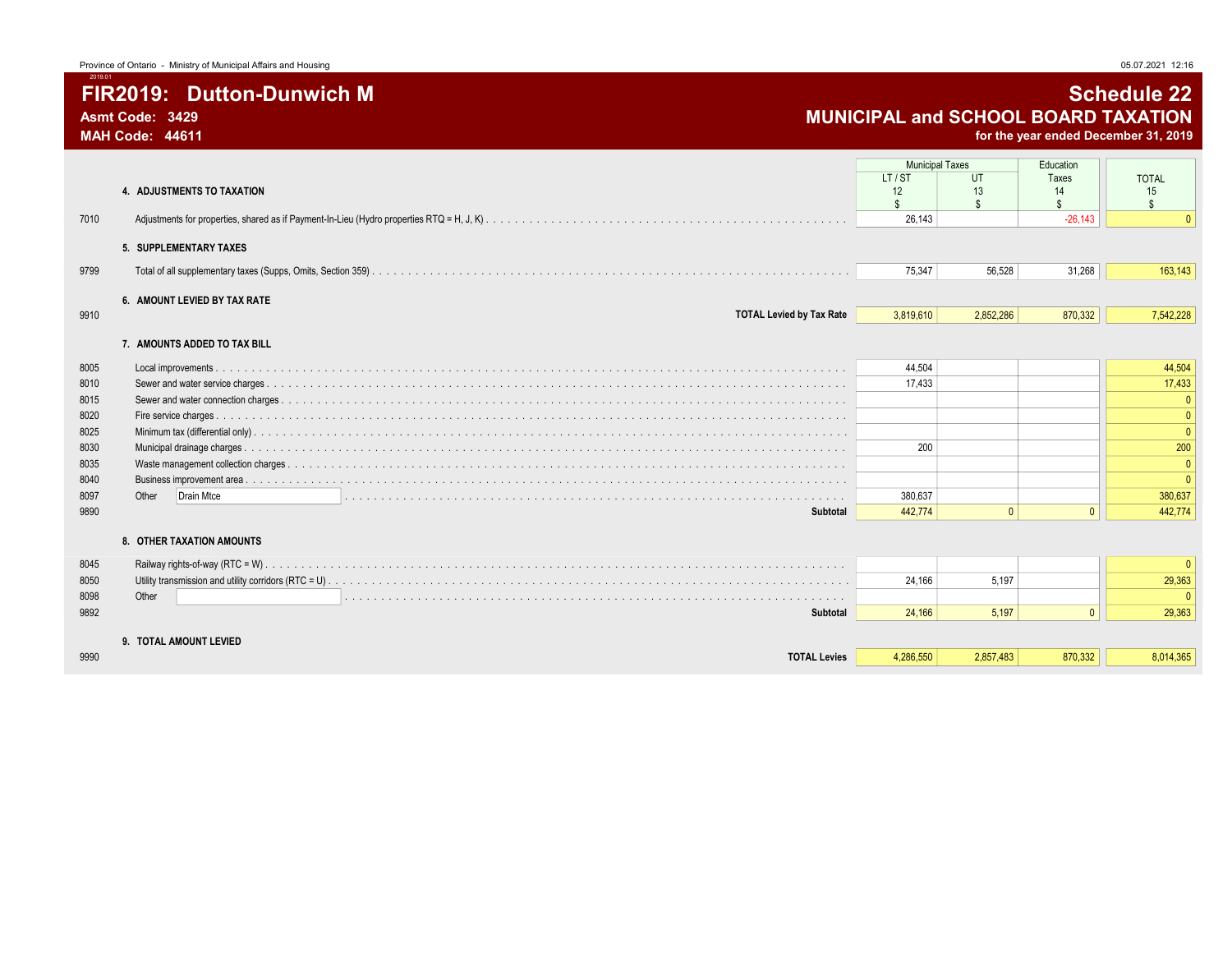for the year ended December 31, 2019

|      |                                               | <b>Municipal Taxes</b><br>LT/ST | UT             | Education<br>Taxes | <b>TOTAL</b>       |
|------|-----------------------------------------------|---------------------------------|----------------|--------------------|--------------------|
|      | 4. ADJUSTMENTS TO TAXATION                    | 12                              | 13             | 14                 | 15                 |
|      |                                               | $\hat{\mathbf{S}}$              | $\mathfrak{L}$ | \$                 | $\mathbf{\hat{s}}$ |
| 7010 |                                               | 26.143                          |                | $-26.143$          |                    |
|      | 5. SUPPLEMENTARY TAXES                        |                                 |                |                    |                    |
| 9799 |                                               | 75,347                          | 56,528         | 31,268             | 163,143            |
|      | 6. AMOUNT LEVIED BY TAX RATE                  |                                 |                |                    |                    |
| 9910 | <b>TOTAL Levied by Tax Rate</b>               | 3,819,610                       | 2,852,286      | 870,332            | 7,542,228          |
|      | 7. AMOUNTS ADDED TO TAX BILL                  |                                 |                |                    |                    |
| 8005 |                                               | 44,504                          |                |                    | 44,504             |
| 8010 |                                               | 17.433                          |                |                    | 17,433             |
| 8015 |                                               |                                 |                |                    | $\Omega$           |
| 8020 |                                               |                                 |                |                    | $\Omega$           |
| 8025 |                                               |                                 |                |                    | $\Omega$           |
| 8030 |                                               | 200                             |                |                    | 200                |
| 8035 |                                               |                                 |                |                    | $\Omega$           |
| 8040 |                                               |                                 |                |                    | $\Omega$           |
| 8097 | Drain Mtce<br>Other                           | 380.637                         |                |                    | 380,637            |
| 9890 | Subtotal                                      | 442,774                         | $\mathbf{0}$   | $\Omega$           | 442,774            |
|      | 8. OTHER TAXATION AMOUNTS                     |                                 |                |                    |                    |
| 8045 | Railway rights-of-way (RTC = W).              |                                 |                |                    | $\mathbf{0}$       |
| 8050 |                                               | 24,166                          | 5,197          |                    | 29,363             |
| 8098 | Other                                         |                                 |                |                    | $\Omega$           |
| 9892 | Subtotal                                      | 24.166                          | 5.197          | $\Omega$           | 29,363             |
|      |                                               |                                 |                |                    |                    |
| 9990 | 9. TOTAL AMOUNT LEVIED<br><b>TOTAL Levies</b> | 4.286.550                       | 2,857,483      | 870,332            | 8,014,365          |
|      |                                               |                                 |                |                    |                    |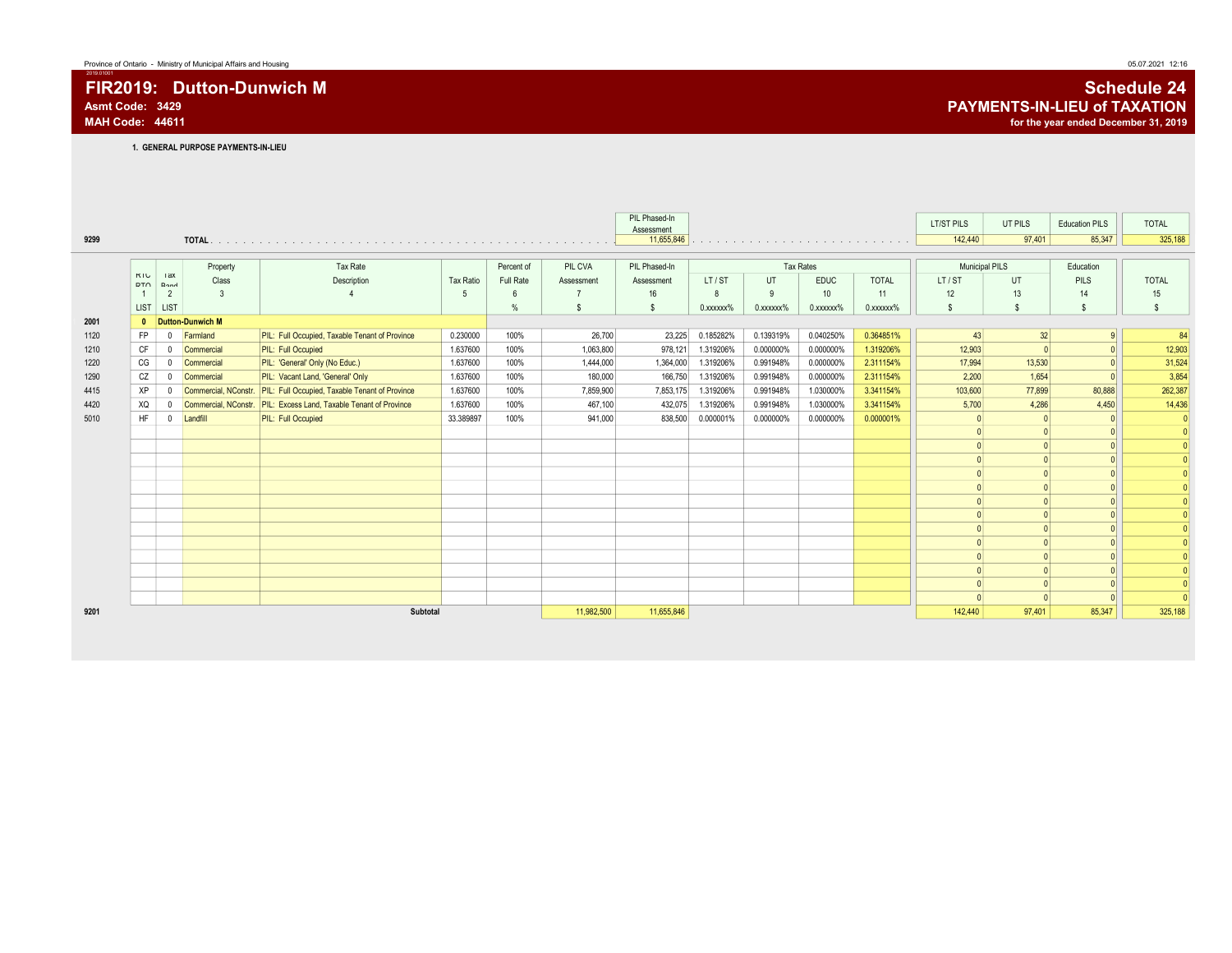# FIR2019: Dutton-Dunwich M Schedule 24<br>Asmt Code: 3429 PAYMENTS-IN-LIEU of TAXATION Asmt Code: 3429 **PAYMENTS-IN-LIEU of TAXATION**<br>MAH Code: 44611 for the year ended December 31, 2019

1. GENERAL PURPOSE PAYMENTS-IN-LIEU

|      |                   |                 |                      |                                                                       |                  |            |            | PIL Phased-In<br>Assessment |                 |                 |                  |              | LT/ST PILS     | UT PILS | <b>Education PILS</b> | <b>TOTAL</b> |
|------|-------------------|-----------------|----------------------|-----------------------------------------------------------------------|------------------|------------|------------|-----------------------------|-----------------|-----------------|------------------|--------------|----------------|---------|-----------------------|--------------|
| 9299 |                   |                 |                      |                                                                       |                  |            |            | 11,655,846                  |                 |                 |                  |              | 142,440        | 97,401  | 85,347                | 325,188      |
|      |                   |                 |                      |                                                                       |                  |            |            |                             |                 |                 |                  |              |                |         |                       |              |
|      |                   |                 | Property             | Tax Rate                                                              |                  | Percent of | PIL CVA    | PIL Phased-In               |                 |                 | <b>Tax Rates</b> |              | Municipal PILS |         | Education             |              |
|      | KIU<br><b>DTO</b> | <b>Tax</b><br>D | Class                | Description                                                           | <b>Tax Ratio</b> | Full Rate  | Assessment | Assessment                  | LT/ST           | UT              | <b>EDUC</b>      | <b>TOTAL</b> | LT/ST          | UT.     | PILS                  | <b>TOTAL</b> |
|      |                   | $\overline{2}$  | 3                    |                                                                       | -5               | 6          | -7         | 16                          | 8               | 9               | 10               | 11           | 12             | 13      | 14                    | 15           |
|      | LIST              | <b>LIST</b>     |                      |                                                                       |                  | %          | <b>S</b>   | -S                          | $0.$ xxxxxx $%$ | $0.$ xxxxxx $%$ | $0.$ xxxxxx $%$  | 0.xxxxxx%    | s              | \$      | s                     | \$           |
| 2001 | $\mathbf{0}$      |                 | Dutton-Dunwich M     |                                                                       |                  |            |            |                             |                 |                 |                  |              |                |         |                       |              |
| 1120 | FP                | $\mathbf{0}$    | Farmland             | PIL: Full Occupied, Taxable Tenant of Province                        | 0.230000         | 100%       | 26,700     | 23,225                      | 0.185282%       | 0.139319%       | 0.040250%        | 0.364851%    | 43             | 32      |                       | 84           |
| 1210 | CF                | $\mathbf{0}$    | Commercial           | <b>PIL: Full Occupied</b>                                             | 1.637600         | 100%       | 1,063,800  | 978,121                     | 1.319206%       | 0.000000%       | 0.000000%        | 1.319206%    | 12,903         |         |                       | 12,903       |
| 1220 | CG                | $\mathbf{0}$    | Commercial           | PIL: 'General' Only (No Educ.)                                        | 1.637600         | 100%       | 1,444,000  | 1,364,000                   | 1.319206%       | 0.991948%       | 0.000000%        | 2.311154%    | 17,994         | 13,530  |                       | 31,524       |
| 1290 | CZ                | 0               | Commercial           | PIL: Vacant Land, 'General' Only                                      | 1.637600         | 100%       | 180,000    | 166,750                     | 1.319206%       | 0.991948%       | 0.000000%        | 2.311154%    | 2,200          | 1,654   |                       | 3,854        |
| 4415 | XP                | $\mathbf 0$     |                      | Commercial, NConstr.   PIL: Full Occupied, Taxable Tenant of Province | 1.637600         | 100%       | 7,859,900  | 7,853,175                   | 1.319206%       | 0.991948%       | 1.030000%        | 3.341154%    | 103,600        | 77,899  | 80,888                | 262,387      |
| 4420 | XQ                | $^{\circ}$      | Commercial, NConstr. | PIL: Excess Land, Taxable Tenant of Province                          | 1.637600         | 100%       | 467,100    | 432,075                     | 1.319206%       | 0.991948%       | 1.030000%        | 3.341154%    | 5,700          | 4,286   | 4,450                 | 14,436       |
| 5010 | <b>HF</b>         | $^{\circ}$      | Landfill             | PIL: Full Occupied                                                    | 33.389897        | 100%       | 941.000    | 838,500                     | 0.000001%       | 0.000000%       | 0.000000%        | 0.000001%    | $\Omega$       |         | $\Omega$              | $\Omega$     |
|      |                   |                 |                      |                                                                       |                  |            |            |                             |                 |                 |                  |              | $\Omega$       |         | $\Omega$              |              |
|      |                   |                 |                      |                                                                       |                  |            |            |                             |                 |                 |                  |              |                |         | $\Omega$              |              |
|      |                   |                 |                      |                                                                       |                  |            |            |                             |                 |                 |                  |              | $\Omega$       |         | $\Omega$              |              |
|      |                   |                 |                      |                                                                       |                  |            |            |                             |                 |                 |                  |              |                |         |                       |              |
|      |                   |                 |                      |                                                                       |                  |            |            |                             |                 |                 |                  |              | $\Omega$       |         | $\Omega$              |              |
|      |                   |                 |                      |                                                                       |                  |            |            |                             |                 |                 |                  |              | $\Omega$       |         |                       |              |
|      |                   |                 |                      |                                                                       |                  |            |            |                             |                 |                 |                  |              |                |         |                       |              |
|      |                   |                 |                      |                                                                       |                  |            |            |                             |                 |                 |                  |              |                |         |                       |              |
|      |                   |                 |                      |                                                                       |                  |            |            |                             |                 |                 |                  |              |                |         |                       |              |
|      |                   |                 |                      |                                                                       |                  |            |            |                             |                 |                 |                  |              | $\sqrt{ }$     |         | $\Omega$              |              |
|      |                   |                 |                      |                                                                       |                  |            |            |                             |                 |                 |                  |              |                |         |                       |              |
|      |                   |                 |                      |                                                                       |                  |            |            |                             |                 |                 |                  |              |                |         |                       |              |
|      |                   |                 |                      |                                                                       |                  |            |            |                             |                 |                 |                  |              |                |         |                       |              |
| 9201 |                   |                 |                      | Subtotal                                                              |                  |            | 11,982,500 | 11,655,846                  |                 |                 |                  |              | 142,440        | 97,401  | 85,347                | 325,188      |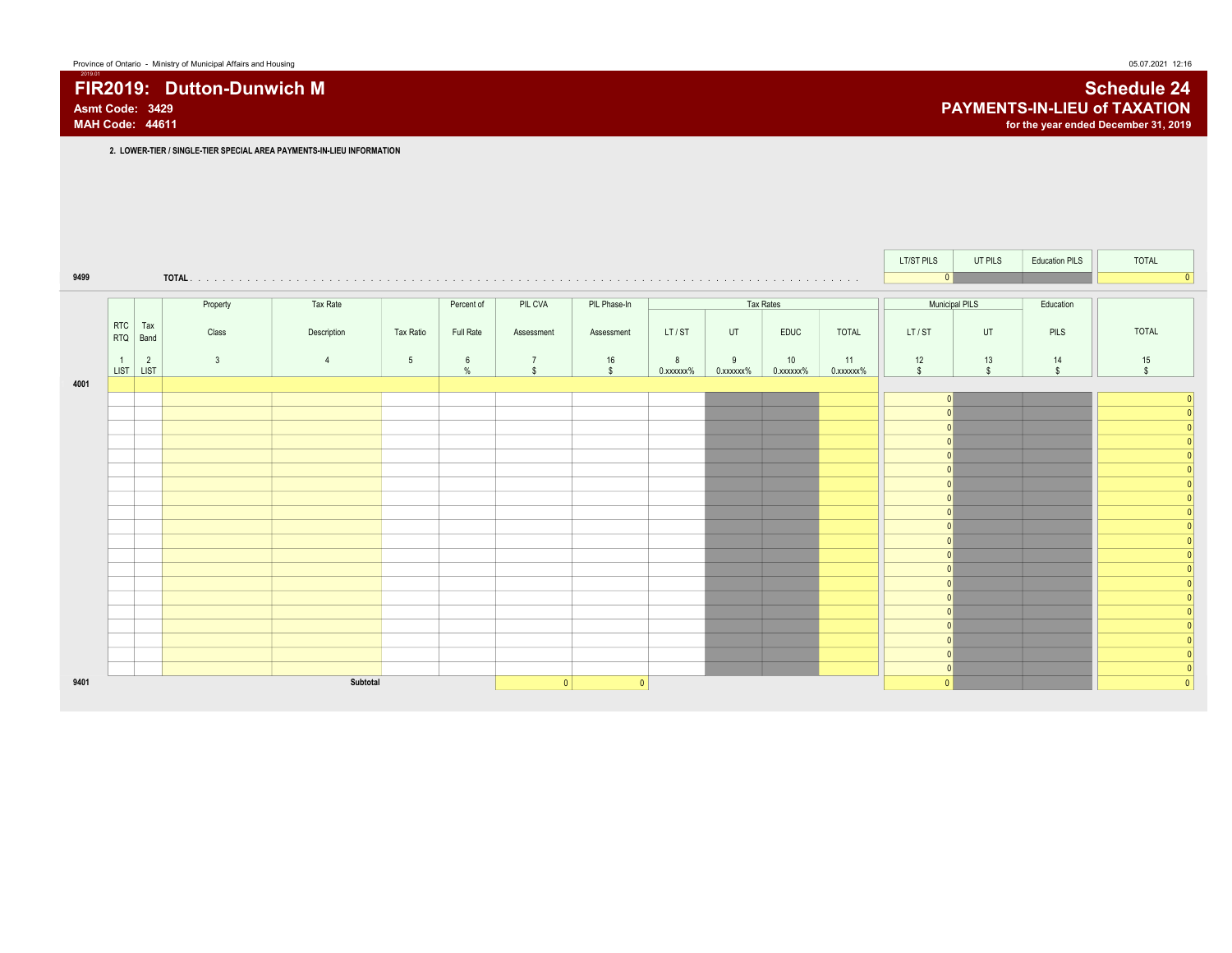# FIR2019: Dutton-Dunwich M Schedule 24<br>Asmt Code: 3429 PAYMENTS-IN-LIEU of TAXATION

|      |                             |                |              |                |                 |                         |                                |                        |                |                |                 |                 | LT/ST PILS         | UT PILS            | <b>Education PILS</b> | <b>TOTAL</b>       |
|------|-----------------------------|----------------|--------------|----------------|-----------------|-------------------------|--------------------------------|------------------------|----------------|----------------|-----------------|-----------------|--------------------|--------------------|-----------------------|--------------------|
| 9499 |                             |                |              |                |                 |                         |                                |                        |                |                |                 |                 | 0                  |                    |                       |                    |
|      |                             |                | Property     | Tax Rate       |                 | Percent of              | PIL CVA                        | PIL Phase-In           |                |                | Tax Rates       |                 | Municipal PILS     |                    | Education             |                    |
|      |                             |                |              |                |                 |                         |                                |                        |                |                |                 |                 |                    |                    |                       |                    |
|      | <b>RTC</b><br><b>RTQ</b>    | Tax<br>Band    | Class        | Description    | Tax Ratio       | Full Rate               | Assessment                     | Assessment             | LT/ST          | UT             | EDUC            | <b>TOTAL</b>    | LT/ST              | UT                 | PILS                  | <b>TOTAL</b>       |
|      | $\overline{1}$<br>LIST LIST | $\overline{2}$ | $\mathbf{3}$ | $\overline{4}$ | $5\overline{)}$ | $6\phantom{.}6$<br>$\%$ | $\overline{7}$<br>$\mathbf{s}$ | $16\,$<br>$\mathbf{s}$ | 8<br>0.xxxxxx% | 9<br>0.xxxxxx% | 10<br>0.xxxxxx% | 11<br>0.xxxxxx% | 12<br>$\mathbb{S}$ | 13<br>$\mathbb{S}$ | 14<br>$\mathsf{s}$    | 15<br>$\mathbf{s}$ |
| 4001 |                             |                |              |                |                 |                         |                                |                        |                |                |                 |                 |                    |                    |                       |                    |
|      |                             |                |              |                |                 |                         |                                |                        |                |                |                 |                 |                    |                    |                       |                    |
|      |                             |                |              |                |                 |                         |                                |                        |                |                |                 |                 |                    |                    |                       |                    |
|      |                             |                |              |                |                 |                         |                                |                        |                |                |                 |                 |                    |                    |                       |                    |
|      |                             |                |              |                |                 |                         |                                |                        |                |                |                 |                 |                    |                    |                       |                    |
|      |                             |                |              |                |                 |                         |                                |                        |                |                |                 |                 |                    |                    |                       |                    |
|      |                             |                |              |                |                 |                         |                                |                        |                |                |                 |                 |                    |                    |                       |                    |
|      |                             |                |              |                |                 |                         |                                |                        |                |                |                 |                 |                    |                    |                       |                    |
|      |                             |                |              |                |                 |                         |                                |                        |                |                |                 |                 |                    |                    |                       |                    |
|      |                             |                |              |                |                 |                         |                                |                        |                |                |                 |                 |                    |                    |                       |                    |
|      |                             |                |              |                |                 |                         |                                |                        |                |                |                 |                 |                    |                    |                       |                    |
|      |                             |                |              |                |                 |                         |                                |                        |                |                |                 |                 |                    |                    |                       |                    |
|      |                             |                |              |                |                 |                         |                                |                        |                |                |                 |                 |                    |                    |                       |                    |
|      |                             |                |              |                |                 |                         |                                |                        |                |                |                 |                 |                    |                    |                       |                    |
|      |                             |                |              |                |                 |                         |                                |                        |                |                |                 |                 |                    |                    |                       |                    |
|      |                             |                |              |                |                 |                         |                                |                        |                |                |                 |                 |                    |                    |                       |                    |
|      |                             |                |              |                |                 |                         |                                |                        |                |                |                 |                 |                    |                    |                       |                    |
| 9401 |                             |                |              | Subtotal       |                 |                         | $\overline{0}$                 | $\mathbf{0}$           |                |                |                 |                 | $\mathbf{0}$       |                    |                       |                    |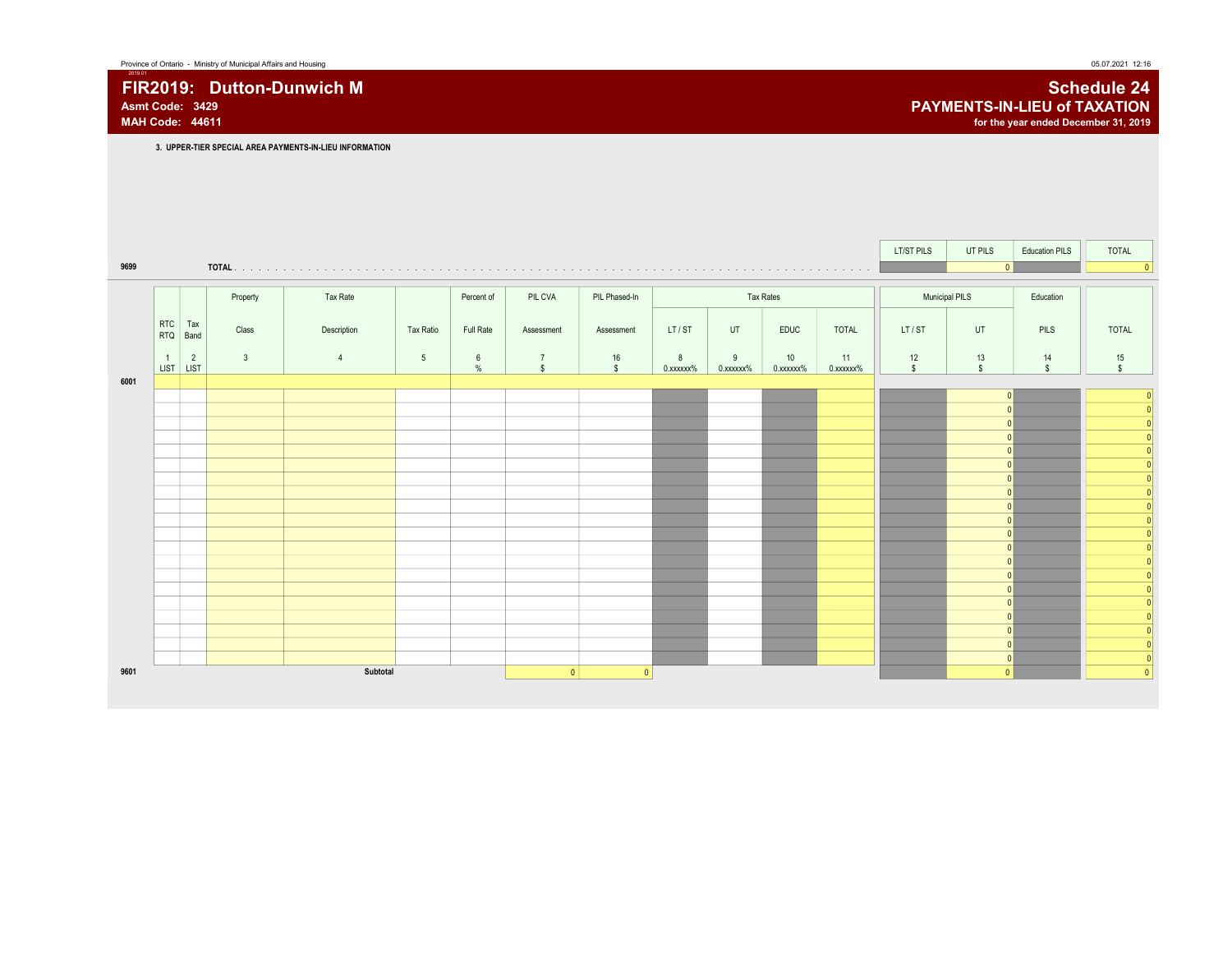3. UPPER-TIER SPECIAL AREA PAYMENTS-IN-LIEU INFORMATION LT/ST PILS UT PILS Education PILS TOTAL 9699 TOTAL . . . . . . . . . . . . . . . . . . . . . . . . . . . . . . . . . . . . . . . . . . . . . . . . . . . . . . . . . . . . . . . . . . . . . . . . . . . . . . . . . . 0 0 Property Rate Percent of PIL CVA PIL Phased-In Tax Rates Tax Rates Nunicipal PILS Education RTC Tax RTQ Band <sup>Tax</sup> Class | Description | Tax Ratio | Full Rate | Assessment | Assessment | LT/ST | UT | EDUC | TOTAL || LT/ST | UT | PILS || TOTAL 1 2 3 4 5 6 7 16 8 9 10 11 1 12 13 14 15 LIST LIST % \$ \$ 0.xxxxxx% 0.xxxxxx% 0.xxxxxx% 0.xxxxxx% \$ \$ \$ \$ 1 6001 0 0 0 0 0 0 0 0 0 0 0 0 0 0 0 0 0 0 0 0 0 0 0 0 0 0  $\overline{0}$  $\boxed{0}$ 0 0 0 0 0 0 0 0  $\boxed{0}$ 9601 Subtotal 0 0 0 0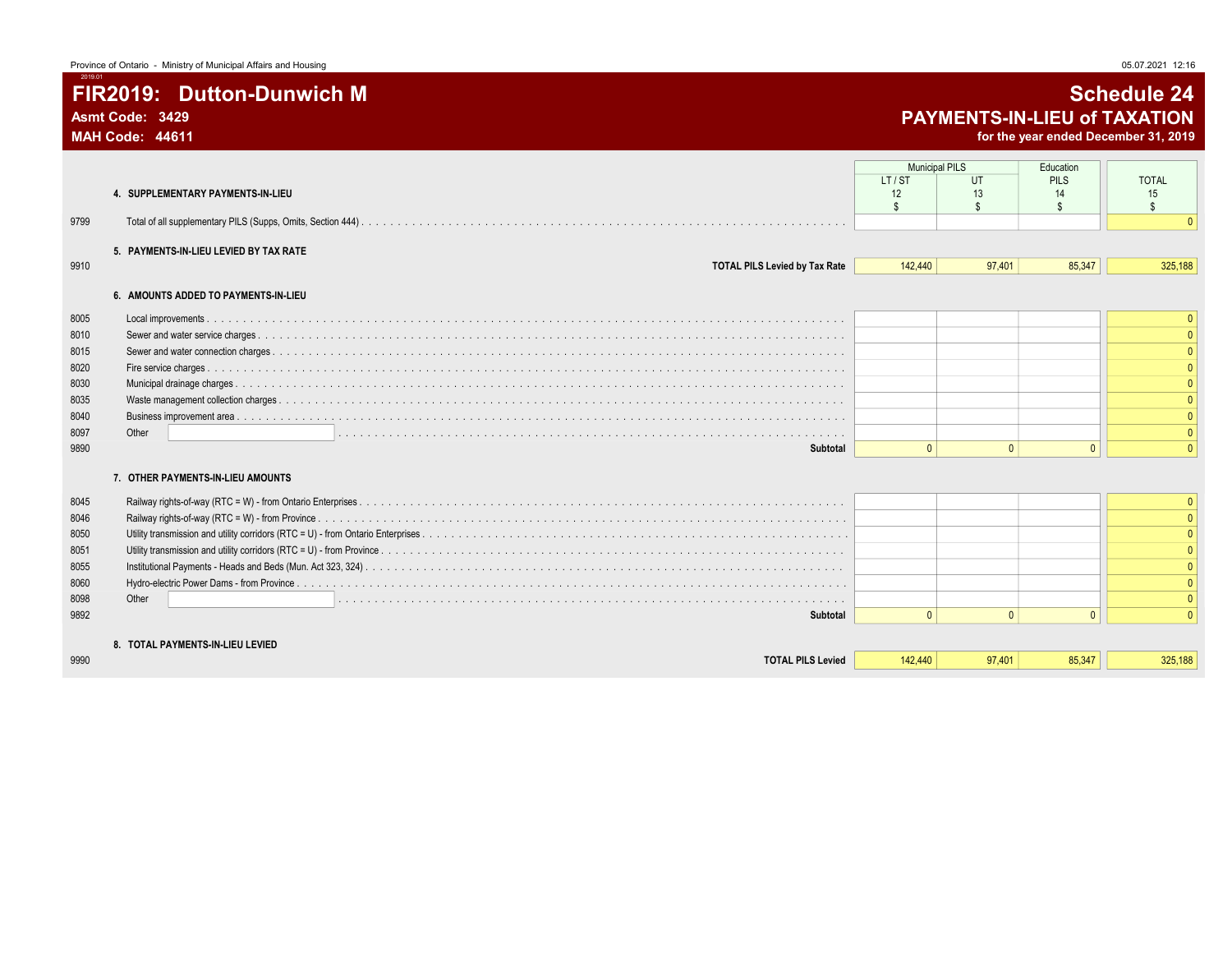# FIR2019: Dutton-Dunwich M Schedule 24 Asmt Code: 3429 **PAYMENTS-IN-LIEU of TAXATION**<br>MAH Code: 44611 **PAYMENTS-IN-LIEU of TAXATION**

for the year ended December 31, 2019

|      | 4. SUPPLEMENTARY PAYMENTS-IN-LIEU      | <b>Municipal PILS</b><br>LT/ST<br>12<br>\$ | UT<br>13<br>$\mathfrak{L}$ | Education<br><b>PILS</b><br>14<br>$\mathbb{S}$ | <b>TOTAL</b><br>15<br>\$ |
|------|----------------------------------------|--------------------------------------------|----------------------------|------------------------------------------------|--------------------------|
| 9799 |                                        |                                            |                            |                                                |                          |
|      | 5. PAYMENTS-IN-LIEU LEVIED BY TAX RATE |                                            |                            |                                                |                          |
| 9910 | <b>TOTAL PILS Levied by Tax Rate</b>   | 142,440                                    | 97.401                     | 85,347                                         | 325,188                  |
|      | 6. AMOUNTS ADDED TO PAYMENTS-IN-LIEU   |                                            |                            |                                                |                          |
| 8005 |                                        |                                            |                            |                                                | $\Omega$                 |
| 8010 |                                        |                                            |                            |                                                |                          |
| 8015 |                                        |                                            |                            |                                                |                          |
| 8020 |                                        |                                            |                            |                                                |                          |
| 8030 |                                        |                                            |                            |                                                |                          |
| 8035 |                                        |                                            |                            |                                                |                          |
| 8040 |                                        |                                            |                            |                                                |                          |
| 8097 | Other                                  |                                            |                            |                                                |                          |
| 9890 | Subtotal                               | $\Omega$                                   | $\mathbf{0}$               | $\Omega$                                       | $\mathbf{0}$             |
|      | 7. OTHER PAYMENTS-IN-LIEU AMOUNTS      |                                            |                            |                                                |                          |
| 8045 |                                        |                                            |                            |                                                | $\Omega$                 |
| 8046 |                                        |                                            |                            |                                                |                          |
| 8050 |                                        |                                            |                            |                                                |                          |
| 8051 |                                        |                                            |                            |                                                |                          |
| 8055 |                                        |                                            |                            |                                                |                          |
| 8060 |                                        |                                            |                            |                                                |                          |
| 8098 | Other                                  |                                            |                            |                                                |                          |
| 9892 | Subtotal                               | $\Omega$                                   | $\mathbf{0}$               | $\Omega$                                       | $\Omega$                 |
|      | 8. TOTAL PAYMENTS-IN-LIEU LEVIED       |                                            |                            |                                                |                          |
| 9990 | <b>TOTAL PILS Levied</b>               | 142,440                                    | 97.401                     | 85.347                                         | 325,188                  |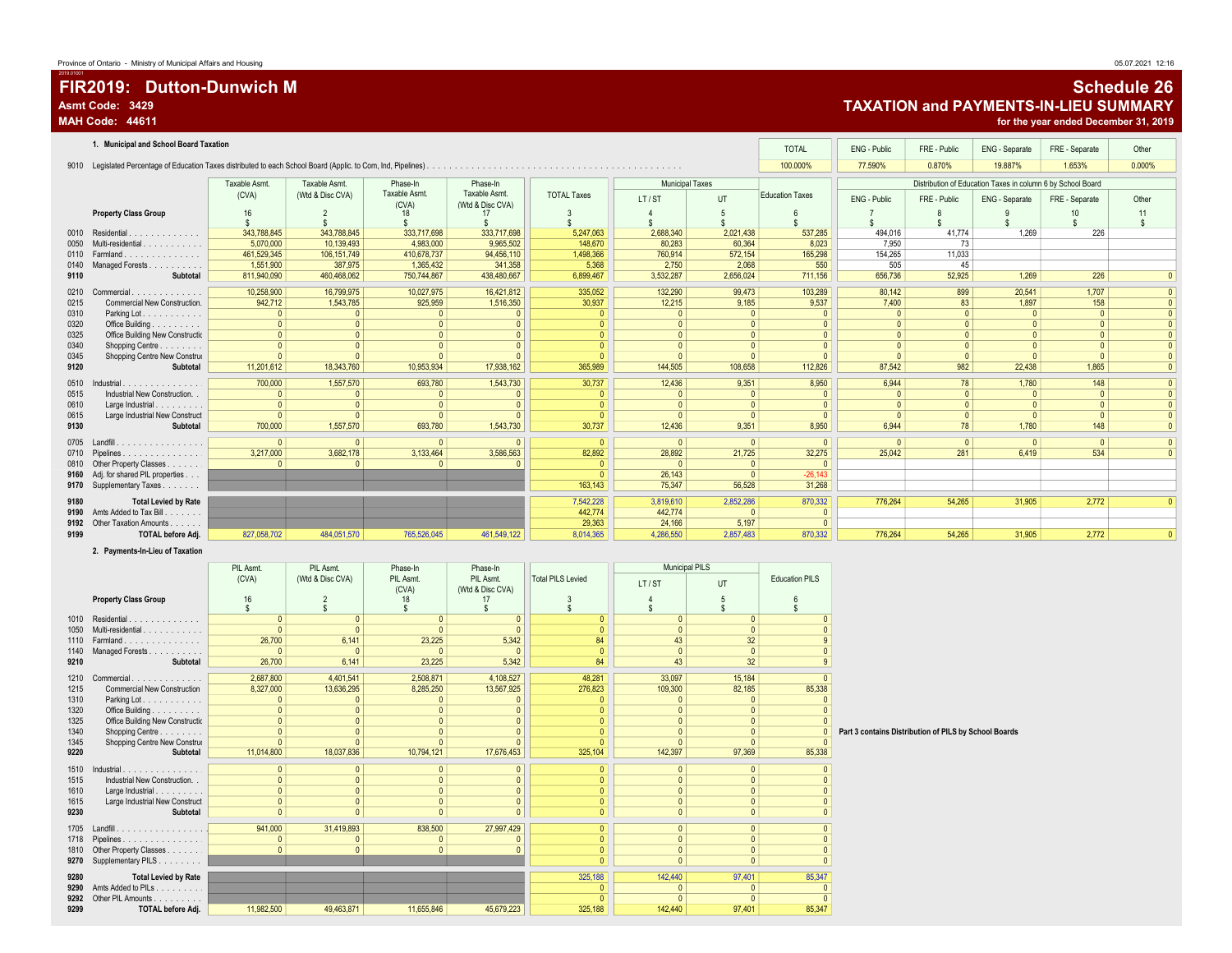# FIR2019: Dutton-Dunwich M Schedule 26 Asmt Code: 3429 **Asmt Code: 3429** TAXATION and PAYMENTS-IN-LIEU SUMMARY<br>MAH Code: 44611 **TAXATION and PAYMENTS-IN-LIEU SUMMARY**

for the year ended December 31, 2019

|      | 1. Municipal and School Board Taxation |               |                  |                        |                                   |                    |                        |              | <b>TOTAL</b>           | ENG - Public | FRE - Public | ENG - Separate                                              | FRE - Separate | Other        |
|------|----------------------------------------|---------------|------------------|------------------------|-----------------------------------|--------------------|------------------------|--------------|------------------------|--------------|--------------|-------------------------------------------------------------|----------------|--------------|
|      |                                        |               |                  |                        |                                   |                    |                        |              | 100.000%               | 77.590%      | 0.870%       | 19.887%                                                     | 1.653%         | 0.000%       |
|      |                                        | Taxable Asmt. | Taxable Asmt.    | Phase-In               | Phase-In                          |                    | <b>Municipal Taxes</b> |              |                        |              |              | Distribution of Education Taxes in column 6 by School Board |                |              |
|      |                                        | (CVA)         | (Wtd & Disc CVA) | Taxable Asmt.<br>(CVA) | Taxable Asmt.<br>(Wtd & Disc CVA) | <b>TOTAL Taxes</b> | LT/ST                  | UT           | <b>Education Taxes</b> | ENG - Public | FRE - Public | ENG - Separate                                              | FRE - Separate | Other        |
|      | <b>Property Class Group</b>            | 16            |                  | 18                     | 17                                | 3                  |                        |              |                        |              |              |                                                             |                | 11           |
|      |                                        |               |                  |                        |                                   |                    |                        |              |                        |              |              |                                                             |                | $\mathbf{s}$ |
|      | 0010 Residential.<br>.                 | 343,788,845   | 343,788,845      | 333,717,698            | 333.717.698                       | 5,247,063          | 2,688,340              | 2,021,438    | 537,285                | 494.016      | 41.774       | 1.269                                                       | 226            |              |
| 0050 | Multi-residential                      | 5,070,000     | 10,139,493       | 4,983,000              | 9,965,502                         | 148,670            | 80,283                 | 60,364       | 8,023                  | 7,950        | 73           |                                                             |                |              |
|      | 0110 Farmland<br>.                     | 461,529,345   | 106, 151, 749    | 410,678,737            | 94,456,110                        | 1,498,366          | 760,914                | 572,154      | 165,298                | 154,265      | 11,033       |                                                             |                |              |
| 0140 | Managed Forests                        | 1,551,900     | 387,975          | 1.365.432              | 341.358                           | 5,368              | 2.750                  | 2.068        | 550                    | 505          | 45           |                                                             |                |              |
| 9110 | Subtotal                               | 811,940,090   | 460,468,062      | 750,744,867            | 438,480,667                       | 6,899,467          | 3,532,287              | 2,656,024    | 711,156                | 656,736      | 52,925       | 1.269                                                       | 226            | $\Omega$     |
| 0210 | Commercial.<br>.                       | 10,258,900    | 16,799,975       | 10,027,975             | 16,421,812                        | 335,052            | 132,290                | 99,473       | 103,289                | 80,142       | 899          | 20,541                                                      | 1,707          |              |
| 0215 | Commercial New Construction.           | 942,712       | 1,543,785        | 925,959                | 1,516,350                         | 30,937             | 12,215                 | 9,185        | 9,537                  | 7,400        | 83           | 1,897                                                       | 158            |              |
| 0310 | Parking Lot.                           | $\Omega$      |                  |                        |                                   | $\Omega$           |                        | $\Omega$     | $\Omega$               | $\mathbf{0}$ |              | $\Omega$                                                    |                |              |
| 0320 | Office Building                        | $\mathbf{0}$  |                  | $\Omega$               |                                   | $\Omega$           |                        | $\mathbf{0}$ |                        | $\Omega$     |              |                                                             |                |              |
| 0325 | Office Building New Constructio        | $\mathbf{0}$  |                  |                        |                                   | $\mathbf{0}$       | $\Omega$               | $\mathbf{0}$ |                        | $\Omega$     |              |                                                             | $\mathbf{0}$   |              |
| 0340 | Shopping Centre<br>.                   | $\mathbf{0}$  |                  |                        |                                   | $\mathbf{0}$       | $\Omega$               | $\mathbf{0}$ | $\Omega$               | $\Omega$     |              |                                                             | $\Omega$       |              |
| 0345 | Shopping Centre New Construe           | $\Omega$      |                  |                        |                                   | $\Omega$           | $\Omega$               | $\Omega$     | $\Omega$               | $\Omega$     | $\Omega$     |                                                             | $\Omega$       |              |
| 9120 | Subtotal                               | 11,201,612    | 18,343,760       | 10,953,934             | 17,938,162                        | 365,989            | 144,505                | 108,658      | 112,826                | 87,542       | 982          | 22.438                                                      | 1,865          |              |
| 0510 | Industrial<br>.                        | 700,000       | 1,557,570        | 693,780                | 1,543,730                         | 30,737             | 12,436                 | 9,351        | 8,950                  | 6,944        | 78           | 1,780                                                       | 148            |              |
| 0515 | Industrial New Construction.           | $\Omega$      |                  | $\Omega$               |                                   | $\Omega$           | $\Omega$               | $\Omega$     | $\Omega$               | $\Omega$     | $\Omega$     | $\Omega$                                                    |                |              |
| 0610 | Large Industrial<br>.                  | $\Omega$      |                  |                        |                                   | $\mathbf{0}$       | $\Omega$               | $\mathbf{0}$ |                        | $\mathbf{0}$ |              |                                                             | $\mathbf{0}$   |              |
| 0615 | Large Industrial New Construct         | $\Omega$      |                  |                        |                                   |                    |                        | $\Omega$     |                        | $\Omega$     |              |                                                             | $\overline{a}$ |              |
| 9130 | Subtotal                               | 700,000       | 1,557,570        | 693,780                | 1,543,730                         | 30,737             | 12,436                 | 9,351        | 8,950                  | 6.944        | 78           | 1.780                                                       | 148            | $\Omega$     |
| 0705 | Landfill<br>.                          | $\Omega$      | $\Omega$         | $\Omega$               |                                   | $\Omega$           | $\Omega$               | $\Omega$     | $\Omega$               | $\Omega$     | $\Omega$     | $\Omega$                                                    | $\Omega$       | $\Omega$     |
| 0710 | Pipelines                              | 3,217,000     | 3,682,178        | 3,133,464              | 3,586,563                         | 82,892             | 28,892                 | 21,725       | 32,275                 | 25,042       | 281          | 6.419                                                       | 534            | $\Omega$     |
|      | 0810 Other Property Classes            | $\Omega$      |                  |                        |                                   | $\Omega$           |                        | $\Omega$     | $\Omega$               |              |              |                                                             |                |              |
|      | 9160 Adj. for shared PIL properties    |               |                  |                        |                                   |                    | 26,143                 |              | $-26,143$              |              |              |                                                             |                |              |
|      | 9170 Supplementary Taxes               |               |                  |                        |                                   | 163,143            | 75,347                 | 56,528       | 31,268                 |              |              |                                                             |                |              |
| 9180 | <b>Total Levied by Rate</b>            |               |                  |                        |                                   | 7,542,228          | 3.819.610              | 2.852.286    | 870.332                | 776.264      | 54.265       | 31,905                                                      | 2.772          | $\mathbf{0}$ |
|      | 9190 Amts Added to Tax Bill.           |               |                  |                        |                                   | 442,774            | 442,774                | $\Omega$     | $\Omega$               |              |              |                                                             |                |              |
|      | 9192 Other Taxation Amounts            |               |                  |                        |                                   | 29,363             | 24,166                 | 5,197        |                        |              |              |                                                             |                |              |
| 9199 | <b>TOTAL before Adj.</b>               | 827,058,702   | 484,051,570      | 765,526,045            | 461,549,122                       | 8,014,365          | 4,286,550              | 2,857,483    | 870,332                | 776,264      | 54,265       | 31,905                                                      | 2,772          | $\Omega$     |
|      |                                        |               |                  |                        |                                   |                    |                        |              |                        |              |              |                                                             |                |              |

#### 2. Payments-In-Lieu of Taxation

|      |                                    | PIL Asmt.          | PIL Asmt.        | Phase-In           | Phase-In                      |                          |                | <b>Municipal PILS</b> |                       |                                                       |
|------|------------------------------------|--------------------|------------------|--------------------|-------------------------------|--------------------------|----------------|-----------------------|-----------------------|-------------------------------------------------------|
|      |                                    | (CVA)              | (Wtd & Disc CVA) | PIL Asmt.<br>(CVA) | PIL Asmt.<br>(Wtd & Disc CVA) | <b>Total PILS Levied</b> | LT/ST          | UT                    | <b>Education PILS</b> |                                                       |
|      | <b>Property Class Group</b>        | 16                 |                  | 18                 |                               |                          |                |                       |                       |                                                       |
|      |                                    | $\mathbf{\hat{S}}$ |                  |                    |                               |                          |                |                       |                       |                                                       |
|      | 1010 Residential                   |                    |                  |                    |                               |                          |                |                       |                       |                                                       |
| 1050 | Multi-residential                  |                    |                  |                    |                               |                          |                |                       |                       |                                                       |
|      | 1110 Farmland.<br>.                | 26,700             | 6,141            | 23,225             | 5,342                         | 84                       | 43             | 32                    |                       |                                                       |
| 1140 | Managed Forests.<br>.              |                    | $\Omega$         | $\Omega$           |                               |                          |                | $\Omega$              |                       |                                                       |
| 9210 | Subtotal                           | 26,700             | 6,141            | 23,225             | 5,342                         | 84                       | 43             | 32                    |                       |                                                       |
| 1210 | Commercial<br>.                    | 2,687,800          | 4,401,541        | 2,508,871          | 4,108,527                     | 48,281                   | 33,097         | 15,184                |                       |                                                       |
| 1215 | <b>Commercial New Construction</b> | 8,327,000          | 13,636,295       | 8,285,250          | 13,567,925                    | 276,823                  | 109,300        | 82,185                | 85,338                |                                                       |
| 1310 | Parking Lot.                       |                    |                  |                    |                               |                          |                |                       |                       |                                                       |
| 1320 | Office Building                    |                    |                  |                    |                               |                          |                |                       |                       |                                                       |
| 1325 | Office Building New Constructio    | $\Omega$           | $\Omega$         | $\Omega$           |                               | $\Omega$                 |                | $\sqrt{ }$            |                       |                                                       |
| 1340 | Shopping Centre<br>.               |                    |                  |                    |                               |                          |                |                       |                       | Part 3 contains Distribution of PILS by School Boards |
| 1345 | Shopping Centre New Construe       | $\Omega$           | $\Omega$         |                    |                               |                          |                |                       |                       |                                                       |
| 9220 | Subtotal                           | 11,014,800         | 18,037,836       | 10,794,121         | 17,676,453                    | 325,104                  | 142,397        | 97,369                | 85,338                |                                                       |
| 1510 | Industrial                         | $\mathbf{0}$       | $\Omega$         | $\Omega$           | $\mathbf{0}$                  | $\mathbf{0}$             | $\Omega$       | $\Omega$              |                       |                                                       |
| 1515 | Industrial New Construction. .     | $\mathbf{0}$       | $\mathbf{0}$     | $\Omega$           | $\mathbf{0}$                  | $\Omega$                 |                | $\Omega$              |                       |                                                       |
| 1610 | Large Industrial.<br>.             |                    | $\Omega$         |                    |                               | $\Omega$                 |                |                       |                       |                                                       |
| 1615 | Large Industrial New Construct     | $\mathbf{0}$       | $\Omega$         | $\Omega$           |                               | $\Omega$                 | $\mathbf{0}$   | $\Omega$              |                       |                                                       |
| 9230 | Subtotal                           | $\Omega$           | $\Omega$         | $\Omega$           | $\overline{a}$                | $\Omega$                 | $\Omega$       | $\Omega$              |                       |                                                       |
| 1705 | Landfill<br>.                      | 941,000            | 31,419,893       | 838,500            | 27,997,429                    | $\mathbf{0}$             |                | $\Omega$              |                       |                                                       |
|      | 1718 Pipelines                     |                    |                  | $\Omega$           |                               | $\Omega$                 | $\overline{0}$ | $\Omega$              |                       |                                                       |
|      | 1810 Other Property Classes        | $\Omega$           | $\Omega$         | $\Omega$           |                               | $\mathbf{0}$             |                | $\Omega$              |                       |                                                       |
|      | 9270 Supplementary PILS.           |                    |                  |                    |                               | $\mathbf{0}$             | $\Omega$       | $\Omega$              |                       |                                                       |
| 9280 | <b>Total Levied by Rate</b>        |                    |                  |                    |                               | 325,188                  | 142,440        | 97,401                | 85,347                |                                                       |
| 9290 | Amts Added to PILs.<br>.           |                    |                  |                    |                               |                          |                |                       |                       |                                                       |
|      | 9292 Other PIL Amounts             |                    |                  |                    |                               |                          |                |                       |                       |                                                       |
| 9299 | <b>TOTAL before Adj.</b>           | 11,982,500         | 49.463.871       | 11,655,846         | 45,679,223                    | 325,188                  | 142,440        | 97,401                | 85,347                |                                                       |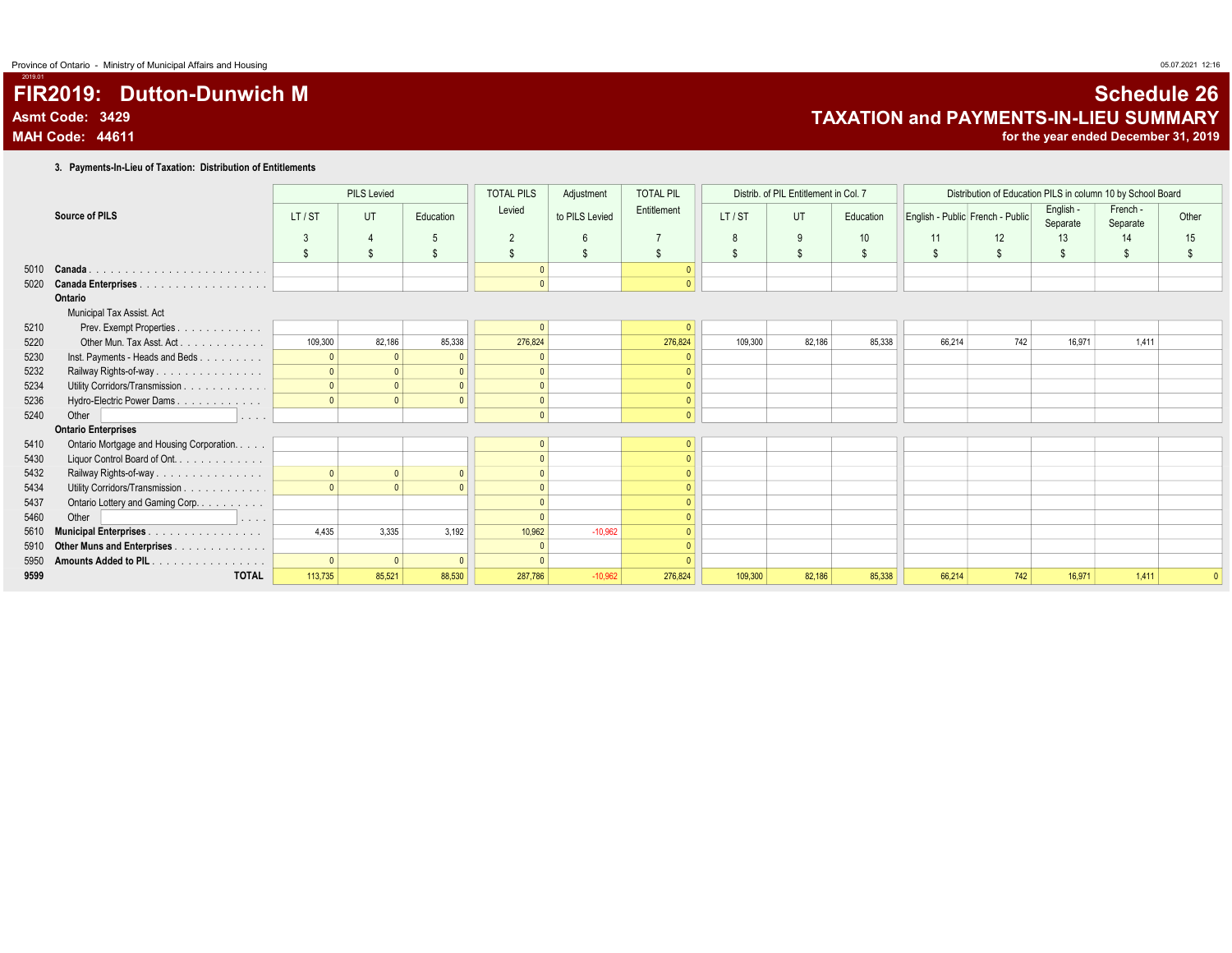# FIR2019: Dutton-Dunwich M Schedule 26 Asmt Code: 3429 **Asmt Code: 3429**<br>MAH Code: 44611 **TAXATION and PAYMENTS-IN-LIEU SUMMARY**

for the year ended December 31, 2019

3. Payments-In-Lieu of Taxation: Distribution of Entitlements

|      |                                                    |              | <b>PILS Levied</b> |           | <b>TOTAL PILS</b> | Adjustment      | <b>TOTAL PIL</b> |         | Distrib. of PIL Entitlement in Col. 7 |           |        | Distribution of Education PILS in column 10 by School Board |                       |                      |       |
|------|----------------------------------------------------|--------------|--------------------|-----------|-------------------|-----------------|------------------|---------|---------------------------------------|-----------|--------|-------------------------------------------------------------|-----------------------|----------------------|-------|
|      | Source of PILS                                     | LT/ST        | UT                 | Education | Levied            | to PILS Levied  | Entitlement      | LT/ST   | UT                                    | Education |        | English - Public French - Public                            | English -<br>Separate | French -<br>Separate | Other |
|      |                                                    | $\mathbf{3}$ |                    |           | $\overline{2}$    | $6\overline{6}$ |                  | 8       | 9                                     | 10        | 11     | 12                                                          | 13                    | 14                   | 15    |
|      |                                                    | \$           |                    |           | $\mathbb{S}$      | -S              | S.               | \$      | \$                                    | \$        |        | \$.                                                         |                       | $\mathfrak{L}$       |       |
| 5010 | Canada.                                            |              |                    |           |                   |                 | $\Omega$         |         |                                       |           |        |                                                             |                       |                      |       |
| 5020 |                                                    |              |                    |           | $\mathbf{0}$      |                 | $\Omega$         |         |                                       |           |        |                                                             |                       |                      |       |
|      | Ontario                                            |              |                    |           |                   |                 |                  |         |                                       |           |        |                                                             |                       |                      |       |
|      | Municipal Tax Assist. Act                          |              |                    |           |                   |                 |                  |         |                                       |           |        |                                                             |                       |                      |       |
| 5210 | Prev. Exempt Properties.<br>.                      |              |                    |           |                   |                 |                  |         |                                       |           |        |                                                             |                       |                      |       |
| 5220 | Other Mun. Tax Asst. Act.                          | 109,300      | 82,186             | 85,338    | 276,824           |                 | 276,824          | 109,300 | 82,186                                | 85,338    | 66,214 | 742                                                         | 16,971                | 1.411                |       |
| 5230 | Inst. Payments - Heads and Beds                    | $\Omega$     |                    |           |                   |                 |                  |         |                                       |           |        |                                                             |                       |                      |       |
| 5232 | Railway Rights-of-way                              |              |                    |           |                   |                 |                  |         |                                       |           |        |                                                             |                       |                      |       |
| 5234 | Utility Corridors/Transmission                     |              |                    |           |                   |                 |                  |         |                                       |           |        |                                                             |                       |                      |       |
| 5236 | Hydro-Electric Power Dams                          |              |                    |           |                   |                 |                  |         |                                       |           |        |                                                             |                       |                      |       |
| 5240 | Other<br>and a series                              |              |                    |           | $\Omega$          |                 | $\Omega$         |         |                                       |           |        |                                                             |                       |                      |       |
|      | <b>Ontario Enterprises</b>                         |              |                    |           |                   |                 |                  |         |                                       |           |        |                                                             |                       |                      |       |
| 5410 | Ontario Mortgage and Housing Corporation.          |              |                    |           |                   |                 |                  |         |                                       |           |        |                                                             |                       |                      |       |
| 5430 | Liquor Control Board of Ont.                       |              |                    |           |                   |                 |                  |         |                                       |           |        |                                                             |                       |                      |       |
| 5432 | Railway Rights-of-way                              | $\mathbf{0}$ |                    |           |                   |                 |                  |         |                                       |           |        |                                                             |                       |                      |       |
| 5434 | Utility Corridors/Transmission                     |              |                    |           |                   |                 |                  |         |                                       |           |        |                                                             |                       |                      |       |
| 5437 | Ontario Lottery and Gaming Corp.                   |              |                    |           |                   |                 |                  |         |                                       |           |        |                                                             |                       |                      |       |
| 5460 | Other<br>$\alpha$ , $\alpha$ , $\alpha$ , $\alpha$ |              |                    |           |                   |                 |                  |         |                                       |           |        |                                                             |                       |                      |       |
| 5610 | <b>Municipal Enterprises.</b><br>.                 | 4.435        | 3.335              | 3.192     | 10.962            | $-10.962$       |                  |         |                                       |           |        |                                                             |                       |                      |       |
| 5910 | Other Muns and Enterprises                         |              |                    |           |                   |                 |                  |         |                                       |           |        |                                                             |                       |                      |       |
| 5950 | <b>Amounts Added to PIL</b>                        |              |                    |           |                   |                 |                  |         |                                       |           |        |                                                             |                       |                      |       |
| 9599 | <b>TOTAL</b>                                       | 113,735      | 85,521             | 88,530    | 287,786           | $-10,962$       | 276,824          | 109,300 | 82,186                                | 85,338    | 66,214 | 742                                                         | 16,971                | 1,411                |       |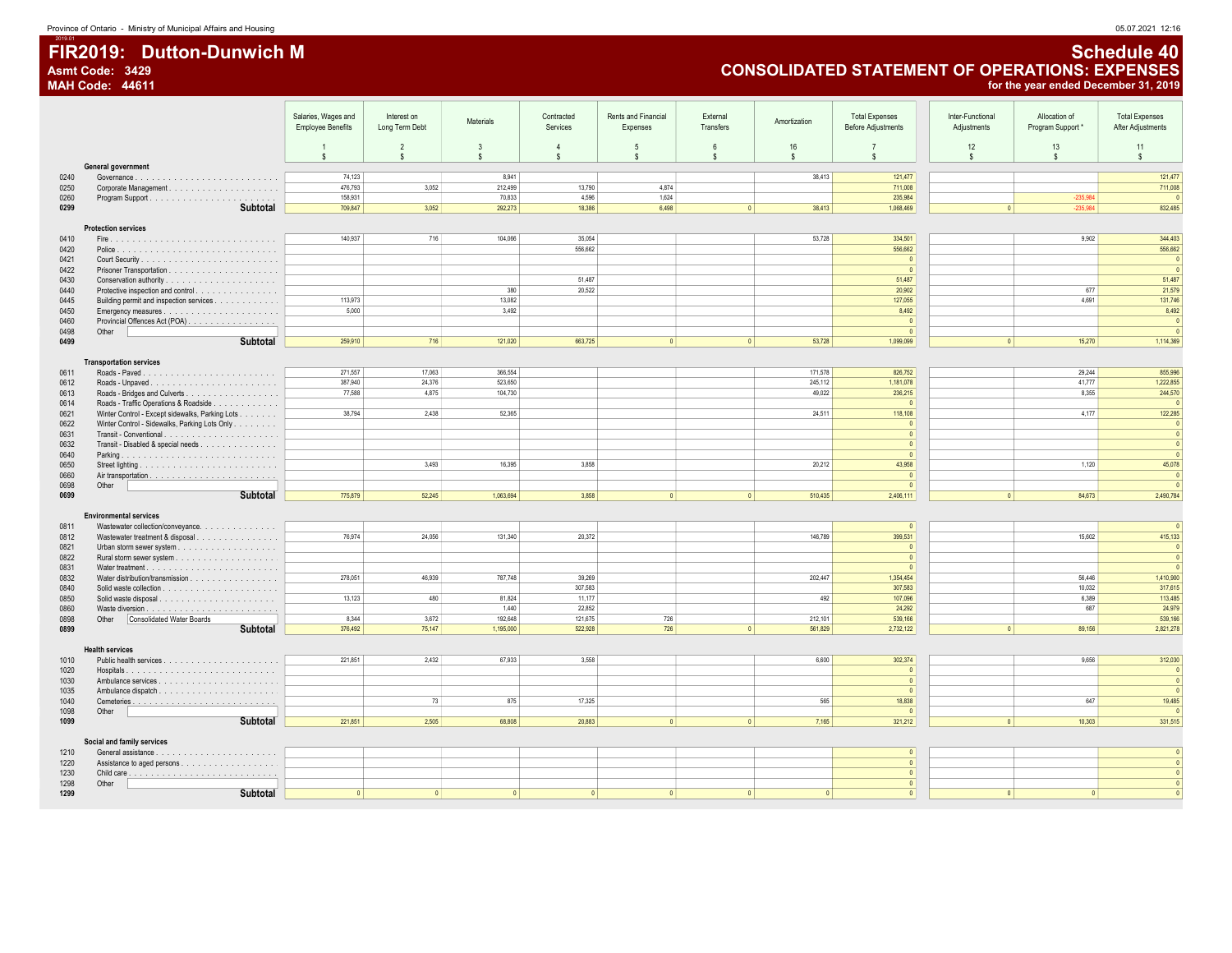### FIR2019: Dutton-Dunwich M Schedule 40<br>Asmt Code: 3429 Asmt Code: 3429 Asmt Code: 3429 CONSOLIDATED STATEMENT OF OPERATIONS: EXPENSES MAH Code: 44611 for the year ended December 31, 2019

|              |                                                                                                                                                                                                                                                                                                                                                                                                                                 | Salaries, Wages and      | Interest on                      | <b>Materials</b>                   | Contracted               | Rents and Financial        | External            | Amortization | <b>Total Expenses</b>                | Inter-Functional   | Allocation of   | <b>Total Expenses</b>   |
|--------------|---------------------------------------------------------------------------------------------------------------------------------------------------------------------------------------------------------------------------------------------------------------------------------------------------------------------------------------------------------------------------------------------------------------------------------|--------------------------|----------------------------------|------------------------------------|--------------------------|----------------------------|---------------------|--------------|--------------------------------------|--------------------|-----------------|-------------------------|
|              |                                                                                                                                                                                                                                                                                                                                                                                                                                 | <b>Employee Benefits</b> | Long Term Debt                   |                                    | Services                 | Expenses                   | Transfers           |              | <b>Before Adjustments</b>            | Adjustments        | Program Support | After Adjustments       |
|              |                                                                                                                                                                                                                                                                                                                                                                                                                                 | s                        | $\overline{2}$<br>$$\mathbb{S}$$ | $\mathbf{3}$<br>$\mathbf{\hat{S}}$ | $\Delta$<br>$\mathbf{s}$ | $\sqrt{5}$<br>$\mathbf{s}$ | $\mathsf{f}$<br>\$. | 16<br>s      | $\overline{7}$<br>$\hat{\mathbf{s}}$ | 12<br>$\mathbf{s}$ | 13<br>s.        | 11<br><b>S</b>          |
|              | General government                                                                                                                                                                                                                                                                                                                                                                                                              |                          |                                  |                                    |                          |                            |                     |              |                                      |                    |                 |                         |
| 0240<br>0250 | $\textbf{Government} \textbf{.} \textbf{.} \textbf{.} \textbf{.} \textbf{.} \textbf{.} \textbf{.} \textbf{.} \textbf{.} \textbf{.} \textbf{.} \textbf{.} \textbf{.} \textbf{.} \textbf{.} \textbf{.} \textbf{.} \textbf{.} \textbf{.} \textbf{.} \textbf{.} \textbf{.} \textbf{.} \textbf{.} \textbf{.} \textbf{.} \textbf{.} \textbf{.} \textbf{.} \textbf{.} \textbf{.} \textbf{.} \textbf{.} \textbf{.} \textbf{.} \textbf{$ | 74.123<br>476,793        | 3,052                            | 8.941<br>212,499                   | 13,790                   | 4.874                      |                     | 38.413       | 121,477<br>711,008                   |                    |                 | 121,477<br>711,008      |
| 0260         |                                                                                                                                                                                                                                                                                                                                                                                                                                 | 158,931                  |                                  | 70,833                             | 4,596                    | 1,624                      |                     |              | 235,984                              |                    | $-235,984$      |                         |
| 0299         | Subtotal                                                                                                                                                                                                                                                                                                                                                                                                                        | 709.847                  | 3,052                            | 292,273                            | 18,386                   | 6,498                      | $\mathbf{0}$        | 38,413       | 1,068,469                            | $\mathbf{0}$       | $-235,984$      | 832,485                 |
|              | <b>Protection services</b>                                                                                                                                                                                                                                                                                                                                                                                                      |                          |                                  |                                    |                          |                            |                     |              |                                      |                    |                 |                         |
| 0410         |                                                                                                                                                                                                                                                                                                                                                                                                                                 | 140.937                  | 716                              | 104.066                            | 35.054                   |                            |                     | 53,728       | 334.501                              |                    | 9.902           | 344,403                 |
| 0420<br>0421 |                                                                                                                                                                                                                                                                                                                                                                                                                                 |                          |                                  |                                    | 556,662                  |                            |                     |              | 556,662<br>$\overline{0}$            |                    |                 | 556,662<br>$\sqrt{ }$   |
| 0422         |                                                                                                                                                                                                                                                                                                                                                                                                                                 |                          |                                  |                                    |                          |                            |                     |              | $\mathbf{0}$                         |                    |                 |                         |
| 0430         |                                                                                                                                                                                                                                                                                                                                                                                                                                 |                          |                                  | 380                                | 51,487<br>20,522         |                            |                     |              | 51,487<br>20,902                     |                    | 677             | 51,487<br>21,579        |
| 0440<br>0445 | Protective inspection and control<br>Building permit and inspection services                                                                                                                                                                                                                                                                                                                                                    | 113,973                  |                                  | 13,082                             |                          |                            |                     |              | 127,055                              |                    | 4.691           | 131,746                 |
| 0450         |                                                                                                                                                                                                                                                                                                                                                                                                                                 | 5.000                    |                                  | 3,492                              |                          |                            |                     |              | 8,492                                |                    |                 | 8,492                   |
| 0460         | Provincial Offences Act (POA)                                                                                                                                                                                                                                                                                                                                                                                                   |                          |                                  |                                    |                          |                            |                     |              | $\overline{0}$<br>$\mathbf{0}$       |                    |                 | $\sqrt{2}$              |
| 0498<br>0499 | Other<br><b>Subtotal</b>                                                                                                                                                                                                                                                                                                                                                                                                        | 259,910                  | 716                              | 121.020                            | 663,725                  | $\mathbf{0}$               | $\sqrt{2}$          | 53,728       | 1,099,099                            | $\mathbf{0}$       | 15,270          | 1,114,369               |
|              |                                                                                                                                                                                                                                                                                                                                                                                                                                 |                          |                                  |                                    |                          |                            |                     |              |                                      |                    |                 |                         |
| 0611         | <b>Transportation services</b>                                                                                                                                                                                                                                                                                                                                                                                                  | 271,557                  | 17,063                           | 366,554                            |                          |                            |                     | 171,578      | 826,752                              |                    | 29,244          | 855,996                 |
| 0612         |                                                                                                                                                                                                                                                                                                                                                                                                                                 | 387,940                  | 24,376                           | 523,650                            |                          |                            |                     | 245,112      | 1,181,078                            |                    | 41,777          | 1,222,855               |
| 0613         |                                                                                                                                                                                                                                                                                                                                                                                                                                 | 77,588                   | 4,875                            | 104,730                            |                          |                            |                     | 49,022       | 236,215                              |                    | 8,355           | 244,570                 |
| 0614<br>0621 | Roads - Traffic Operations & Roadside<br>Winter Control - Except sidewalks, Parking Lots                                                                                                                                                                                                                                                                                                                                        | 38.794                   | 2,438                            | 52.365                             |                          |                            |                     | 24.511       | $\overline{0}$<br>118,108            |                    | 4.177           | 122,285                 |
| 0622         | Winter Control - Sidewalks, Parking Lots Only                                                                                                                                                                                                                                                                                                                                                                                   |                          |                                  |                                    |                          |                            |                     |              | $\overline{0}$                       |                    |                 | $\Omega$                |
| 0631         |                                                                                                                                                                                                                                                                                                                                                                                                                                 |                          |                                  |                                    |                          |                            |                     |              | $\overline{0}$                       |                    |                 | $\sqrt{2}$              |
| 0632<br>0640 | Transit - Disabled & special needs                                                                                                                                                                                                                                                                                                                                                                                              |                          |                                  |                                    |                          |                            |                     |              | $\overline{0}$<br>$\overline{0}$     |                    |                 | $\sqrt{2}$<br>$\Omega$  |
| 0650         |                                                                                                                                                                                                                                                                                                                                                                                                                                 |                          | 3.493                            | 16,395                             | 3,858                    |                            |                     | 20,212       | 43,958                               |                    | 1,120           | 45,078                  |
| 0660         |                                                                                                                                                                                                                                                                                                                                                                                                                                 |                          |                                  |                                    |                          |                            |                     |              | $\overline{0}$                       |                    |                 | $\sqrt{2}$              |
| 0698<br>0699 | Other<br><b>Subtotal</b>                                                                                                                                                                                                                                                                                                                                                                                                        | 775,879                  | 52,245                           | 1,063,694                          | 3.858                    | $\overline{0}$             | 0                   | 510,435      | $\overline{0}$<br>2,406,111          | $\Omega$           | 84,673          | 2,490,784               |
|              |                                                                                                                                                                                                                                                                                                                                                                                                                                 |                          |                                  |                                    |                          |                            |                     |              |                                      |                    |                 |                         |
|              | <b>Environmental services</b>                                                                                                                                                                                                                                                                                                                                                                                                   |                          |                                  |                                    |                          |                            |                     |              |                                      |                    |                 |                         |
| 0811<br>0812 | Wastewater collection/conveyance.<br>Wastewater treatment & disposal                                                                                                                                                                                                                                                                                                                                                            | 76,974                   | 24,056                           | 131,340                            | 20,372                   |                            |                     | 146,789      | $\overline{0}$<br>399,531            |                    | 15,602          | 415,133                 |
| 0821         |                                                                                                                                                                                                                                                                                                                                                                                                                                 |                          |                                  |                                    |                          |                            |                     |              | $\overline{0}$                       |                    |                 | $\Omega$                |
| 0822         |                                                                                                                                                                                                                                                                                                                                                                                                                                 |                          |                                  |                                    |                          |                            |                     |              | $\overline{0}$                       |                    |                 | $\mathbf{0}$            |
| 0831<br>0832 | Water distribution/transmission                                                                                                                                                                                                                                                                                                                                                                                                 | 278.051                  | 46.939                           | 787.748                            | 39,269                   |                            |                     | 202.447      | $\overline{0}$<br>1,354,454          |                    | 56,446          | $\sqrt{2}$<br>1,410,900 |
| 0840         |                                                                                                                                                                                                                                                                                                                                                                                                                                 |                          |                                  |                                    | 307,583                  |                            |                     |              | 307,583                              |                    | 10,032          | 317,615                 |
| 0850         |                                                                                                                                                                                                                                                                                                                                                                                                                                 | 13.123                   | 480                              | 81.824                             | 11.177                   |                            |                     | 492          | 107.096                              |                    | 6.389           | 113,485                 |
| 0860<br>0898 | Other<br><b>Consolidated Water Boards</b>                                                                                                                                                                                                                                                                                                                                                                                       | 8.344                    | 3.672                            | 1,440<br>192.648                   | 22,852<br>121.675        | 726                        |                     | 212.101      | 24,292<br>539,166                    |                    | 687             | 24,979<br>539,166       |
| 0899         | Subtotal                                                                                                                                                                                                                                                                                                                                                                                                                        | 376,492                  | 75,147                           | 1,195,000                          | 522,928                  | 726                        | $\sqrt{2}$          | 561,829      | 2,732,122                            | $\overline{0}$     | 89,156          | 2,821,278               |
|              |                                                                                                                                                                                                                                                                                                                                                                                                                                 |                          |                                  |                                    |                          |                            |                     |              |                                      |                    |                 |                         |
| 1010         | <b>Health services</b>                                                                                                                                                                                                                                                                                                                                                                                                          | 221.851                  | 2,432                            | 67.933                             | 3.558                    |                            |                     | 6,600        | 302,374                              |                    | 9.656           | 312,030                 |
| 1020         |                                                                                                                                                                                                                                                                                                                                                                                                                                 |                          |                                  |                                    |                          |                            |                     |              | $\overline{0}$                       |                    |                 | $\overline{0}$          |
| 1030         |                                                                                                                                                                                                                                                                                                                                                                                                                                 |                          |                                  |                                    |                          |                            |                     |              | 0                                    |                    |                 | $\sqrt{2}$              |
| 1035<br>1040 |                                                                                                                                                                                                                                                                                                                                                                                                                                 |                          | 73                               | 875                                | 17.325                   |                            |                     | 565          | $\overline{0}$<br>18,838             |                    | 647             | $\sqrt{2}$<br>19,485    |
| 1098         | Other                                                                                                                                                                                                                                                                                                                                                                                                                           |                          |                                  |                                    |                          |                            |                     |              | $\overline{0}$                       |                    |                 |                         |
| 1099         | Subtotal                                                                                                                                                                                                                                                                                                                                                                                                                        | 221,851                  | 2,505                            | 68,808                             | 20,883                   | $\overline{0}$             | 0                   | 7,165        | 321,212                              | $\overline{0}$     | 10,303          | 331,515                 |
|              | Social and family services                                                                                                                                                                                                                                                                                                                                                                                                      |                          |                                  |                                    |                          |                            |                     |              |                                      |                    |                 |                         |
| 1210         |                                                                                                                                                                                                                                                                                                                                                                                                                                 |                          |                                  |                                    |                          |                            |                     |              | $\mathbf{0}$                         |                    |                 |                         |
| 1220<br>1230 |                                                                                                                                                                                                                                                                                                                                                                                                                                 |                          |                                  |                                    |                          |                            |                     |              | $\mathbf{0}$<br>$\overline{0}$       |                    |                 | $\mathbf{0}$            |
| 1298         | Other                                                                                                                                                                                                                                                                                                                                                                                                                           |                          |                                  |                                    |                          |                            |                     |              | $\mathbf{0}$                         |                    |                 |                         |
| 1299         | Subtotal                                                                                                                                                                                                                                                                                                                                                                                                                        | $\sqrt{2}$               | $\mathbf{a}$                     | $\sqrt{2}$                         | $\sqrt{2}$               | $\mathbf{a}$               | $\sqrt{2}$          | $\sqrt{2}$   | $\sqrt{2}$                           | $\sqrt{2}$         | $\sqrt{2}$      |                         |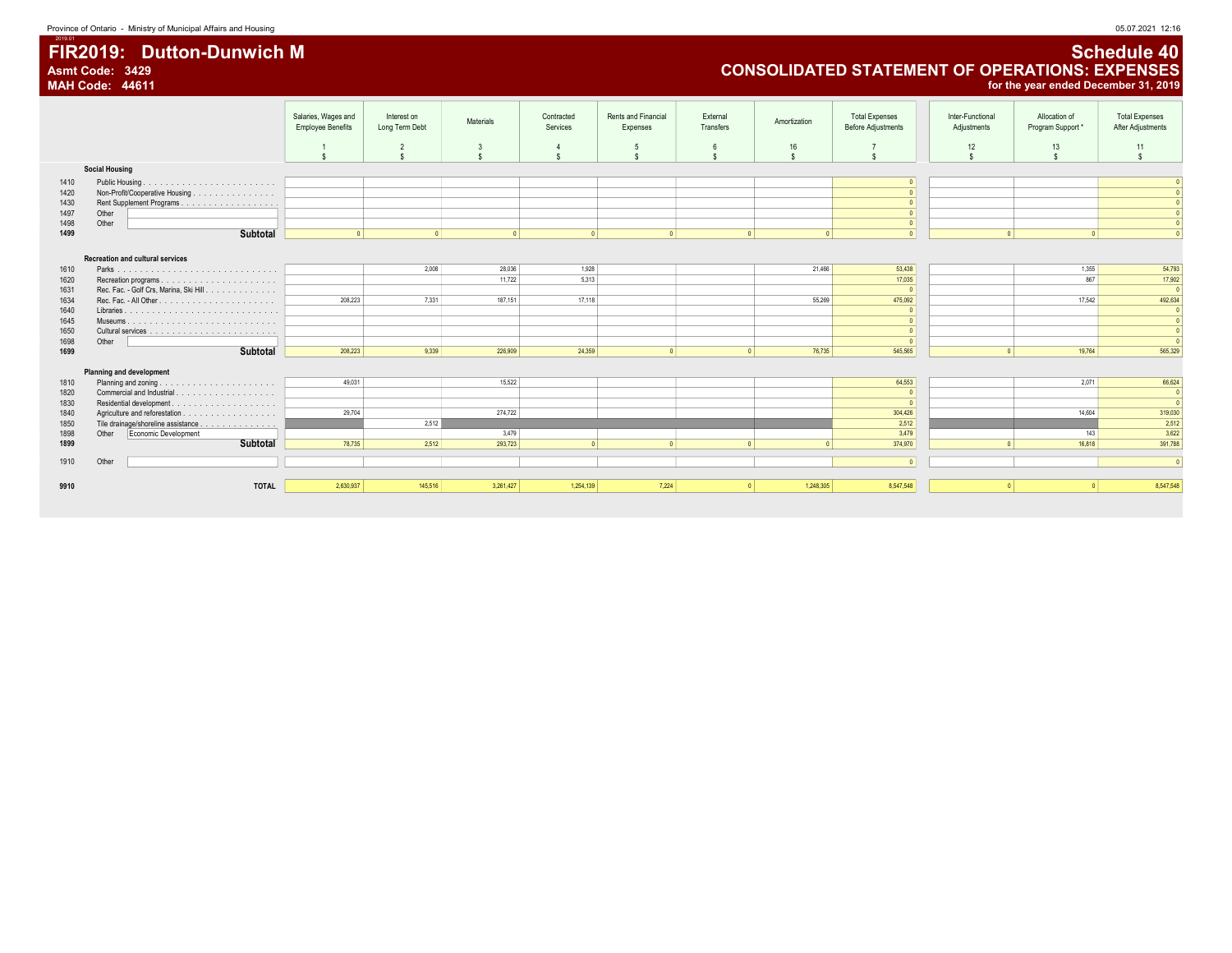### FIR2019: Dutton-Dunwich M<br>Asmt Code: 3429 Schedule 40<br>CONSOLIDATED STATEMENT OF OPERATIONS: EXPENSES Asmt Code: 3429 CONSOLIDATED STATEMENT OF OPERATIONS: EXPENSES MAH Code: 44611 for the year ended December 31, 2019

| Services<br>Transfers<br><b>Employee Benefits</b><br>Long Term Debt<br><b>Before Adjustments</b><br>Expenses<br>Adjustments<br>12<br>$\overline{2}$<br>16<br>3<br>$\overline{4}$<br>5<br>6<br>$\hat{\mathbf{s}}$<br>$\mathbf{s}$<br>$\mathbf{s}$<br>$\mathbf{\hat{s}}$<br>$\hat{\mathbf{s}}$<br>$\hat{\mathbf{s}}$<br><b>Social Housing</b><br>1410<br>$\Omega$<br>Non-Profit/Cooperative Housing<br>1420<br>$\Omega$ | Program Support*<br>After Adjustments<br>13<br>11<br>s. |
|-----------------------------------------------------------------------------------------------------------------------------------------------------------------------------------------------------------------------------------------------------------------------------------------------------------------------------------------------------------------------------------------------------------------------|---------------------------------------------------------|
|                                                                                                                                                                                                                                                                                                                                                                                                                       |                                                         |
|                                                                                                                                                                                                                                                                                                                                                                                                                       |                                                         |
|                                                                                                                                                                                                                                                                                                                                                                                                                       |                                                         |
|                                                                                                                                                                                                                                                                                                                                                                                                                       |                                                         |
|                                                                                                                                                                                                                                                                                                                                                                                                                       |                                                         |
|                                                                                                                                                                                                                                                                                                                                                                                                                       |                                                         |
| 1430<br>$\sqrt{2}$                                                                                                                                                                                                                                                                                                                                                                                                    |                                                         |
| 1497<br>Other<br>$\Omega$                                                                                                                                                                                                                                                                                                                                                                                             |                                                         |
| 1498<br>Other<br>$\overline{0}$                                                                                                                                                                                                                                                                                                                                                                                       |                                                         |
| Subtotal<br>1499<br>$\sqrt{2}$<br>$\Omega$<br>$\Omega$<br>$\Omega$<br>$\Omega$<br>$\Omega$<br>$\sqrt{2}$                                                                                                                                                                                                                                                                                                              | $\sqrt{2}$                                              |
|                                                                                                                                                                                                                                                                                                                                                                                                                       |                                                         |
| <b>Recreation and cultural services</b>                                                                                                                                                                                                                                                                                                                                                                               |                                                         |
| 2,008<br>28,036<br>1,928<br>53,438<br>21,466<br>1610                                                                                                                                                                                                                                                                                                                                                                  | 54,793<br>1,355                                         |
| 5,313<br>11,722<br>17,035<br>1620                                                                                                                                                                                                                                                                                                                                                                                     | 867<br>17,902                                           |
| Rec. Fac. - Golf Crs, Marina, Ski Hill<br>1631<br>$\overline{0}$                                                                                                                                                                                                                                                                                                                                                      |                                                         |
| 208,223<br>7.331<br>55,269<br>475,092<br>187,151<br>17,118<br>1634                                                                                                                                                                                                                                                                                                                                                    | 492,634<br>17,542                                       |
| 1640<br>$\sqrt{0}$                                                                                                                                                                                                                                                                                                                                                                                                    |                                                         |
| 1645<br>$\overline{0}$                                                                                                                                                                                                                                                                                                                                                                                                |                                                         |
| 1650<br>$\sqrt{2}$                                                                                                                                                                                                                                                                                                                                                                                                    |                                                         |
| 1698<br>Other<br>$\sqrt{2}$                                                                                                                                                                                                                                                                                                                                                                                           |                                                         |
| Subtotal<br>1699<br>208,223<br>9,339<br>226,909<br>24,359<br> 0 <br>76,735<br>545,565<br>$\sqrt{2}$<br>$\sqrt{2}$                                                                                                                                                                                                                                                                                                     | 19,764<br>565,329                                       |
|                                                                                                                                                                                                                                                                                                                                                                                                                       |                                                         |
| Planning and development                                                                                                                                                                                                                                                                                                                                                                                              |                                                         |
| 1810<br>49,031<br>15,522<br>64,553                                                                                                                                                                                                                                                                                                                                                                                    | 66,624<br>2,071                                         |
| 1820<br> 0 <br>$\sqrt{2}$                                                                                                                                                                                                                                                                                                                                                                                             |                                                         |
| 1830<br>29,704<br>1840<br>274,722<br>304,426                                                                                                                                                                                                                                                                                                                                                                          | 14,604<br>319,030                                       |
| 2,512<br>Tile drainage/shoreline assistance<br>2,512<br>1850                                                                                                                                                                                                                                                                                                                                                          | 2,512                                                   |
| 1898<br>Economic Development<br>Other<br>3,479<br>3,479                                                                                                                                                                                                                                                                                                                                                               | 3,622<br>143                                            |
| Subtotal<br>374,970<br>1899<br>78,735<br>2,512<br>293,723<br>$\vert$<br>$\sqrt{2}$<br>$\sqrt{2}$                                                                                                                                                                                                                                                                                                                      | 391,788<br>16,818                                       |
|                                                                                                                                                                                                                                                                                                                                                                                                                       |                                                         |
| Other<br>1910<br>$\sqrt{0}$                                                                                                                                                                                                                                                                                                                                                                                           | $\sqrt{2}$                                              |
|                                                                                                                                                                                                                                                                                                                                                                                                                       |                                                         |
| 2.630.937<br> 0 <br>1,248,305<br><b>TOTAL</b><br>145,516<br>3,261,427<br>1.254.139<br>7,224<br>8,547,548<br>$\sqrt{2}$<br>9910                                                                                                                                                                                                                                                                                        | 8,547,548                                               |
|                                                                                                                                                                                                                                                                                                                                                                                                                       |                                                         |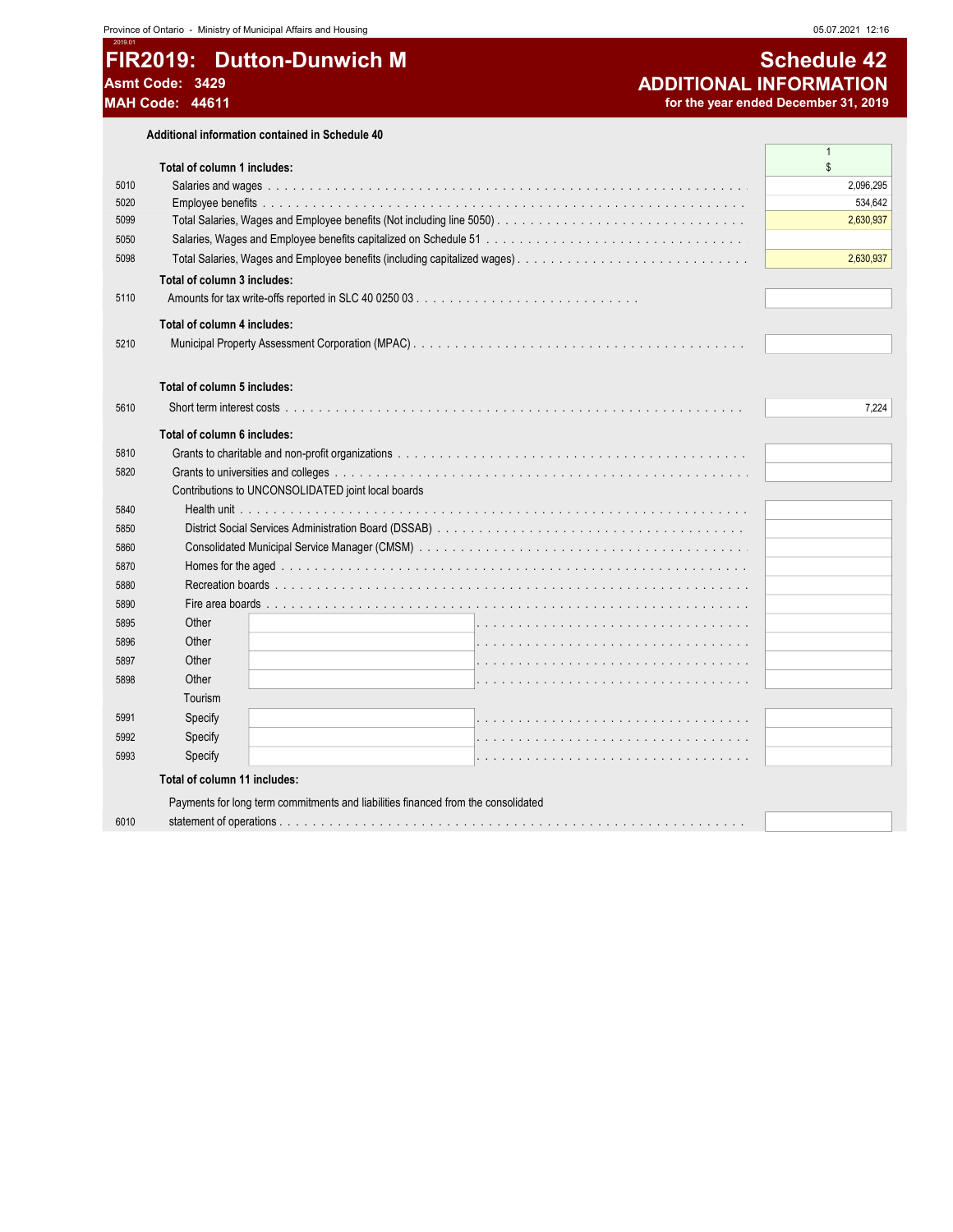### 2019. FIR2019: Dutton-Dunwich M Asmt Code: 3429 MAH Code: 44611

Additional information contained in Schedule 40

|      |                                                                                   | $\mathbf{1}$ |
|------|-----------------------------------------------------------------------------------|--------------|
|      | Total of column 1 includes:                                                       | \$           |
| 5010 |                                                                                   | 2,096,295    |
| 5020 |                                                                                   | 534,642      |
| 5099 |                                                                                   | 2,630,937    |
| 5050 |                                                                                   |              |
| 5098 |                                                                                   | 2,630,937    |
|      | Total of column 3 includes:                                                       |              |
| 5110 |                                                                                   |              |
|      | Total of column 4 includes:                                                       |              |
| 5210 |                                                                                   |              |
|      | Total of column 5 includes:                                                       |              |
| 5610 |                                                                                   | 7,224        |
|      |                                                                                   |              |
|      | Total of column 6 includes:                                                       |              |
| 5810 |                                                                                   |              |
| 5820 |                                                                                   |              |
|      | Contributions to UNCONSOLIDATED joint local boards                                |              |
| 5840 |                                                                                   |              |
| 5850 |                                                                                   |              |
| 5860 |                                                                                   |              |
| 5870 |                                                                                   |              |
| 5880 |                                                                                   |              |
| 5890 |                                                                                   |              |
| 5895 | Other                                                                             |              |
| 5896 | Other                                                                             |              |
| 5897 | Other                                                                             |              |
| 5898 | Other                                                                             |              |
|      | Tourism                                                                           |              |
| 5991 | Specify                                                                           |              |
| 5992 | Specify                                                                           |              |
| 5993 | Specify                                                                           |              |
|      | Total of column 11 includes:                                                      |              |
|      | Payments for long term commitments and liabilities financed from the consolidated |              |
| 6010 |                                                                                   |              |
|      |                                                                                   |              |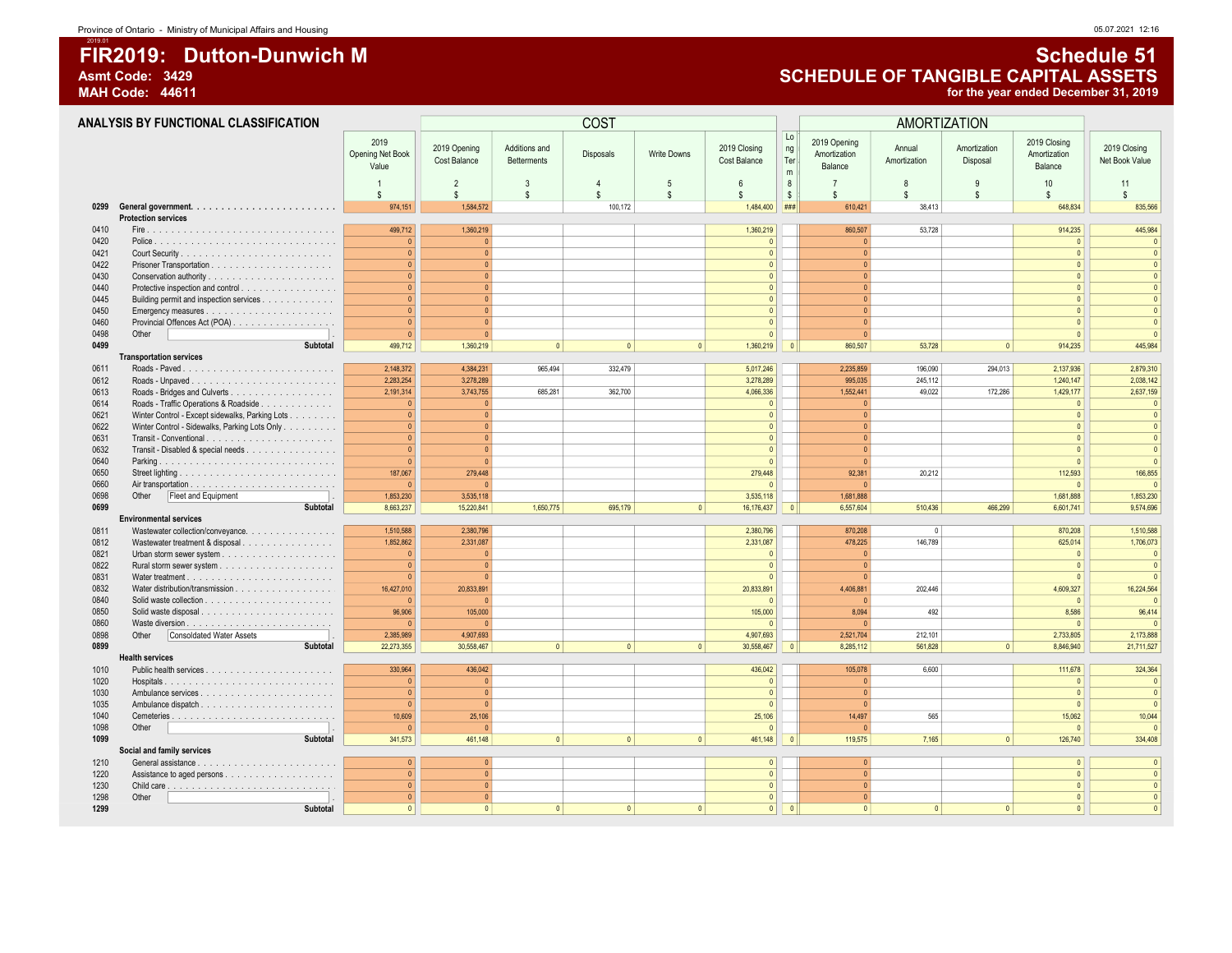# 2019.01 FIR2019: Dutton-Dunwich M Schedule 51

2019 Opening Net Book

#### Asmt Code: 3429 **Asmt Code: 3429**<br>MAH Code: 44611 **ASSETS** for the year ended December 31, 2019 for the year ended December 31, 2019 ANALYSIS BY FUNCTIONAL CLASSIFICATION AND RESERVED BY A RELATION COST AMORTIZATION AMORTIZATION 2019 Opening Cost Balance Additions and Disposals Write Downs 2019 Closing Cost Balance Lo ng |<br>Ter | m T n 2019 Opening Amortization Balance Annual Amortization Amortization **Disposal** 2019 Closing Amortization Balance 2019 Closing Net Book Value

|              |                                                 | Value                 |                |                |                |                    |                       | m              | Balance      |          |                | Balance             |                         |
|--------------|-------------------------------------------------|-----------------------|----------------|----------------|----------------|--------------------|-----------------------|----------------|--------------|----------|----------------|---------------------|-------------------------|
|              |                                                 |                       | $\overline{2}$ | 3              | $\overline{4}$ | 5                  | ĥ                     | $\mathbf{R}$   | 7            | 8        | q              | 10                  | 11                      |
|              |                                                 | £.                    | S.             | $\mathbf{s}$   | \$.            | $\mathbf{\hat{s}}$ | \$.                   | \$             | $\mathbb{S}$ | £.       | $\mathbf{s}$   | S.                  | $\mathbf{s}$            |
| 0299         |                                                 | 974,151               | 1,584,572      |                | 100,172        |                    | 1,484,400             | ###            | 610,421      | 38.413   |                | 648.834             | 835,566                 |
|              | <b>Protection services</b>                      |                       |                |                |                |                    |                       |                |              |          |                |                     |                         |
| 0410         |                                                 | 499,712               | 1,360,219      |                |                |                    | 1,360,219             |                | 860,507      | 53.728   |                | 914,235             | 445.984                 |
| 0420         |                                                 | $\Omega$              |                |                |                |                    | $\Omega$              |                |              |          |                | $\Omega$            |                         |
| 0421         |                                                 | $\overline{0}$        |                |                |                |                    | $\mathbf{0}$          |                |              |          |                | $\mathbf{0}$        |                         |
| 0422         |                                                 | $\overline{0}$        |                |                |                |                    | $\Omega$              |                |              |          |                | $\Omega$            |                         |
| 0430         |                                                 | 0                     |                |                |                |                    | $\sqrt{2}$            |                |              |          |                | $\Omega$            |                         |
| 0440         | Protective inspection and control               | $\overline{0}$        |                |                |                |                    | $\theta$              |                |              |          |                | $\Omega$            |                         |
| 0445         | Building permit and inspection services         | 0                     |                |                |                |                    | $\Omega$              |                |              |          |                | $\Omega$            |                         |
| 0450         |                                                 | 0                     |                |                |                |                    | $\sqrt{2}$            |                |              |          |                | $\Omega$            |                         |
| 0460         | Provincial Offences Act (POA)                   | $\overline{0}$        |                |                |                |                    | $\Omega$              |                |              |          |                | $\Omega$            |                         |
| 0498         | Other                                           | $\overline{0}$        |                |                |                |                    | $\sqrt{2}$            |                |              |          |                | $\Omega$            |                         |
| 0499         | Subtotal                                        | 499,712               | 1,360,219      | $\Omega$       | $\Omega$       | $\mathbf{0}$       | 1,360,219             | $\overline{0}$ | 860,507      | 53,728   | $\overline{0}$ | 914,235             | 445,984                 |
|              | <b>Transportation services</b>                  |                       |                |                |                |                    |                       |                |              |          |                |                     |                         |
| 0611         |                                                 | 2,148,372             | 4,384,231      | 965,494        | 332,479        |                    | 5,017,246             |                | 2,235,859    | 196,090  | 294,013        | 2,137,936           | 2,879,310               |
| 0612         |                                                 | 2,283,254             | 3,278,289      |                |                |                    | 3,278,289             |                | 995,035      | 245,112  |                | 1,240,147           | 2,038,142               |
| 0613         |                                                 | 2,191,314             | 3,743,755      | 685,281        | 362,700        |                    | 4,066,336             |                | 1,552,441    | 49,022   | 172,286        | 1,429,177           | 2,637,159               |
| 0614         | Roads - Traffic Operations & Roadside           | $\Omega$              |                |                |                |                    | $\Omega$              |                |              |          |                | $\Omega$            |                         |
| 0621         | Winter Control - Except sidewalks, Parking Lots | $\mathbf{0}$          |                |                |                |                    | $\Omega$              |                |              |          |                | $\Omega$            |                         |
| 0622         | Winter Control - Sidewalks, Parking Lots Only   | $\overline{0}$        |                |                |                |                    | $\Omega$              |                |              |          |                | $\Omega$            |                         |
| 0631         | Transit - Conventional                          | $\overline{0}$        |                |                |                |                    | $\sqrt{2}$            |                |              |          |                | $\Omega$            |                         |
| 0632         | Transit - Disabled & special needs              | $\Omega$              |                |                |                |                    | $\sqrt{2}$            |                |              |          |                | $\Omega$            |                         |
| 0640         | Parking                                         | $\mathbf{0}$          |                |                |                |                    | $\Omega$              |                |              |          |                | $\Omega$            |                         |
| 0650         |                                                 | 187,067               | 279,448        |                |                |                    | 279,448               |                | 92,381       | 20,212   |                | 112,593             | 166,855                 |
| 0660         |                                                 | $\Omega$              |                |                |                |                    | $\Omega$              |                |              |          |                | $\Omega$            |                         |
| 0698         | Fleet and Equipment<br>Other                    | 1,853,230             | 3,535,118      |                |                |                    | 3,535,118             |                | 1,681,888    |          |                | 1,681,888           | 1,853,230               |
| 0699         | Subtotal                                        | 8,663,237             | 15,220,841     | 1,650,775      | 695,179        | 0                  | 16,176,437            | $\overline{0}$ | 6.557.604    | 510,436  | 466.299        | 6,601,741           | 9.574.696               |
|              | <b>Environmental services</b>                   |                       |                |                |                |                    |                       |                |              |          |                |                     |                         |
| 0811         | Wastewater collection/conveyance.               | 1,510,588             | 2,380,796      |                |                |                    | 2,380,796             |                | 870,208      | 0        |                | 870,208             | 1,510,588               |
| 0812         | Wastewater treatment & disposal                 | 1,852,862<br>$\Omega$ | 2,331,087      |                |                |                    | 2,331,087<br>$\Omega$ |                | 478,225      | 146,789  |                | 625,014<br>$\Omega$ | 1,706,073<br>$\sqrt{ }$ |
| 0821         |                                                 | $\mathbf{0}$          |                |                |                |                    | $\mathbf{0}$          |                |              |          |                | $\mathbf{0}$        | $\sqrt{ }$              |
| 0822         |                                                 | $\Omega$              |                |                |                |                    | $\sqrt{2}$            |                |              |          |                | $\Omega$            |                         |
| 0831         |                                                 | 16,427,010            | 20,833,891     |                |                |                    | 20,833,891            |                | 4,406,881    | 202,446  |                | 4,609,327           | 16,224,564              |
| 0832<br>0840 | Water distribution/transmission                 | $\Omega$              |                |                |                |                    | $\Omega$              |                |              |          |                | $\Omega$            |                         |
| 0850         |                                                 | 96,906                | 105,000        |                |                |                    | 105,000               |                | 8,094        | 492      |                | 8,586               | 96,414                  |
| 0860         |                                                 | $\Omega$              |                |                |                |                    | $\Omega$              |                |              |          |                | $\Omega$            |                         |
| 0898         | Consoldated Water Assets<br>Other               | 2,385,989             | 4,907,693      |                |                |                    | 4,907,693             |                | 2,521,704    | 212,101  |                | 2,733,805           | 2,173,888               |
| 0899         | Subtotal                                        | 22,273,355            | 30.558.467     | $\overline{0}$ | $\Omega$       | $\overline{0}$     | 30.558.467            | $\overline{0}$ | 8,285,112    | 561.828  | $\overline{0}$ | 8,846,940           | 21,711,527              |
|              | <b>Health services</b>                          |                       |                |                |                |                    |                       |                |              |          |                |                     |                         |
| 1010         |                                                 | 330,964               | 436,042        |                |                |                    | 436,042               |                | 105,078      | 6,600    |                | 111,678             | 324,364                 |
| 1020         |                                                 | $\mathbf{0}$          |                |                |                |                    | $\Omega$              |                | $\Omega$     |          |                | $\Omega$            | $\sqrt{ }$              |
| 1030         |                                                 | $\overline{0}$        |                |                |                |                    | $\Omega$              |                |              |          |                | $\Omega$            |                         |
| 1035         |                                                 | $\overline{0}$        |                |                |                |                    | $\Omega$              |                |              |          |                | $\Omega$            |                         |
| 1040         |                                                 | 10,609                | 25,106         |                |                |                    | 25,106                |                | 14,497       | 565      |                | 15,062              | 10,044                  |
| 1098         | Other                                           | $\Omega$              |                |                |                |                    | $\Omega$              |                | $\Omega$     |          |                | $\Omega$            |                         |
| 1099         | Subtotal                                        | 341,573               | 461,148        | $\Omega$       | $\Omega$       | $\mathbf{0}$       | 461,148               | $\mathbf{0}$   | 119,575      | 7,165    | $\Omega$       | 126,740             | 334,408                 |
|              | Social and family services                      |                       |                |                |                |                    |                       |                |              |          |                |                     |                         |
| 1210         |                                                 | 0                     |                |                |                |                    | $\Omega$              |                |              |          |                | $\Omega$            |                         |
| 1220         |                                                 | $\overline{0}$        |                |                |                |                    | $\sqrt{2}$            |                | $\sqrt{2}$   |          |                | $\Omega$            |                         |
| 1230         |                                                 | 0                     |                |                |                |                    | $\theta$              |                |              |          |                | $\Omega$            |                         |
| 1298         | Other                                           | $\Omega$              |                |                |                |                    | $\Omega$              |                |              |          |                | $\Omega$            |                         |
| 1299         | Subtotal                                        | $\Omega$              |                | $\sqrt{ }$     |                | $\Omega$           | $\sqrt{2}$            | $\Omega$       |              | $\Omega$ |                | $\Omega$            |                         |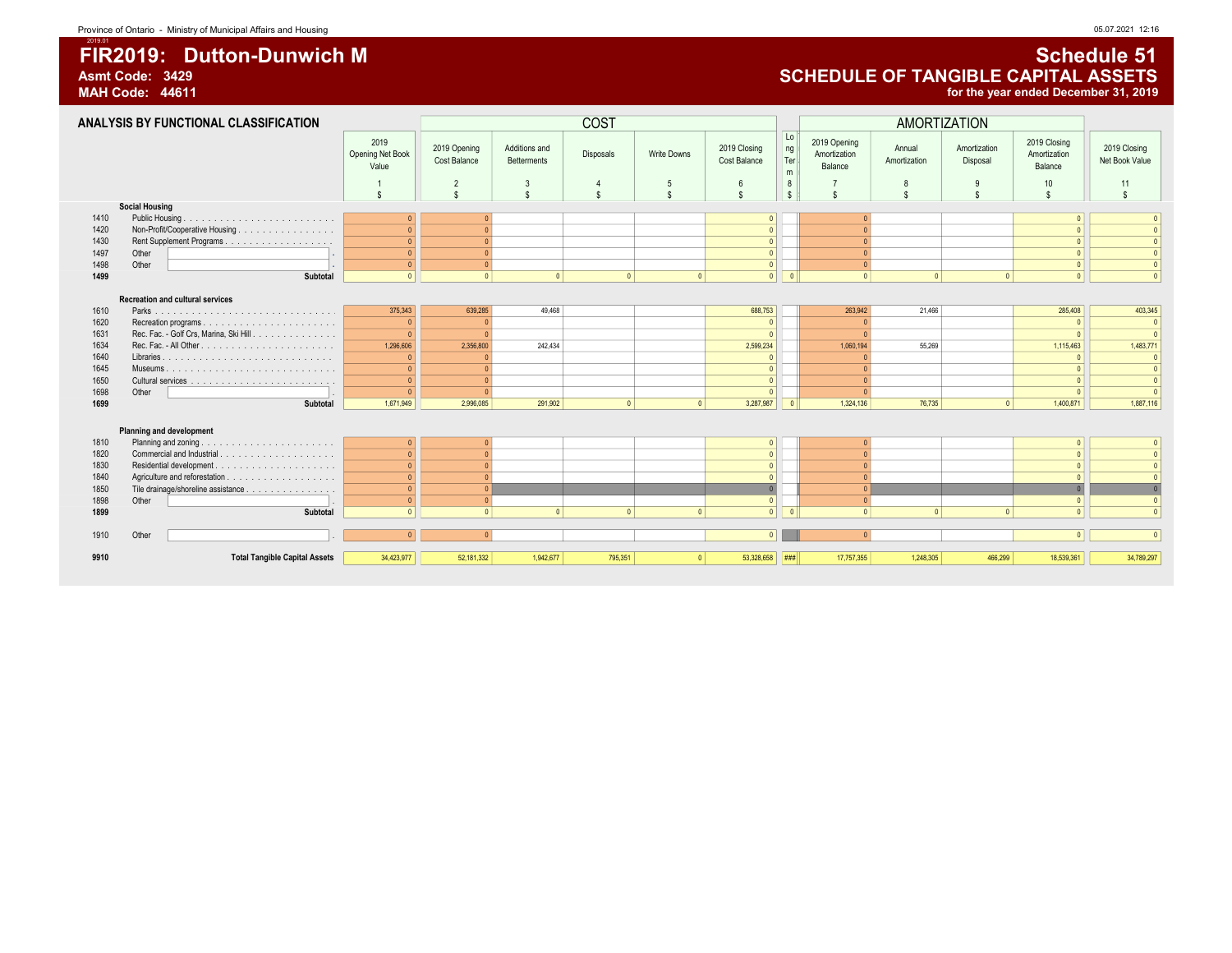# FIR2019: Dutton-Dunwich M Schedule 51

2019.01

#### ANALYSIS BY FUNCTIONAL CLASSIFICATION COST AMORTIZATION 2019 Opening Net Book Value 2019 Opening Cost Balance Additions and Betterments Disposals Write Downs 2019 Closing Cost Balance Lo ng **Ter** m T r a n 2019 Opening Amortization Balance Annual Amortization Amortization Disposal 2019 Closing Amortization Balance 2019 Closing Net Book Value 1 || 2 || 3 || 4 || 5 || 6 || 8||| 7 || 8 || 9 || 10 || 11 \$ \$ \$ \$ \$ \$ \$ \$ \$ \$ \$ \$ \$ Social Housing 1410 Public Housing . . . . . . . . . . . . . . . . . . . . . . . . . . . . . . . . . . . . . . . . . . . . . . . . . . . . . . . . . . . . . . . . . . . . . . . . . . . . . . . . . . . . . . . . . . . . . . . . . . 0 0 0 0 0 0 1420 Non-Profit/Cooperative Housing . . . . . . . . . . . . . . . . . . . . . . . . . . . . . . . . . . . . . . . . . . . . . . . . . . . . . . . . . . . . . . . . . . . . . . . . . . . . . . . . . . . . . . . . . . . . . . . . . . 0 0 0 0 0 0 1430 Rent Supplement Programs . . . . . . . . . . . . . . . . . . . . . . . . . . . . . . . . . . . . . . . . . . . . . . . . . . . . . . . . . . . . . . . . . . . . . . . . . . . . . . . . . . . . . . . . . . . . . . . . . . 0 0 0 0 0 0 1497 Other . . . . . . . . . . . . . . . . . . . 0 0 0 0 0 0 1498 Other . . . . . . . . . . . . . . . . . . . 0 0 0 0 0 0 1499 Subtotal 0 || 0 0 0 0 0 0 0 0 0 0 0 0 0 0 0 0 Recreation and cultural services 1610 Parks . . . . . . . . . . . . . . . . . . . . . . . . . . . . . . . . . . . . . . . . . . . . . . . . . . . . . . . . . . . . . . . . . . . . . . . . . . . . . . . . . . . . . . . . . . . . . . . . . . 375,343 639,285 49,468 688,753 263,942 21,466 285,408 403,345 1620 Recreation programs . . . . . . . . . . . . . . . . . . . . . . . . . . . . . . . . . . . . . . . . . . . . . . . . . . . . . . . . . . . . . . . . . . . . . . . . . . . . . . . . . . . . . . . . . . . . . . . . . . 0 0 0 0 0 0 1631 Rec. Fac. - Golf Crs, Marina, Ski Hill . . . . . . . . . . . . . . . . . . . . . . . . . . . . . . . . . . . . . . . . . . . . . . . . . . . . . . . . . . . . . . . . . . . . . . . . . . . . . . . . . . . . . . . . . . . . . . . . . . 0 0 0 0 0 0 1634 Rec. Fac. - All Other . . . . . . . . . . . . . . . . . . . . . . . . . . . . . . . . . . . . . . . . . . . . . . . . . . . . . . . . . . . . . . . . . . . . . . . . . . . . . . . . . . . . . . . . . . . . . . . . . . 1,296,606 2,356,800 242,434 2,599,234 1,060,194 55,269 1,115,463 1,483,771 1640 Libraries . . . . . . . . . . . . . . . . . . . . . . . . . . . . . . . . . . . . . . . . . . . . . . . . . . . . . . . . . . . . . . . . . . . . . . . . . . . . . . . . . . . . . . . . . . . . . . . . . . 0 0 0 0 0 0 1645 Museums . . . . . . . . . . . . . . . . . . . . . . . . . . . . . . . . . . . . . . . . . . . . . . . . . . . . . . . . . . . . . . . . . . . . . . . . . . . . . . . . . . . . . . . . . . . . . . . . . . 0 0 0 0 0 0 1650 Cultural services . . . . . . . . . . . . . . . . . . . . . . . . . . . . . . . . . . . . . . . . . . . . . . . . . . . . . . . . . . . . . . . . . . . . . . . . . . . . . . . . . . . . . . . . . . . . . . . . . . 0 0 0 0 0 0 1698 Other . . . . . . . . . . . . . . . . . . . 0 0 0 0 0 0 1699 Subtotal 1,671,949 2,996,085 291,902 0 0 3,287,987 0 1,324,136 76,735 0 1,400,871 1,887,116 **Planning and development**<br>Planning and zoning 1810 Planning and zoning . . . . . . . . . . . . . . . . . . . . . . . . . . . . . . . . . . . . . . . . . . . . . . . . . . . . . . . . . . . . . . . . . . . . . . . . . . . . . . . . . . . . . . . . . . . . . . . . . . 0 0 0 0 0 0 1820 Commercial and Industrial . . . . . . . . . . . . . . . . . . . . . . . . . . . . . . . . . . . . . . . . . . . . . . . . . . . . . . . . . . . . . . . . . . . . . . . . . . . . . . . . . . . . . . . . . . . . . . . . . . 0 0 0 0 0 0 1830 Residential development . . . . . . . . . . . . . . . . . . . . . . . . . . . . . . . . . . . . . . . . . . . . . . . . . . . . . . . . . . . . . . . . . . . . . . . . . . . . . . . . . . . . . . . . . . . . . . . . . . 0 0 0 0 0 0 1840 Agriculture and reforestation . . . . . . . . . . . . . . . . . . . . . . . . . . . . . . . . . . . . . . . . . . . . . . . . . . . . . . . . . . . . . . . . . . . . . . . . . . . . . . . . . . . . . . . . . . . . . . . . . . 0 0 0 0 0 0 Tile drainage/shoreline assistance . . . . . . . . . . . . . . . . 1898 Other . . . . . . . . . . . . . . . . . . . 0 0 0 0 0 0 1899 Subtotal 0 0 0 0 0 0 0 0 0 0 0 0 0 0 0 0 1910 Other . . . . . . . . . . . . . . . . . . . 0 0 0 0 0 0

9910 Total Tangible Capital Assets 34,423,977 52,181,332 1,942,677 795,351 0 53,328,658 ### 17,757,355 1,248,305 466,299 18,539,361 34,789,297

### Asmt Code: 3429 **Asmt Code: 3429**<br>MAH Code: 44611 **ASSETS** of the year ended December 31, 2019 for the year ended December 31, 2019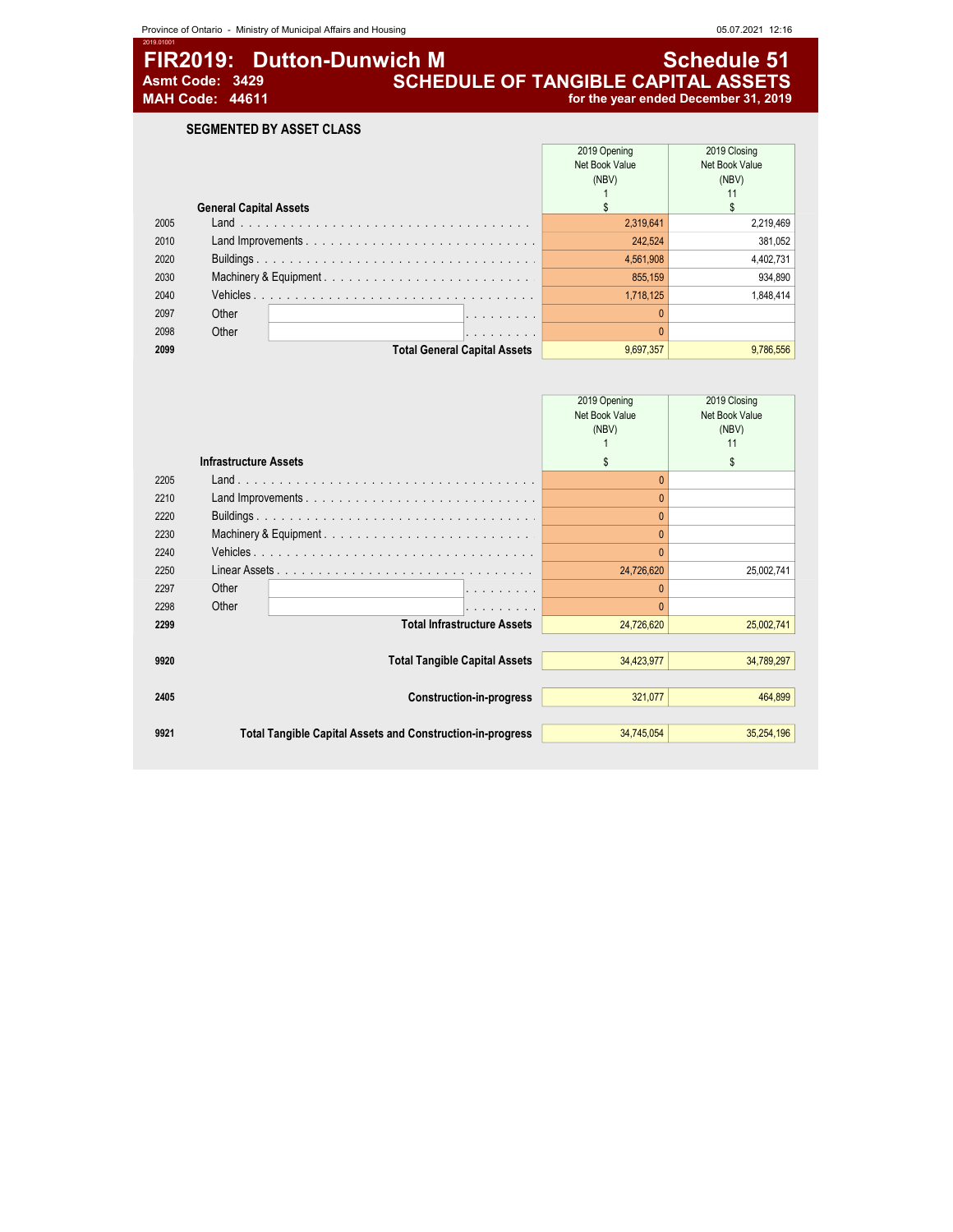# **FIR2019: Dutton-Dunwich M** Asmt Code: 3429 **Schedule 51**<br>SCHEDULE OF TANGIBLE CAPITAL ASSETS<br>MAH Code: 44611 for the year ended December 31, 2019 Asmt Code: 3429 **SCHEDULE OF TANGIBLE CAPITAL ASSETS**

## MAH Code: 44611 for the year ended December 31, 2019

SEGMENTED BY ASSET CLASS

|      |                                                | 2019 Opening<br>Net Book Value | 2019 Closing<br>Net Book Value |
|------|------------------------------------------------|--------------------------------|--------------------------------|
|      |                                                | (NBV)                          | (NBV)                          |
|      |                                                |                                |                                |
|      | <b>General Capital Assets</b>                  |                                |                                |
| 2005 |                                                | 2,319,641                      | 2,219,469                      |
| 2010 |                                                | 242,524                        | 381,052                        |
| 2020 |                                                | 4,561,908                      | 4,402,731                      |
| 2030 |                                                | 855,159                        | 934,890                        |
| 2040 |                                                | 1,718,125                      | 1.848.414                      |
| 2097 | Other<br>and the company's company's company's |                                |                                |
| 2098 | Other<br>and the company's company's company's |                                |                                |
| 2099 | <b>Total General Capital Assets</b>            | 9,697,357                      | 9,786,556                      |

|      |                                                                   | 2019 Opening   | 2019 Closing   |
|------|-------------------------------------------------------------------|----------------|----------------|
|      |                                                                   | Net Book Value | Net Book Value |
|      |                                                                   | (NBV)          | (NBV)          |
|      |                                                                   |                | 11             |
|      | <b>Infrastructure Assets</b>                                      | \$             | £.             |
| 2205 |                                                                   |                |                |
| 2210 |                                                                   |                |                |
| 2220 |                                                                   |                |                |
| 2230 | Machinery & Equipment                                             |                |                |
| 2240 |                                                                   |                |                |
| 2250 |                                                                   | 24,726,620     | 25,002,741     |
| 2297 | Other<br>.                                                        |                |                |
| 2298 | Other<br>.                                                        |                |                |
| 2299 | <b>Total Infrastructure Assets</b>                                | 24,726,620     | 25,002,741     |
|      |                                                                   |                |                |
| 9920 | <b>Total Tangible Capital Assets</b>                              | 34,423,977     | 34,789,297     |
|      |                                                                   |                |                |
| 2405 | <b>Construction-in-progress</b>                                   | 321,077        | 464,899        |
|      |                                                                   |                |                |
| 9921 | <b>Total Tangible Capital Assets and Construction-in-progress</b> | 34,745,054     | 35,254,196     |
|      |                                                                   |                |                |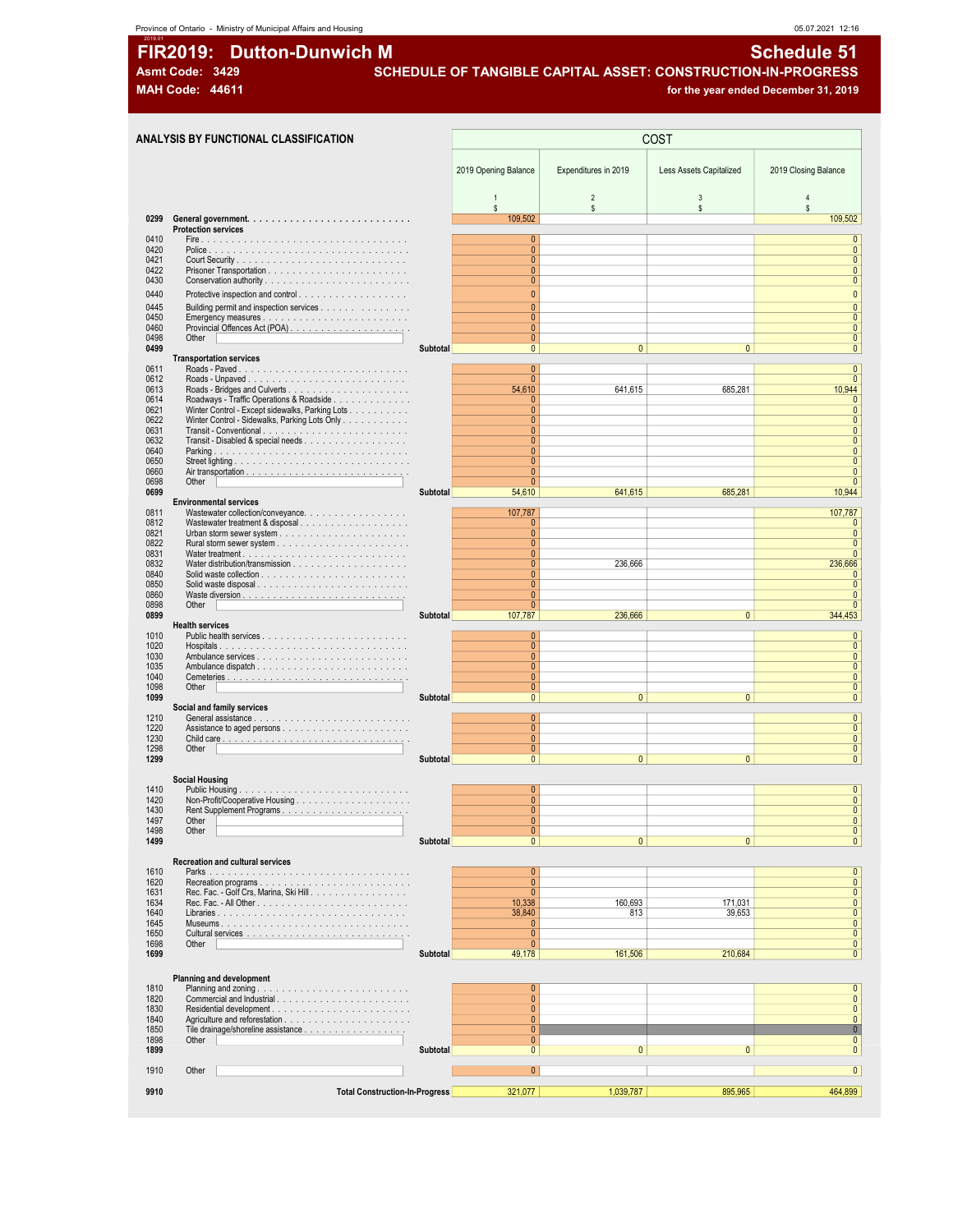### Province of Ontario - Ministry of Municipal Affairs and Housing and South Affairs and Housing and South Affairs and Housing and South Affairs and Housing and South Affairs and Housing and South Affairs and Housing and Affa

# 2019.01 FIR2019: Dutton-Dunwich M Schedule 51

Asmt Code: 3429 SCHEDULE OF TANGIBLE CAPITAL ASSET: CONSTRUCTION-IN-PROGRESS MAH Code: 44611 **for the year ended December 31, 2019 for the year ended December 31, 2019** 

| ANALYSIS BY FUNCTIONAL CLASSIFICATION                                                                                       |                 |                                |                      | COST                         |                                 |
|-----------------------------------------------------------------------------------------------------------------------------|-----------------|--------------------------------|----------------------|------------------------------|---------------------------------|
|                                                                                                                             |                 | 2019 Opening Balance           | Expenditures in 2019 | Less Assets Capitalized      | 2019 Closing Balance            |
| 0299                                                                                                                        |                 | $\mathbf{1}$<br>s.<br>109,502  | $\overline{2}$<br>s. | $\mathbf{3}$<br>$\mathsf{s}$ | $\overline{4}$<br>\$<br>109,502 |
| <b>Protection services</b>                                                                                                  |                 |                                |                      |                              |                                 |
|                                                                                                                             |                 | $\pmb{0}$<br>$\mathbf{0}$      |                      |                              | $\pmb{0}$<br>$\mathbf{0}$       |
|                                                                                                                             |                 | $\mathbf{0}$                   |                      |                              | $\mathbf{0}$                    |
|                                                                                                                             |                 | $\mathbf{0}$<br>$\mathbf{0}$   |                      |                              | $\mathbf{0}$<br>$\mathbf{0}$    |
| Protective inspection and control                                                                                           |                 | $\pmb{0}$                      |                      |                              | $\mathbf{0}$                    |
| Building permit and inspection services                                                                                     |                 | $\overline{0}$                 |                      |                              | $\overline{0}$                  |
|                                                                                                                             |                 | $\mathbf{0}$                   |                      |                              | $\mathbf{0}$                    |
| Other                                                                                                                       |                 | $\mathbf{0}$<br>$\overline{0}$ |                      |                              | $\mathbf{0}$<br>$\mathbf{0}$    |
|                                                                                                                             | <b>Subtotal</b> | $\mathbf{0}$                   | $\overline{0}$       | $\mathbf{0}$                 | $\mathbf{0}$                    |
| <b>Transportation services</b>                                                                                              |                 | $\mathbf{0}$                   |                      |                              | $\overline{0}$                  |
|                                                                                                                             |                 | $\mathbf{0}$                   |                      |                              | $\mathbf{0}$                    |
|                                                                                                                             |                 | 54,610                         | 641,615              | 685,281                      | 10,944                          |
| Roadways - Traffic Operations & Roadside<br>Winter Control - Except sidewalks, Parking Lots                                 |                 | 0<br>$\pmb{0}$                 |                      |                              | $\mathbf{0}$<br>$\mathbf{0}$    |
| Winter Control - Sidewalks, Parking Lots Only                                                                               |                 | $\mathbf{0}$                   |                      |                              | $\mathbf{0}$                    |
| Transit - Disabled & special needs                                                                                          |                 | $\mathbf{0}$<br>$\mathbf{0}$   |                      |                              | $\mathbf{0}$<br>$\Omega$        |
| Parking                                                                                                                     |                 | $\mathbf{0}$                   |                      |                              | $\mathbf{0}$                    |
|                                                                                                                             |                 | $\mathbf{0}$                   |                      |                              | $\Omega$                        |
| Other                                                                                                                       |                 | $\mathbf{0}$<br>$\mathbf{0}$   |                      |                              | $\mathbf{0}$<br>$\mathbf{0}$    |
|                                                                                                                             | Subtotal        | 54,610                         | 641,615              | 685,281                      | 10,944                          |
| <b>Environmental services</b>                                                                                               |                 |                                |                      |                              |                                 |
| Wastewater collection/conveyance.<br>Wastewater treatment & disposal                                                        |                 | 107,787<br>0                   |                      |                              | 107,787<br>$\mathbf{0}$         |
|                                                                                                                             |                 | $\mathbf{0}$                   |                      |                              | $\mathbf{0}$                    |
|                                                                                                                             |                 | $\overline{0}$<br>$\mathbf{0}$ |                      |                              | $\mathbf{0}$<br>$\mathbf{0}$    |
|                                                                                                                             |                 | $\mathbf{0}$                   | 236,666              |                              | 236,666                         |
|                                                                                                                             |                 | $\mathbf{0}$                   |                      |                              | $\theta$                        |
| Solid waste disposal                                                                                                        |                 | $\mathbf{0}$<br>$\overline{0}$ |                      |                              | $\mathbf{0}$<br>$\mathbf{0}$    |
| Other                                                                                                                       |                 | $\mathbf{0}$                   |                      |                              | $\mathbf{0}$                    |
|                                                                                                                             | Subtotal        | 107,787                        | 236,666              | $\overline{0}$               | 344,453                         |
| <b>Health services</b><br>Public health services $\ldots$ , $\ldots$ , $\ldots$ , $\ldots$ , $\ldots$ , $\ldots$ , $\ldots$ |                 | $\mathbf{0}$                   |                      |                              | $\mathbf{0}$                    |
|                                                                                                                             |                 | $\overline{0}$                 |                      |                              | $\mathbf{0}$                    |
|                                                                                                                             |                 | $\mathbf{0}$                   |                      |                              | $\mathbf{0}$                    |
|                                                                                                                             |                 | $\mathbf{0}$<br>$\mathbf{0}$   |                      |                              | $\mathbf{0}$<br>$\mathbf{0}$    |
| Other                                                                                                                       |                 | $\mathbf{0}$                   |                      |                              | $\mathbf 0$                     |
| Social and family services                                                                                                  | Subtotal        | $\overline{0}$                 | $\mathbf{0}$         | $\mathbf{0}$                 | $\pmb{0}$                       |
|                                                                                                                             |                 | $\mathbf{0}$                   |                      |                              | $\pmb{0}$                       |
|                                                                                                                             |                 | $\mathbf{0}$                   |                      |                              | $\mathbf{0}$                    |
| Other                                                                                                                       |                 | $\mathbf{0}$<br>$\overline{0}$ |                      |                              | $\mathbf{0}$<br>$\mathbf{0}$    |
|                                                                                                                             | <b>Subtotal</b> | $\mathbf{0}$                   | $\overline{0}$       | $\mathbf{0}$                 | $\mathbf{0}$                    |
| <b>Social Housing</b>                                                                                                       |                 |                                |                      |                              |                                 |
|                                                                                                                             |                 | $\mathbf{0}$                   |                      |                              | $\mathbf{0}$                    |
|                                                                                                                             |                 | $\overline{0}$                 |                      |                              | $\mathbf{0}$                    |
| Other                                                                                                                       |                 | $\overline{0}$<br>0            |                      |                              | $\Omega$<br>$\mathbf{0}$        |
| Other                                                                                                                       |                 | $\mathbf{0}$                   |                      |                              | $\mathbf{0}$                    |
|                                                                                                                             | Subtotal        | $\mathbf{0}$                   | $\mathbf{0}$         | $\mathbf{0}$                 | $\pmb{0}$                       |
| <b>Recreation and cultural services</b>                                                                                     |                 |                                |                      |                              |                                 |
|                                                                                                                             |                 | $\pmb{0}$                      |                      |                              | $\mathbf{0}$                    |
| Recreation programs<br>Rec. Fac. - Golf Crs, Marina, Ski Hill.                                                              |                 | $\mathbf{0}$<br>$\mathbf{0}$   |                      |                              | $\mathbf{0}$<br>$\mathbf{0}$    |
|                                                                                                                             |                 | 10,338                         | 160,693              | 171,031                      | $\mathbf{0}$                    |
|                                                                                                                             |                 | 38,840                         | 813                  | 39,653                       | $\mathbf{0}$                    |
|                                                                                                                             |                 | 0<br>$\mathbf{0}$              |                      |                              | $\mathbf{0}$<br>$\mathbf{0}$    |
| Other                                                                                                                       |                 | $\mathbf{0}$                   |                      |                              | $\mathbf{0}$                    |
|                                                                                                                             | Subtotal        | 49,178                         | 161,506              | 210,684                      | $\pmb{0}$                       |
|                                                                                                                             |                 |                                |                      |                              |                                 |
| <b>Planning and development</b>                                                                                             |                 | $\pmb{0}$                      |                      |                              | $\pmb{0}$                       |
|                                                                                                                             |                 | $\mathbf{0}$                   |                      |                              | $\mathbf{0}$                    |
|                                                                                                                             |                 | $\mathbf{0}$                   |                      |                              | $\mathbf{0}$                    |
|                                                                                                                             |                 | $\overline{0}$<br>$\mathbf{0}$ |                      |                              | $\mathbf{0}$<br>$\mathbf{0}$    |
| Other                                                                                                                       |                 | $\mathbf{0}$                   |                      |                              | $\mathbf{0}$                    |
|                                                                                                                             | Subtotal        | $\mathbf{0}$                   | $\overline{0}$       | $\mathbf{0}$                 | $\mathbf{0}$                    |
| Other                                                                                                                       |                 | $\overline{0}$                 |                      |                              | $\overline{0}$                  |
|                                                                                                                             |                 |                                |                      |                              |                                 |
| <b>Total Construction-In-Progress</b>                                                                                       |                 | 321,077                        | 1,039,787            | 895,965                      | 464,899                         |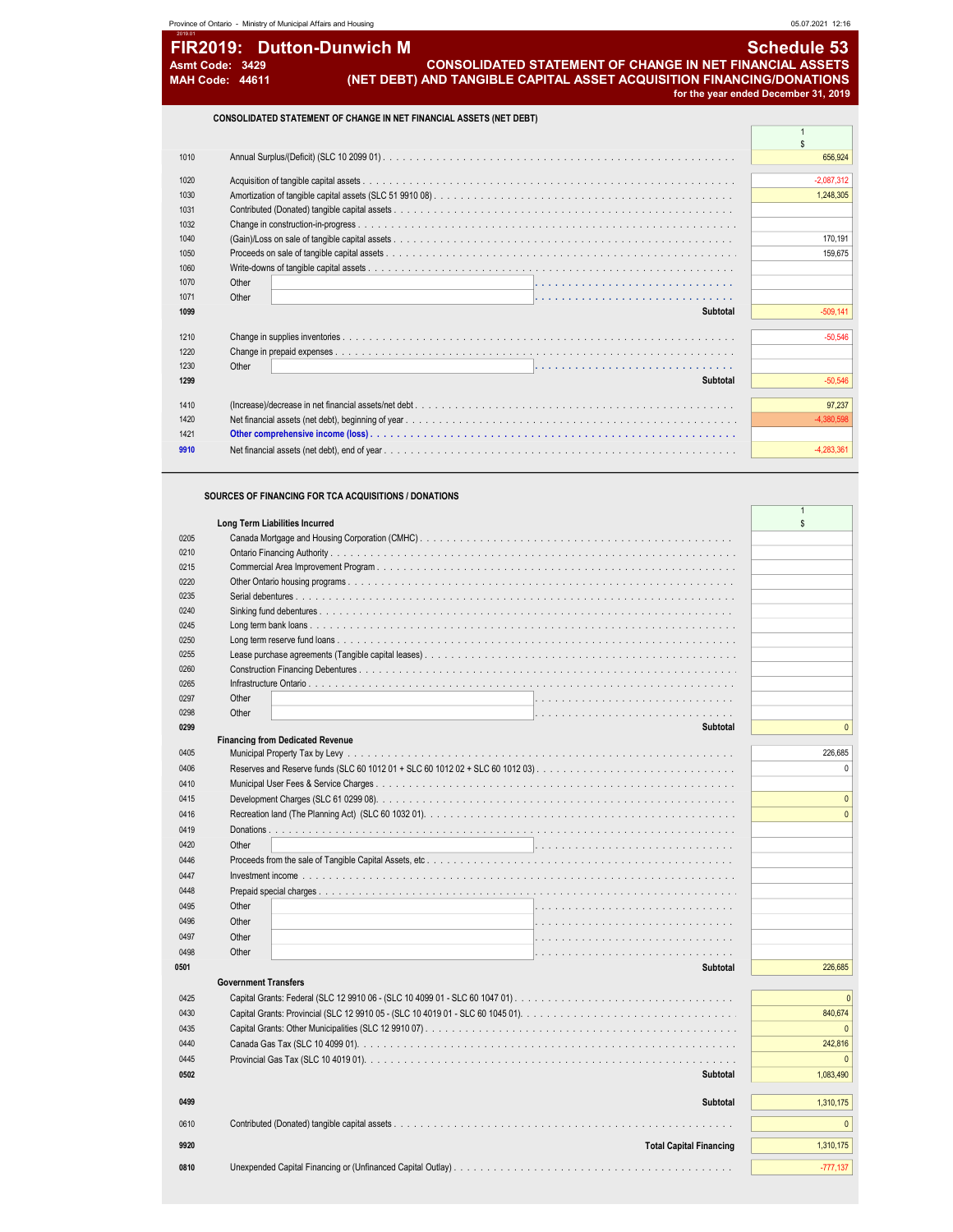| 1020          |          | $-2,087,312$ |
|---------------|----------|--------------|
| 1030          |          | 1,248,305    |
| 1031          |          |              |
| 1032          |          |              |
| 1040          |          | 170,191      |
| 1050          |          | 159,675      |
| 1060          |          |              |
| Other<br>1070 |          |              |
| Other<br>1071 |          |              |
| 1099          | Subtotal | $-509,141$   |
|               |          |              |
| 1210          |          | $-50,546$    |
| 1220          |          |              |
| 1230<br>Other |          |              |
| 1299          | Subtotal | $-50,546$    |
| 1410          |          | 97,237       |
|               |          |              |
| 1420          |          | $-4,380,598$ |
| 1421          |          |              |
| 9910          |          | $-4,283,361$ |
|               |          |              |

#### SOURCES OF FINANCING FOR TCA ACQUISITIONS / DONATIONS

| Long Term Liabilities Incurred<br>$\mathbf{s}$ |              |
|------------------------------------------------|--------------|
| 0205                                           |              |
| 0210                                           |              |
| 0215                                           |              |
| 0220                                           |              |
| 0235                                           |              |
| 0240                                           |              |
| 0245                                           |              |
| 0250                                           |              |
| 0255                                           |              |
| 0260                                           |              |
| 0265                                           |              |
| Other<br>0297                                  |              |
| Other<br>0298                                  |              |
| 0299<br><b>Subtotal</b>                        | $\mathbf{0}$ |
| <b>Financing from Dedicated Revenue</b>        |              |
| 0405                                           | 226,685      |
| 0406                                           | $\Omega$     |
| 0410                                           |              |
| 0415                                           | $\mathbf{0}$ |
| 0416                                           | $\Omega$     |
| 0419                                           |              |
|                                                |              |
| Other<br>0420                                  |              |
| 0446                                           |              |
| 0447                                           |              |
| 0448                                           |              |
| Other<br>0495                                  |              |
| Other<br>0496                                  |              |
| Other<br>0497                                  |              |
| Other<br>0498                                  |              |
| 0501<br>Subtotal                               | 226,685      |
| <b>Government Transfers</b>                    |              |
| 0425                                           | $\Omega$     |
| 0430                                           | 840,674      |
| 0435                                           | $\mathbf{0}$ |
| 0440                                           | 242,816      |
|                                                | $\Omega$     |
| 0445                                           |              |
| 0502<br>Subtotal                               | 1,083,490    |
|                                                |              |
| Subtotal<br>0499                               | 1,310,175    |
| 0610                                           | $\mathbf{0}$ |
|                                                |              |
| <b>Total Capital Financing</b><br>9920         | 1,310,175    |
| 0810                                           | $-777,137$   |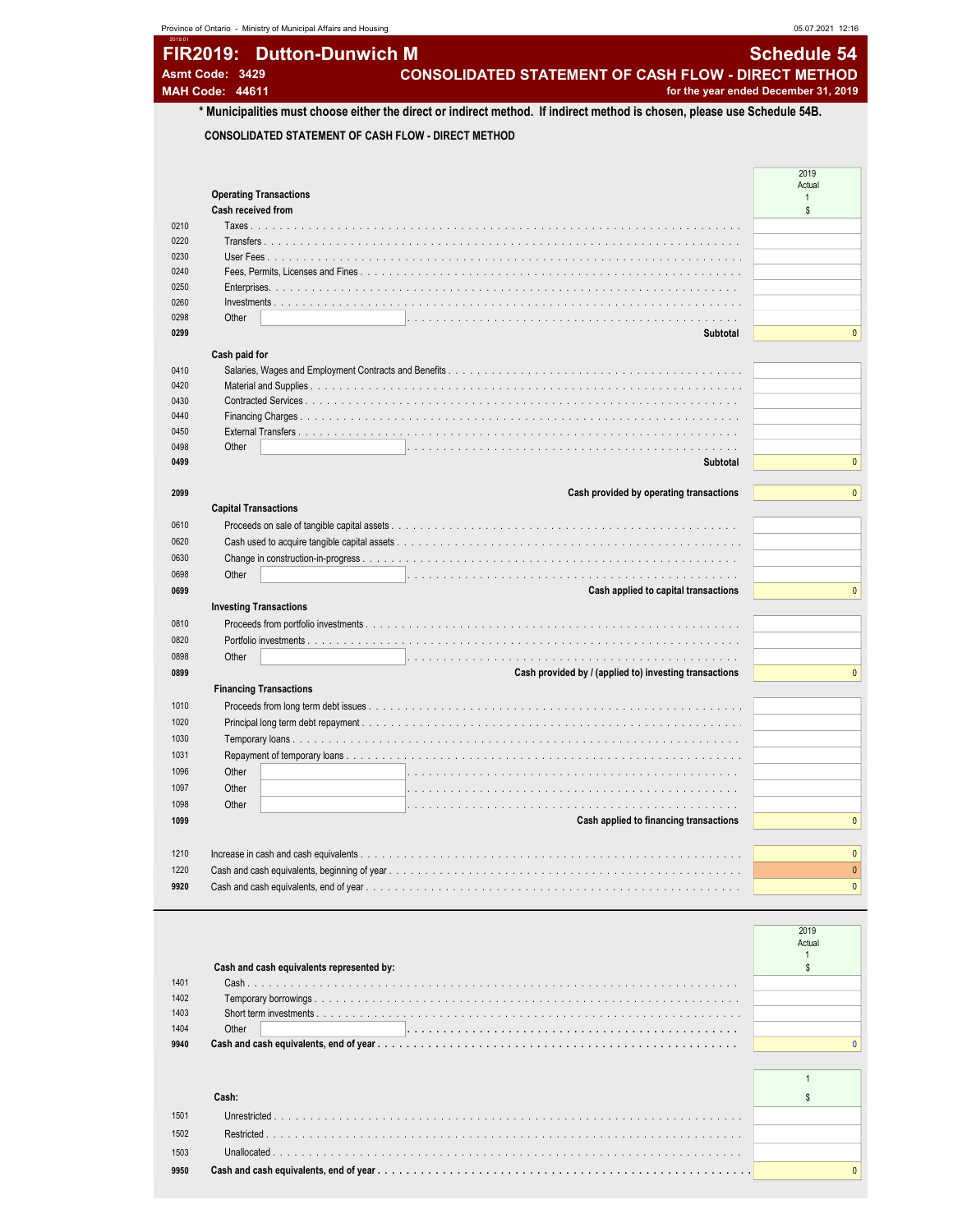|                                                                                                                           | 05.07.2021 12:16                     |
|---------------------------------------------------------------------------------------------------------------------------|--------------------------------------|
| FIR2019: Dutton-Dunwich M                                                                                                 | <b>Schedule 54</b>                   |
| <b>CONSOLIDATED STATEMENT OF CASH FLOW - DIRECT METHOD</b><br>Asmt Code: 3429<br><b>MAH Code: 44611</b>                   | for the year ended December 31, 2019 |
| * Municipalities must choose either the direct or indirect method. If indirect method is chosen, please use Schedule 54B. |                                      |
| <b>CONSOLIDATED STATEMENT OF CASH FLOW - DIRECT METHOD</b>                                                                |                                      |
|                                                                                                                           |                                      |
|                                                                                                                           | 2019<br>Actual                       |
| <b>Operating Transactions</b>                                                                                             | $\overline{1}$                       |
| Cash received from                                                                                                        | $$^{\circ}$                          |
| 0210                                                                                                                      |                                      |
| 0220                                                                                                                      |                                      |
| 0230<br>User Fees                                                                                                         |                                      |
| 0240                                                                                                                      |                                      |
| 0250<br>0260                                                                                                              |                                      |
| $Investments.$<br>0298<br>Other                                                                                           |                                      |
| 0299                                                                                                                      | .<br>Subtotal                        |
|                                                                                                                           |                                      |
| Cash paid for<br>0410                                                                                                     |                                      |
| 0420                                                                                                                      |                                      |
| 0430                                                                                                                      |                                      |
| 0440<br>Financing Charges                                                                                                 |                                      |
| 0450                                                                                                                      |                                      |
| 0498<br>Other                                                                                                             | .                                    |
| 0499                                                                                                                      | Subtotal                             |
|                                                                                                                           |                                      |
| 2099<br>Cash provided by operating transactions                                                                           |                                      |
| <b>Capital Transactions</b>                                                                                               |                                      |
| 0610                                                                                                                      |                                      |
| 0620                                                                                                                      |                                      |
| 0630                                                                                                                      |                                      |
| 0698<br>Other                                                                                                             |                                      |
| 0699<br>Cash applied to capital transactions                                                                              |                                      |
| <b>Investing Transactions</b>                                                                                             |                                      |
| 0810<br>Proceeds from portfolio investments                                                                               |                                      |
| 0820                                                                                                                      |                                      |
| 0898<br>Other                                                                                                             |                                      |
| 0899<br>Cash provided by / (applied to) investing transactions                                                            |                                      |
| <b>Financing Transactions</b>                                                                                             |                                      |
| 1010                                                                                                                      |                                      |
| 1020<br>Principal long term debt repayment                                                                                |                                      |
| 1030                                                                                                                      |                                      |
| 1031                                                                                                                      |                                      |
| 1096<br>Other                                                                                                             |                                      |
| 1097<br>Other                                                                                                             |                                      |
| 1098<br>Other                                                                                                             |                                      |
| 1099<br>Cash applied to financing transactions                                                                            |                                      |
|                                                                                                                           |                                      |
| 1210                                                                                                                      |                                      |
| 1220<br>9920                                                                                                              |                                      |

|      |                                           | 2019   |  |
|------|-------------------------------------------|--------|--|
|      |                                           | Actual |  |
|      |                                           |        |  |
|      | Cash and cash equivalents represented by: |        |  |
| 1401 |                                           |        |  |
| 1402 |                                           |        |  |
| 1403 |                                           |        |  |
| 1404 | Other                                     |        |  |
| 9940 |                                           |        |  |
|      |                                           |        |  |
|      |                                           |        |  |
|      |                                           |        |  |
|      |                                           |        |  |

|      | Cash:       |  |
|------|-------------|--|
| 1501 |             |  |
| 1502 | Restricted. |  |
| 1503 |             |  |
| 9950 |             |  |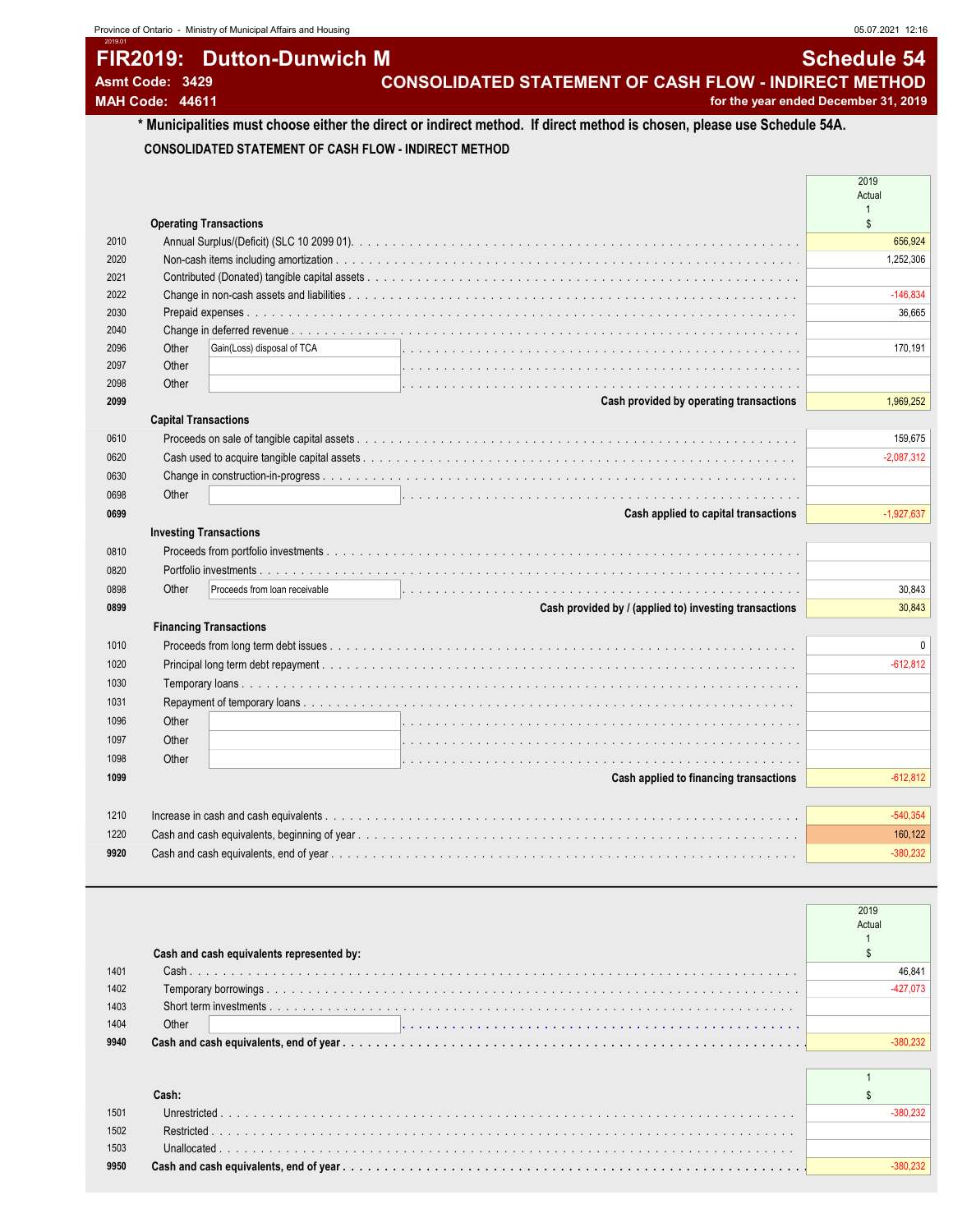## FIR2019: Dutton-Dunwich M Schedule 54 Asmt Code: 3429 **CONSOLIDATED STATEMENT OF CASH FLOW - INDIRECT METHOD**

2019.01

MAH Code: 44611 **for the year ended December 31, 2019 for the year ended December 31, 2019** 

### \* Municipalities must choose either the direct or indirect method. If direct method is chosen, please use Schedule 54A. CONSOLIDATED STATEMENT OF CASH FLOW - INDIRECT METHOD

|                                                                | Actual       |
|----------------------------------------------------------------|--------------|
| <b>Operating Transactions</b>                                  | \$           |
| 2010                                                           | 656,924      |
| 2020                                                           | 1,252,306    |
| 2021                                                           |              |
| 2022                                                           | $-146,834$   |
| 2030                                                           | 36.665       |
| 2040                                                           |              |
| Gain(Loss) disposal of TCA<br>Other<br>2096                    | 170,191      |
| Other<br>2097                                                  |              |
| Other<br>2098                                                  |              |
| Cash provided by operating transactions<br>2099                | 1,969,252    |
| <b>Capital Transactions</b>                                    |              |
| 0610                                                           | 159,675      |
| 0620                                                           | $-2,087,312$ |
| 0630                                                           |              |
| Other<br>0698                                                  |              |
| Cash applied to capital transactions<br>0699                   | $-1,927,637$ |
| <b>Investing Transactions</b>                                  |              |
| 0810                                                           |              |
| 0820                                                           |              |
| Other<br>Proceeds from loan receivable<br>0898                 | 30.843       |
| Cash provided by / (applied to) investing transactions<br>0899 | 30,843       |
| <b>Financing Transactions</b>                                  |              |
| 1010                                                           | $\Omega$     |
| 1020                                                           | $-612,812$   |
| 1030                                                           |              |
|                                                                |              |
| 1031                                                           |              |
| Other<br>1096                                                  |              |
| Other<br>1097                                                  |              |
| Other<br>1098                                                  |              |
| Cash applied to financing transactions<br>1099                 | $-612,812$   |
|                                                                |              |
| 1210                                                           | $-540,354$   |
| 1220                                                           | 160,122      |
| 9920                                                           | $-380,232$   |

|      |                                           | 2019       |
|------|-------------------------------------------|------------|
|      |                                           | Actual     |
|      |                                           |            |
|      | Cash and cash equivalents represented by: |            |
| 1401 |                                           | 46.841     |
| 1402 |                                           | $-427.073$ |
| 1403 |                                           |            |
| 1404 | Other                                     |            |
| 9940 |                                           | $-380.232$ |
|      |                                           |            |
|      |                                           |            |
|      | Cash:                                     |            |
| 1501 | Unrestricted                              | $-380.232$ |
| 1502 | Restricted.                               |            |
| 1503 | Unallocated.                              |            |
| 9950 |                                           | 380.23:    |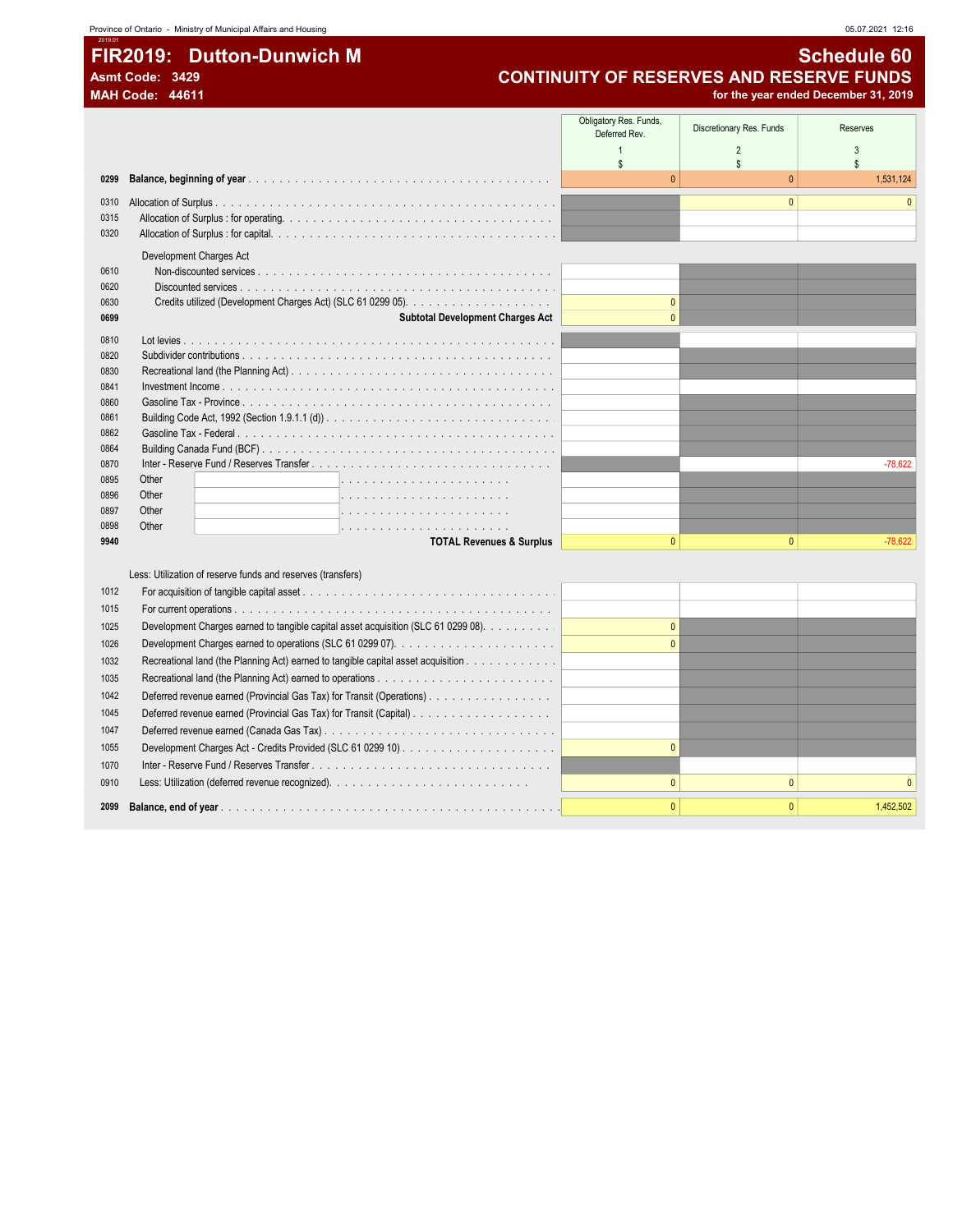### 2019.01 FIR2019: Dutton-Dunwich M Schedule 60

### Asmt Code: 3429 CONTINUITY OF RESERVES AND RESERVE FUNDS<br>MAH Code: 44611 for the year ended December 31, 2019 for the year ended December 31, 2019

|              |                                                                                    | Obligatory Res. Funds,<br>Deferred Rev. | Discretionary Res. Funds | <b>Reserves</b> |
|--------------|------------------------------------------------------------------------------------|-----------------------------------------|--------------------------|-----------------|
|              |                                                                                    | $\mathbf{1}$                            | $\overline{2}$           | $\mathbf{3}$    |
|              |                                                                                    | $\mathbb{S}$<br>$\Omega$                | $\mathbf{s}$             | $\mathbf{s}$    |
| 0299         |                                                                                    |                                         | $\mathbf{0}$             | 1,531,124       |
| 0310         |                                                                                    |                                         | $\mathbf{0}$             |                 |
| 0315         |                                                                                    |                                         |                          |                 |
| 0320         |                                                                                    |                                         |                          |                 |
|              | Development Charges Act                                                            |                                         |                          |                 |
| 0610         |                                                                                    |                                         |                          |                 |
| 0620         |                                                                                    |                                         |                          |                 |
| 0630         |                                                                                    | $\Omega$                                |                          |                 |
| 0699         | Subtotal Development Charges Act                                                   | $\Omega$                                |                          |                 |
| 0810         |                                                                                    |                                         |                          |                 |
| 0820         |                                                                                    |                                         |                          |                 |
| 0830         |                                                                                    |                                         |                          |                 |
| 0841         |                                                                                    |                                         |                          |                 |
| 0860<br>0861 |                                                                                    |                                         |                          |                 |
| 0862         |                                                                                    |                                         |                          |                 |
| 0864         |                                                                                    |                                         |                          |                 |
| 0870         |                                                                                    |                                         |                          | $-78,622$       |
| 0895         | Other                                                                              |                                         |                          |                 |
| 0896         | Other                                                                              |                                         |                          |                 |
| 0897         | Other                                                                              |                                         |                          |                 |
| 0898         | Other                                                                              |                                         |                          |                 |
| 9940         | <b>TOTAL Revenues &amp; Surplus</b>                                                | $\Omega$                                | $\mathbf{0}$             | $-78,622$       |
|              |                                                                                    |                                         |                          |                 |
|              | Less: Utilization of reserve funds and reserves (transfers)                        |                                         |                          |                 |
| 1012         |                                                                                    |                                         |                          |                 |
| 1015         |                                                                                    |                                         |                          |                 |
| 1025         | Development Charges earned to tangible capital asset acquisition (SLC 61 0299 08). | $\Omega$                                |                          |                 |
| 1026         |                                                                                    | $\Omega$                                |                          |                 |
| 1032         | Recreational land (the Planning Act) earned to tangible capital asset acquisition  |                                         |                          |                 |
| 1035         |                                                                                    |                                         |                          |                 |
| 1042         | Deferred revenue earned (Provincial Gas Tax) for Transit (Operations)              |                                         |                          |                 |
| 1045         |                                                                                    |                                         |                          |                 |
| 1047         |                                                                                    |                                         |                          |                 |
| 1055         |                                                                                    | $\Omega$                                |                          |                 |
| 1070         |                                                                                    |                                         |                          |                 |
| 0910         |                                                                                    | $\Omega$                                | $\Omega$                 |                 |
|              |                                                                                    |                                         | $\Omega$                 |                 |
| 2099         |                                                                                    |                                         |                          | 1,452,502       |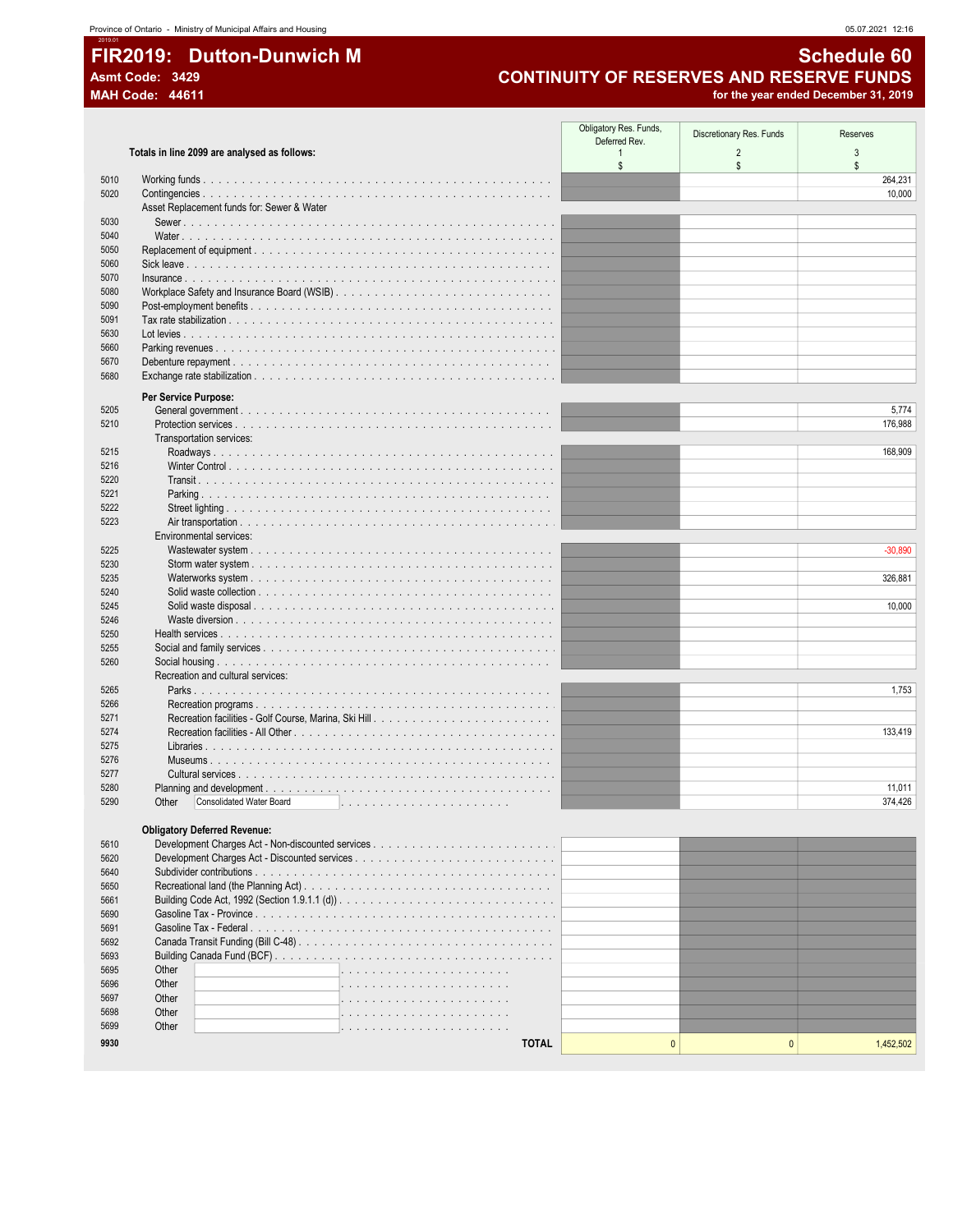## FIR2019: Dutton-Dunwich M Asmt Code: 3429

**MAH Code: 44611** 

### **Schedule 60 CONTINUITY OF RESERVES AND RESERVE FUNDS**

for the year ended December 31, 2019

|              |                                                                                                                                        | Obligatory Res. Funds,<br>Deferred Rev. | Discretionary Res. Funds | Reserves  |
|--------------|----------------------------------------------------------------------------------------------------------------------------------------|-----------------------------------------|--------------------------|-----------|
|              | Totals in line 2099 are analysed as follows:                                                                                           | $\overline{1}$<br>$\mathsf{s}$          | $\overline{2}$<br>\$     | 3<br>\$   |
| 5010         |                                                                                                                                        |                                         |                          | 264,231   |
| 5020         |                                                                                                                                        |                                         |                          | 10,000    |
|              | Asset Replacement funds for: Sewer & Water                                                                                             |                                         |                          |           |
| 5030<br>5040 |                                                                                                                                        |                                         |                          |           |
| 5050         |                                                                                                                                        |                                         |                          |           |
| 5060         |                                                                                                                                        |                                         |                          |           |
| 5070         | $insurance \ldots \ldots \ldots \ldots \ldots \ldots \ldots \ldots \ldots \ldots \ldots$                                               |                                         |                          |           |
| 5080         |                                                                                                                                        |                                         |                          |           |
| 5090         |                                                                                                                                        |                                         |                          |           |
| 5091         |                                                                                                                                        |                                         |                          |           |
| 5630         |                                                                                                                                        |                                         |                          |           |
| 5660         |                                                                                                                                        |                                         |                          |           |
| 5670<br>5680 |                                                                                                                                        |                                         |                          |           |
|              |                                                                                                                                        |                                         |                          |           |
| 5205         | Per Service Purpose:                                                                                                                   |                                         |                          | 5,774     |
| 5210         |                                                                                                                                        |                                         |                          | 176,988   |
|              | Transportation services:                                                                                                               |                                         |                          |           |
| 5215         |                                                                                                                                        |                                         |                          | 168,909   |
| 5216         |                                                                                                                                        |                                         |                          |           |
| 5220         |                                                                                                                                        |                                         |                          |           |
| 5221         |                                                                                                                                        |                                         |                          |           |
| 5222         |                                                                                                                                        |                                         |                          |           |
| 5223         |                                                                                                                                        |                                         |                          |           |
| 5225         | Environmental services:                                                                                                                |                                         |                          | $-30,890$ |
| 5230         |                                                                                                                                        |                                         |                          |           |
| 5235         |                                                                                                                                        |                                         |                          | 326,881   |
| 5240         |                                                                                                                                        |                                         |                          |           |
| 5245         | Solid waste disposal                                                                                                                   |                                         |                          | 10,000    |
| 5246         |                                                                                                                                        |                                         |                          |           |
| 5250         | Health services $\ldots$ , $\ldots$ , $\ldots$ , $\ldots$ , $\ldots$ , $\ldots$ , $\ldots$ , $\ldots$ , $\ldots$ , $\ldots$ , $\ldots$ |                                         |                          |           |
| 5255         |                                                                                                                                        |                                         |                          |           |
| 5260         | Recreation and cultural services:                                                                                                      |                                         |                          |           |
| 5265         |                                                                                                                                        |                                         |                          | 1,753     |
| 5266         |                                                                                                                                        |                                         |                          |           |
| 5271         |                                                                                                                                        |                                         |                          |           |
| 5274         |                                                                                                                                        |                                         |                          | 133,419   |
| 5275         |                                                                                                                                        |                                         |                          |           |
| 5276         |                                                                                                                                        |                                         |                          |           |
| 5277         |                                                                                                                                        |                                         |                          |           |
| 5280<br>5290 | Consolidated Water Board                                                                                                               |                                         |                          | 11,011    |
|              | Other                                                                                                                                  |                                         |                          | 374,426   |
|              | <b>Obligatory Deferred Revenue:</b>                                                                                                    |                                         |                          |           |
| 5610         |                                                                                                                                        |                                         |                          |           |
| 5620         |                                                                                                                                        |                                         |                          |           |
| 5640         |                                                                                                                                        |                                         |                          |           |
| 5650         |                                                                                                                                        |                                         |                          |           |
| 5661         |                                                                                                                                        |                                         |                          |           |
| 5690         |                                                                                                                                        |                                         |                          |           |
| 5691<br>5692 |                                                                                                                                        |                                         |                          |           |
| 5693         |                                                                                                                                        |                                         |                          |           |
| 5695         | Other                                                                                                                                  |                                         |                          |           |
| 5696         | Other                                                                                                                                  |                                         |                          |           |
| 5697         | Other                                                                                                                                  |                                         |                          |           |
| 5698         | Other<br>.                                                                                                                             |                                         |                          |           |
| 5699         | Other<br>distribution of the contract of the contract of the contract of the contract of the contract of the contract of               |                                         |                          |           |
| 9930         | <b>TOTAL</b>                                                                                                                           | $\pmb{0}$                               | $\Omega$                 | 1,452,502 |
|              |                                                                                                                                        |                                         |                          |           |